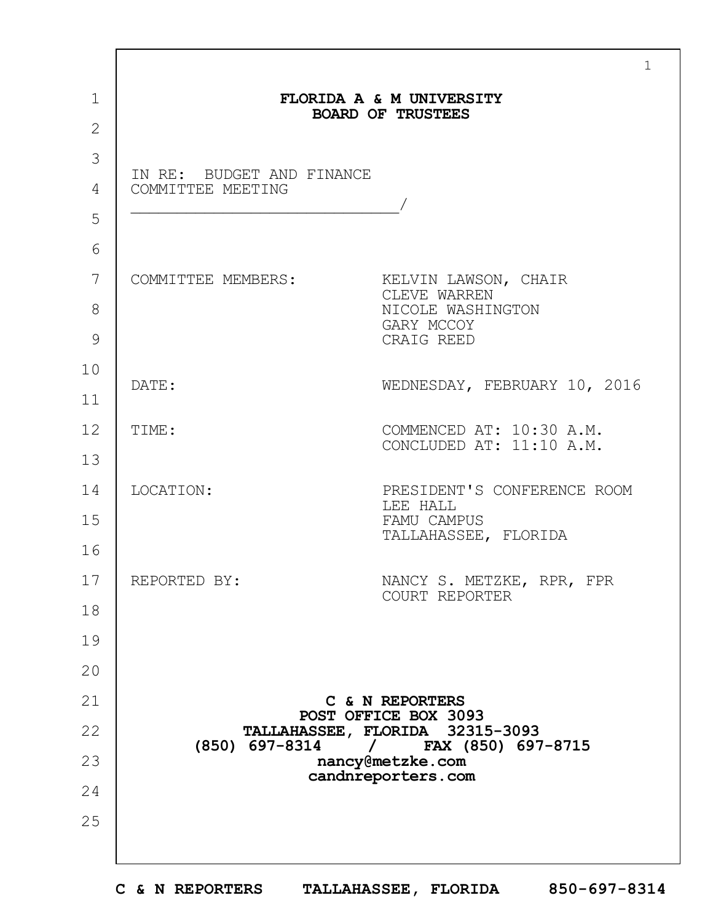|                                                | FLORIDA A & M UNIVERSITY                                                              |
|------------------------------------------------|---------------------------------------------------------------------------------------|
|                                                | <b>BOARD OF TRUSTEES</b>                                                              |
| IN RE: BUDGET AND FINANCE<br>COMMITTEE MEETING |                                                                                       |
| COMMITTEE MEMBERS:                             | KELVIN LAWSON, CHAIR<br>CLEVE WARREN<br>NICOLE WASHINGTON<br>GARY MCCOY<br>CRAIG REED |
| DATE:                                          | WEDNESDAY, FEBRUARY 10, 2016                                                          |
| TIME:                                          | COMMENCED AT: 10:30 A.M.<br>CONCLUDED AT: 11:10 A.M.                                  |
| LOCATION:                                      | PRESIDENT'S CONFERENCE ROOM<br>LEE HALL<br>FAMU CAMPUS<br>TALLAHASSEE, FLORIDA        |
| REPORTED BY:                                   | NANCY S. METZKE, RPR, FPR<br>COURT REPORTER                                           |
|                                                |                                                                                       |
|                                                |                                                                                       |
|                                                | C & N REPORTERS<br>POST OFFICE BOX 3093                                               |
| $(850)$ 697-8314                               | TALLAHASSEE, FLORIDA 32315-3093<br>$/$ FAX (850) 697-8715                             |
|                                                | nancy@metzke.com<br>candnreporters.com                                                |
|                                                |                                                                                       |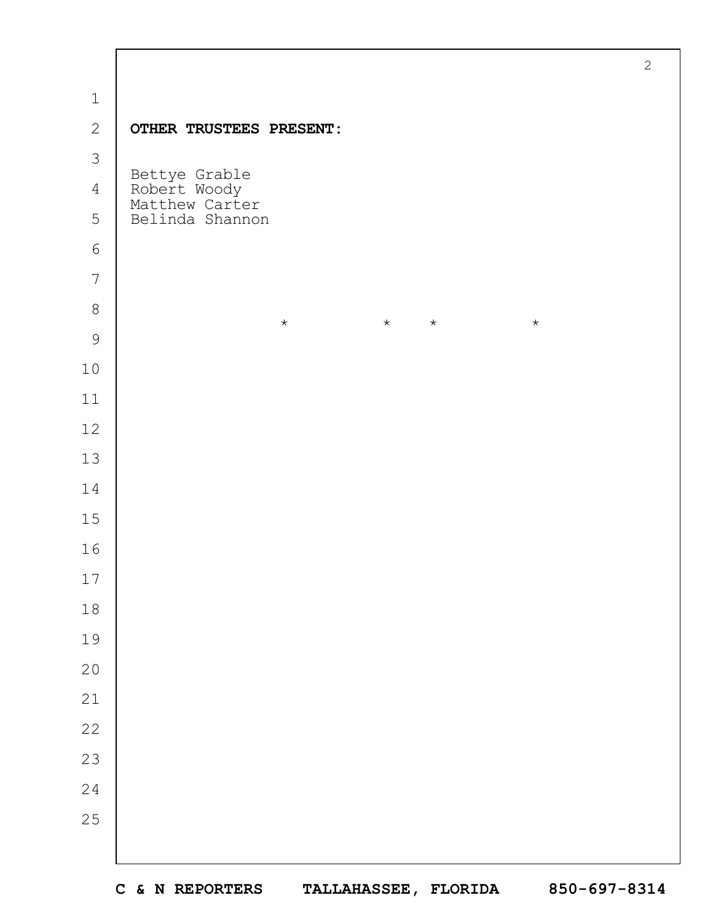|                |                                                 | $\mathbf{2}$ |
|----------------|-------------------------------------------------|--------------|
| $\mathbf 1$    |                                                 |              |
| $\mathbf{2}$   | OTHER TRUSTEES PRESENT:                         |              |
| $\mathcal{S}$  |                                                 |              |
| $\overline{4}$ | Bettye Grable<br>Robert Woody<br>Matthew Carter |              |
| 5              | Belinda Shannon                                 |              |
| 6              |                                                 |              |
| $\overline{7}$ |                                                 |              |
| $\,8\,$        | $\star$<br>$\star$<br>$\star$<br>$\star$        |              |
| $\mathcal{G}$  |                                                 |              |
| $10$           |                                                 |              |
| 11             |                                                 |              |
| 12             |                                                 |              |
| 13             |                                                 |              |
| 14             |                                                 |              |
| 15             |                                                 |              |
| 16             |                                                 |              |
| 17             |                                                 |              |
| $1\,8$         |                                                 |              |
| 19             |                                                 |              |
| $20$           |                                                 |              |
| 21             |                                                 |              |
| $2\sqrt{2}$    |                                                 |              |
| 23             |                                                 |              |
| 24             |                                                 |              |
| 25             |                                                 |              |
|                |                                                 |              |

 $\Gamma$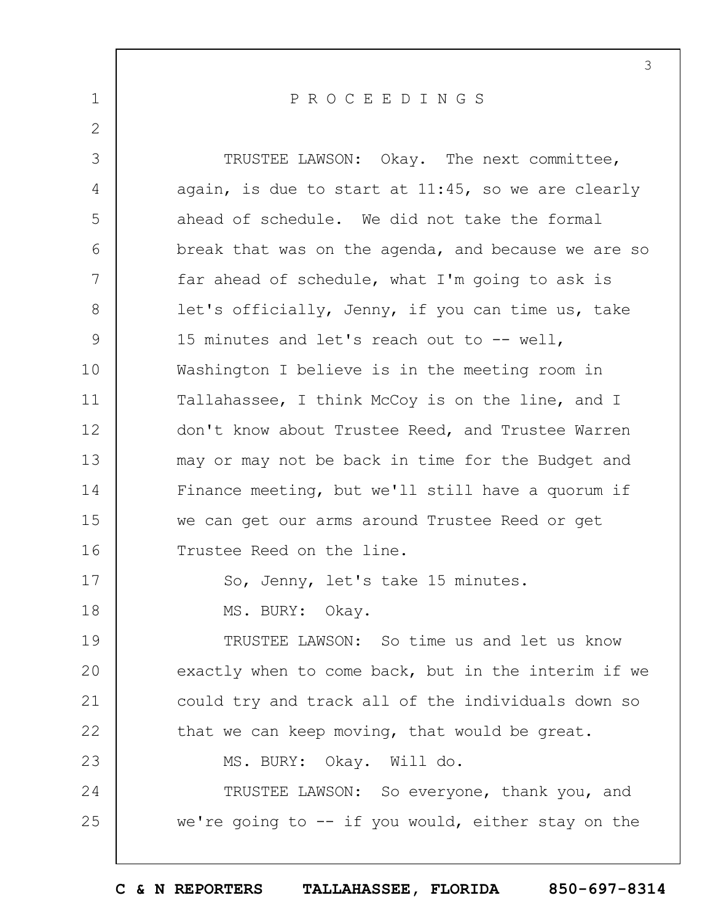1 2 3 4 5 6 7 8 9 10 11 12 13 14 15 16 17 18 19  $20$ 21 22 23 24 25 3 P R O C E E D I N G S TRUSTEE LAWSON: Okay. The next committee, again, is due to start at 11:45, so we are clearly ahead of schedule. We did not take the formal break that was on the agenda, and because we are so far ahead of schedule, what I'm going to ask is let's officially, Jenny, if you can time us, take 15 minutes and let's reach out to -- well, Washington I believe is in the meeting room in Tallahassee, I think McCoy is on the line, and I don't know about Trustee Reed, and Trustee Warren may or may not be back in time for the Budget and Finance meeting, but we'll still have a quorum if we can get our arms around Trustee Reed or get Trustee Reed on the line. So, Jenny, let's take 15 minutes. MS. BURY: Okay. TRUSTEE LAWSON: So time us and let us know exactly when to come back, but in the interim if we could try and track all of the individuals down so that we can keep moving, that would be great. MS. BURY: Okay. Will do. TRUSTEE LAWSON: So everyone, thank you, and we're going to  $-$  if you would, either stay on the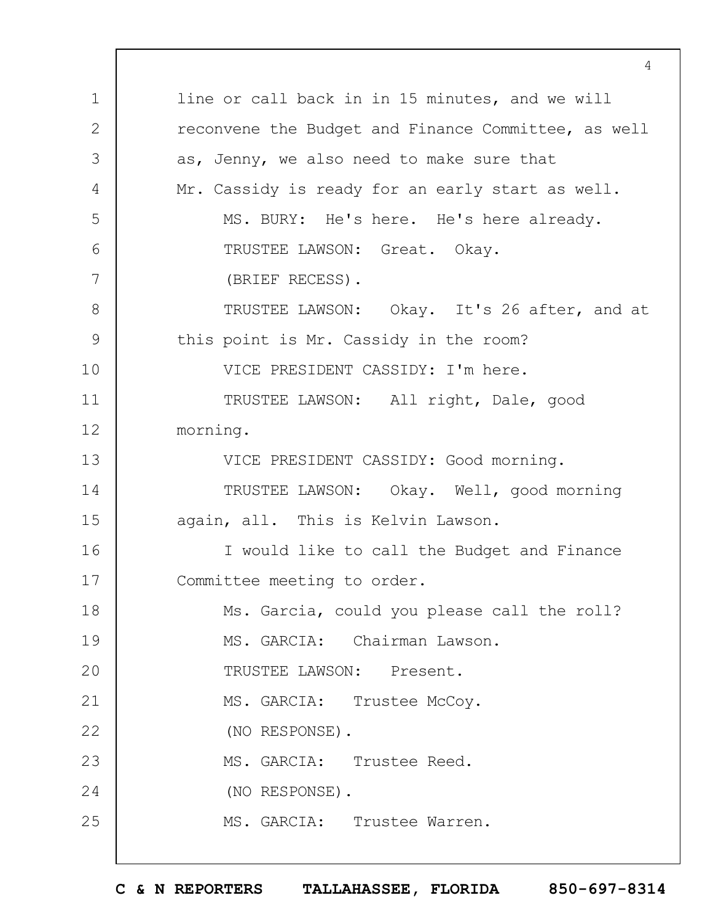1 2 3 4 5 6 7 8 9 10 11 12 13 14 15 16 17 18 19  $20$ 21 22 23 24 25 4 line or call back in in 15 minutes, and we will reconvene the Budget and Finance Committee, as well as, Jenny, we also need to make sure that Mr. Cassidy is ready for an early start as well. MS. BURY: He's here. He's here already. TRUSTEE LAWSON: Great. Okay. (BRIEF RECESS). TRUSTEE LAWSON: Okay. It's 26 after, and at this point is Mr. Cassidy in the room? VICE PRESIDENT CASSIDY: I'm here. TRUSTEE LAWSON: All right, Dale, good morning. VICE PRESIDENT CASSIDY: Good morning. TRUSTEE LAWSON: Okay. Well, good morning again, all. This is Kelvin Lawson. I would like to call the Budget and Finance Committee meeting to order. Ms. Garcia, could you please call the roll? MS. GARCIA: Chairman Lawson. TRUSTEE LAWSON: Present. MS. GARCIA: Trustee McCoy. (NO RESPONSE). MS. GARCIA: Trustee Reed. (NO RESPONSE). MS. GARCIA: Trustee Warren.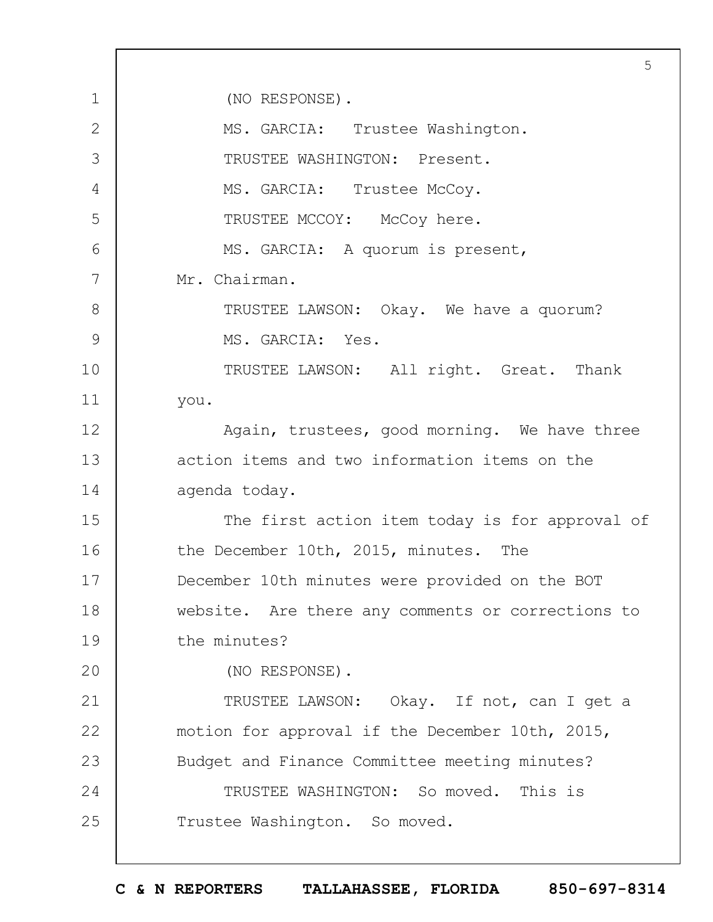1 2 3 4 5 6 7 8 9 10 11 12 13 14 15 16 17 18 19  $20$ 21 22 23 24 25 5 (NO RESPONSE). MS. GARCIA: Trustee Washington. TRUSTEE WASHINGTON: Present. MS. GARCIA: Trustee McCoy. TRUSTEE MCCOY: McCoy here. MS. GARCIA: A quorum is present, Mr. Chairman. TRUSTEE LAWSON: Okay. We have a quorum? MS. GARCIA: Yes. TRUSTEE LAWSON: All right. Great. Thank you. Again, trustees, good morning. We have three action items and two information items on the agenda today. The first action item today is for approval of the December 10th, 2015, minutes. The December 10th minutes were provided on the BOT website. Are there any comments or corrections to the minutes? (NO RESPONSE). TRUSTEE LAWSON: Okay. If not, can I get a motion for approval if the December 10th, 2015, Budget and Finance Committee meeting minutes? TRUSTEE WASHINGTON: So moved. This is Trustee Washington. So moved.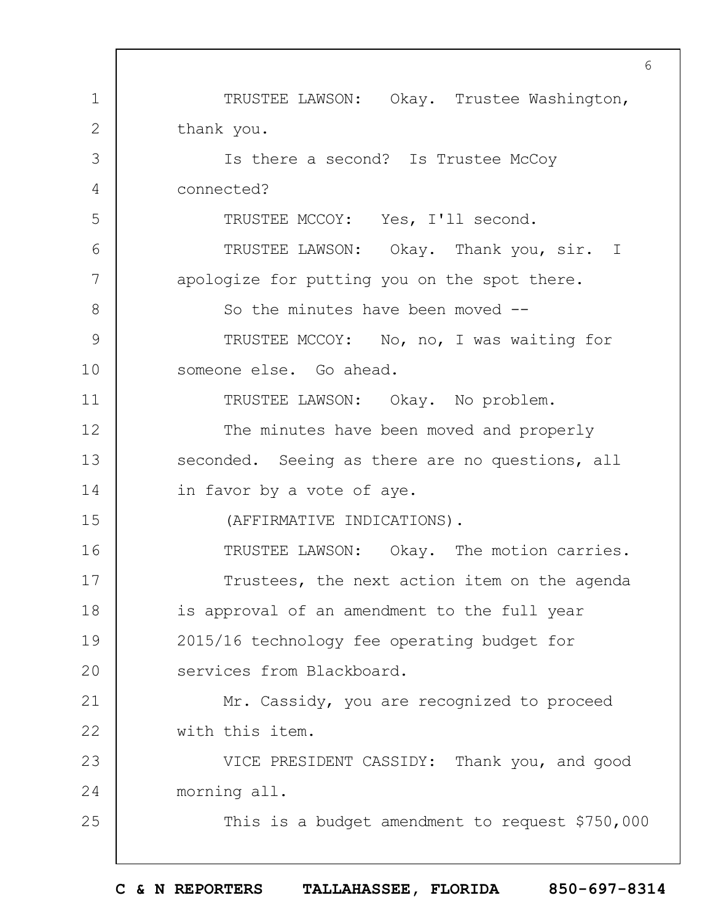1 2 3 4 5 6 7 8 9 10 11 12 13 14 15 16 17 18 19  $20$ 21 22 23 24 25 6 TRUSTEE LAWSON: Okay. Trustee Washington, thank you. Is there a second? Is Trustee McCoy connected? TRUSTEE MCCOY: Yes, I'll second. TRUSTEE LAWSON: Okay. Thank you, sir. I apologize for putting you on the spot there. So the minutes have been moved -- TRUSTEE MCCOY: No, no, I was waiting for someone else. Go ahead. TRUSTEE LAWSON: Okay. No problem. The minutes have been moved and properly seconded. Seeing as there are no questions, all in favor by a vote of aye. (AFFIRMATIVE INDICATIONS). TRUSTEE LAWSON: Okay. The motion carries. Trustees, the next action item on the agenda is approval of an amendment to the full year 2015/16 technology fee operating budget for services from Blackboard. Mr. Cassidy, you are recognized to proceed with this item. VICE PRESIDENT CASSIDY: Thank you, and good morning all. This is a budget amendment to request \$750,000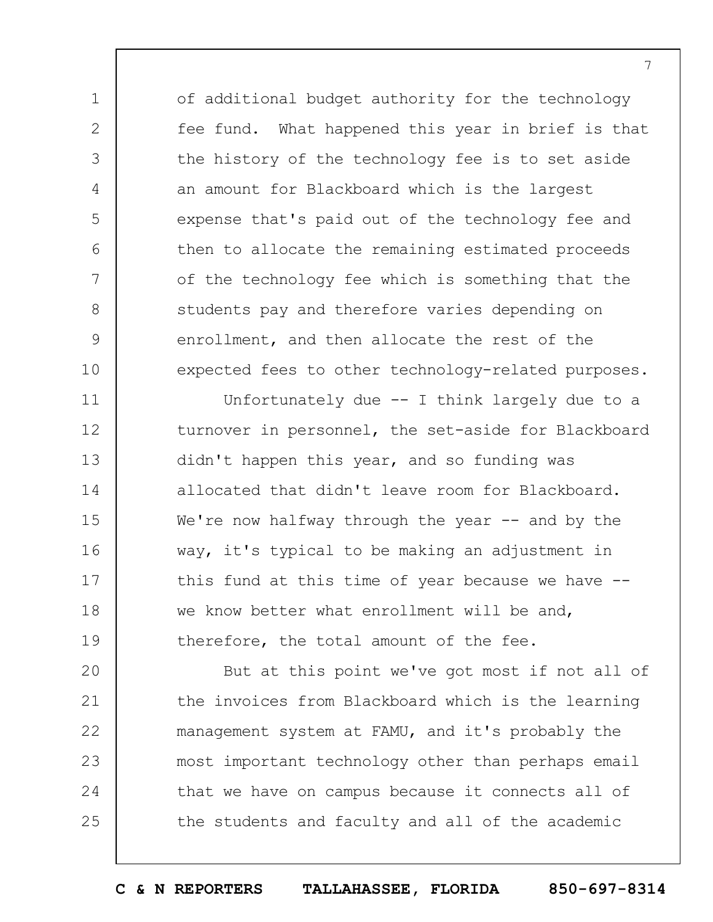of additional budget authority for the technology fee fund. What happened this year in brief is that the history of the technology fee is to set aside an amount for Blackboard which is the largest expense that's paid out of the technology fee and then to allocate the remaining estimated proceeds of the technology fee which is something that the students pay and therefore varies depending on enrollment, and then allocate the rest of the expected fees to other technology-related purposes.

1

2

3

4

5

6

7

8

9

10

11 12 13 14 15 16 17 18 19 Unfortunately due -- I think largely due to a turnover in personnel, the set-aside for Blackboard didn't happen this year, and so funding was allocated that didn't leave room for Blackboard. We're now halfway through the year  $-$  and by the way, it's typical to be making an adjustment in this fund at this time of year because we have - we know better what enrollment will be and, therefore, the total amount of the fee.

 $20$ 21 22 23 24 25 But at this point we've got most if not all of the invoices from Blackboard which is the learning management system at FAMU, and it's probably the most important technology other than perhaps email that we have on campus because it connects all of the students and faculty and all of the academic

**C & N REPORTERS TALLAHASSEE, FLORIDA 850-697-8314**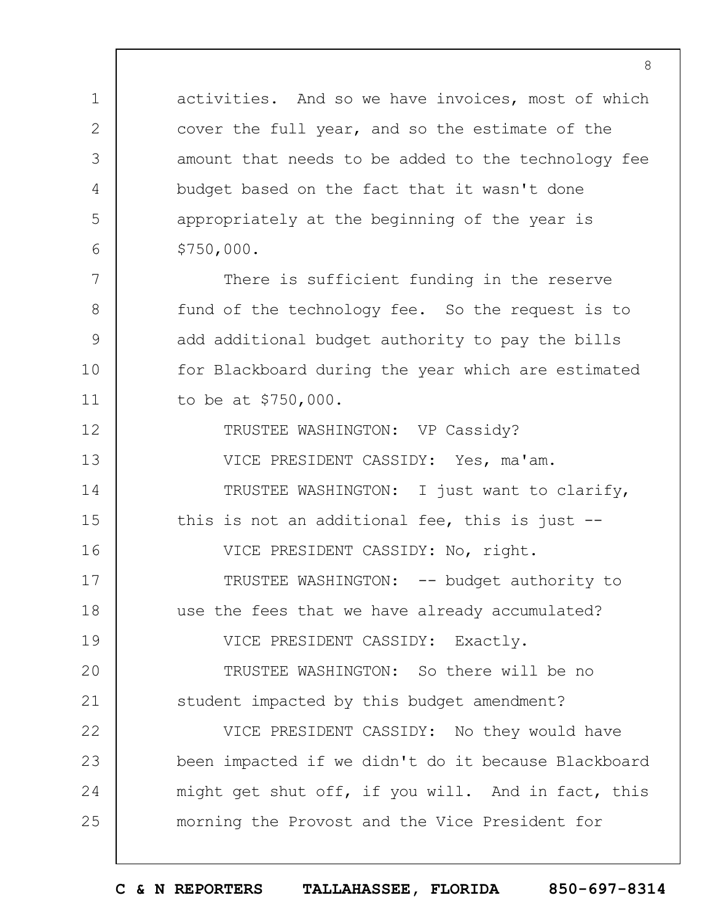activities. And so we have invoices, most of which cover the full year, and so the estimate of the amount that needs to be added to the technology fee budget based on the fact that it wasn't done appropriately at the beginning of the year is \$750,000.

1

2

3

4

5

6

7

8

9

10

11

There is sufficient funding in the reserve fund of the technology fee. So the request is to add additional budget authority to pay the bills for Blackboard during the year which are estimated to be at \$750,000.

12 13 14 15 16 17 18 19  $20$ 21 22 23 24 25 TRUSTEE WASHINGTON: VP Cassidy? VICE PRESIDENT CASSIDY: Yes, ma'am. TRUSTEE WASHINGTON: I just want to clarify, this is not an additional fee, this is just -- VICE PRESIDENT CASSIDY: No, right. TRUSTEE WASHINGTON: -- budget authority to use the fees that we have already accumulated? VICE PRESIDENT CASSIDY: Exactly. TRUSTEE WASHINGTON: So there will be no student impacted by this budget amendment? VICE PRESIDENT CASSIDY: No they would have been impacted if we didn't do it because Blackboard might get shut off, if you will. And in fact, this morning the Provost and the Vice President for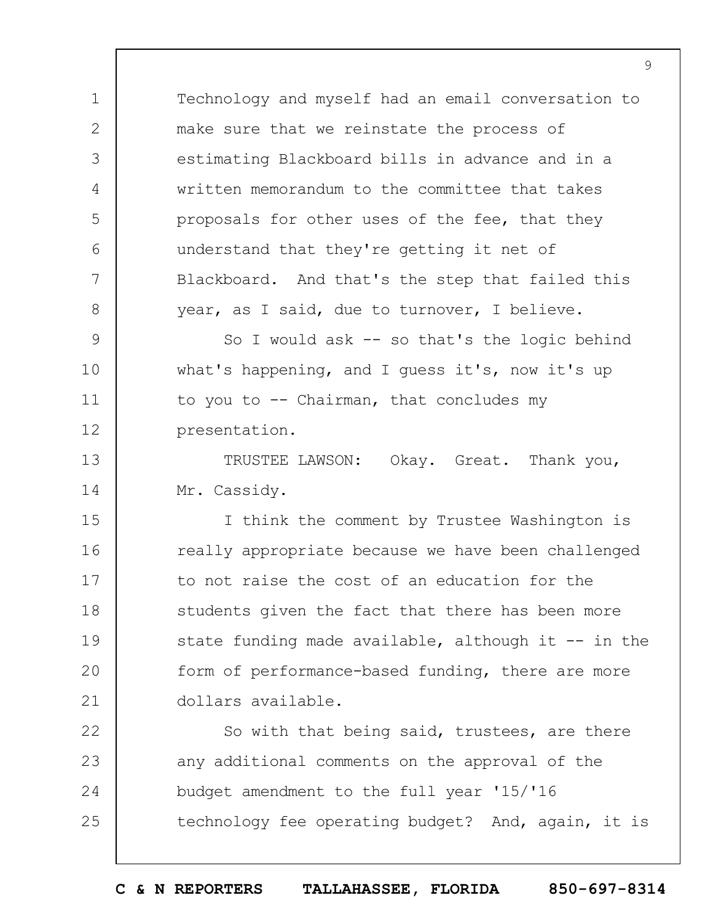Technology and myself had an email conversation to make sure that we reinstate the process of estimating Blackboard bills in advance and in a written memorandum to the committee that takes proposals for other uses of the fee, that they understand that they're getting it net of Blackboard. And that's the step that failed this year, as I said, due to turnover, I believe.

1

2

3

4

5

6

7

8

9 10 11 12 So I would ask  $-$  so that's the logic behind what's happening, and I guess it's, now it's up to you to  $-$ - Chairman, that concludes my presentation.

13 14 TRUSTEE LAWSON: Okay. Great. Thank you, Mr. Cassidy.

15 16 17 18 19  $20$ 21 I think the comment by Trustee Washington is really appropriate because we have been challenged to not raise the cost of an education for the students given the fact that there has been more state funding made available, although it  $-$ - in the form of performance-based funding, there are more dollars available.

22 23 24 25 So with that being said, trustees, are there any additional comments on the approval of the budget amendment to the full year '15/'16 technology fee operating budget? And, again, it is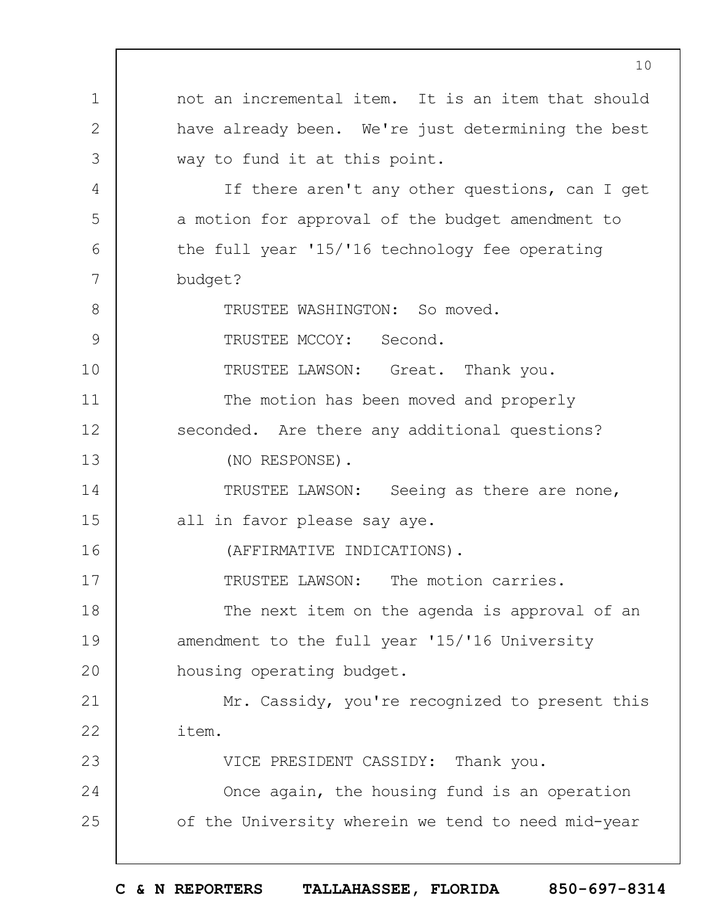1 2 3 4 5 6 7 8 9 10 11 12 13 14 15 16 17 18 19  $20$ 21 22 23 24 25 not an incremental item. It is an item that should have already been. We're just determining the best way to fund it at this point. If there aren't any other questions, can I get a motion for approval of the budget amendment to the full year '15/'16 technology fee operating budget? TRUSTEE WASHINGTON: So moved. TRUSTEE MCCOY: Second. TRUSTEE LAWSON: Great. Thank you. The motion has been moved and properly seconded. Are there any additional questions? (NO RESPONSE). TRUSTEE LAWSON: Seeing as there are none, all in favor please say aye. (AFFIRMATIVE INDICATIONS). TRUSTEE LAWSON: The motion carries. The next item on the agenda is approval of an amendment to the full year '15/'16 University housing operating budget. Mr. Cassidy, you're recognized to present this item. VICE PRESIDENT CASSIDY: Thank you. Once again, the housing fund is an operation of the University wherein we tend to need mid-year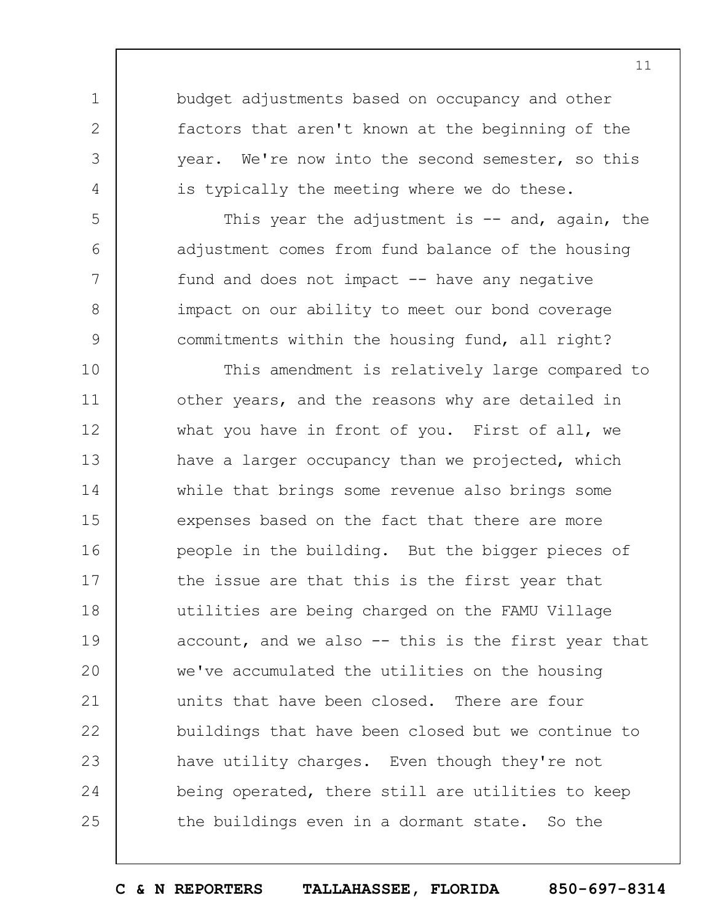budget adjustments based on occupancy and other factors that aren't known at the beginning of the year. We're now into the second semester, so this is typically the meeting where we do these.

1

2

3

4

5

6

7

8

9

This year the adjustment is  $-$  and, again, the adjustment comes from fund balance of the housing fund and does not impact  $-$  have any negative impact on our ability to meet our bond coverage commitments within the housing fund, all right?

10 11 12 13 14 15 16 17 18 19  $20$ 21 22 23 24 25 This amendment is relatively large compared to other years, and the reasons why are detailed in what you have in front of you. First of all, we have a larger occupancy than we projected, which while that brings some revenue also brings some expenses based on the fact that there are more people in the building. But the bigger pieces of the issue are that this is the first year that utilities are being charged on the FAMU Village account, and we also -- this is the first year that we've accumulated the utilities on the housing units that have been closed. There are four buildings that have been closed but we continue to have utility charges. Even though they're not being operated, there still are utilities to keep the buildings even in a dormant state. So the

**C & N REPORTERS TALLAHASSEE, FLORIDA 850-697-8314**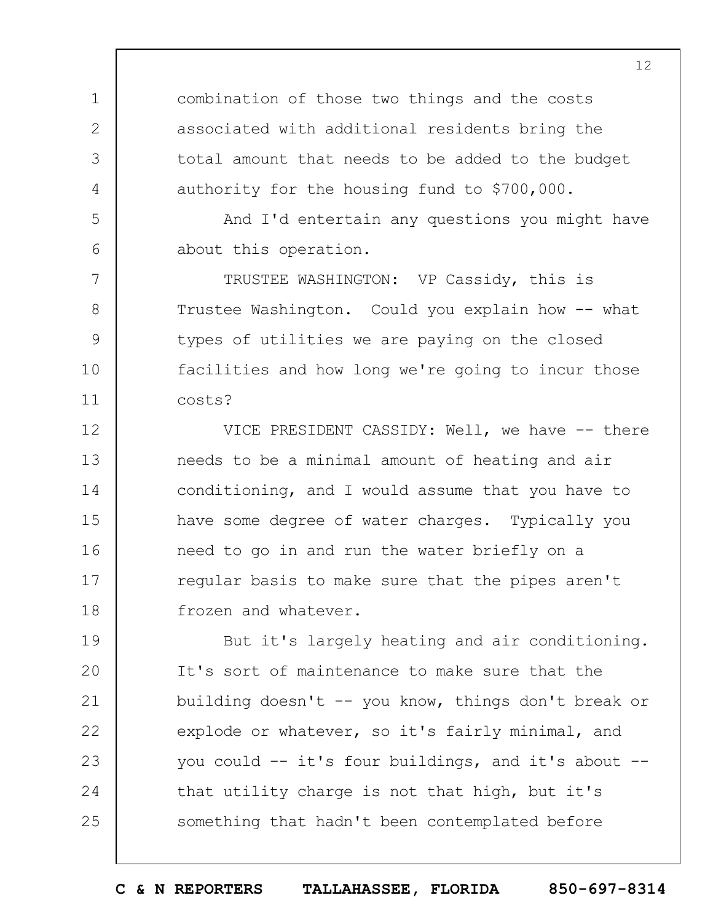combination of those two things and the costs associated with additional residents bring the total amount that needs to be added to the budget authority for the housing fund to \$700,000.

1

2

3

4

5

6

7

8

9

10

11

And I'd entertain any questions you might have about this operation.

TRUSTEE WASHINGTON: VP Cassidy, this is Trustee Washington. Could you explain how -- what types of utilities we are paying on the closed facilities and how long we're going to incur those costs?

12 13 14 15 16 17 18 VICE PRESIDENT CASSIDY: Well, we have -- there needs to be a minimal amount of heating and air conditioning, and I would assume that you have to have some degree of water charges. Typically you need to go in and run the water briefly on a regular basis to make sure that the pipes aren't frozen and whatever.

19  $20$ 21 22 23 24 25 But it's largely heating and air conditioning. It's sort of maintenance to make sure that the building doesn't -- you know, things don't break or explode or whatever, so it's fairly minimal, and you could -- it's four buildings, and it's about - that utility charge is not that high, but it's something that hadn't been contemplated before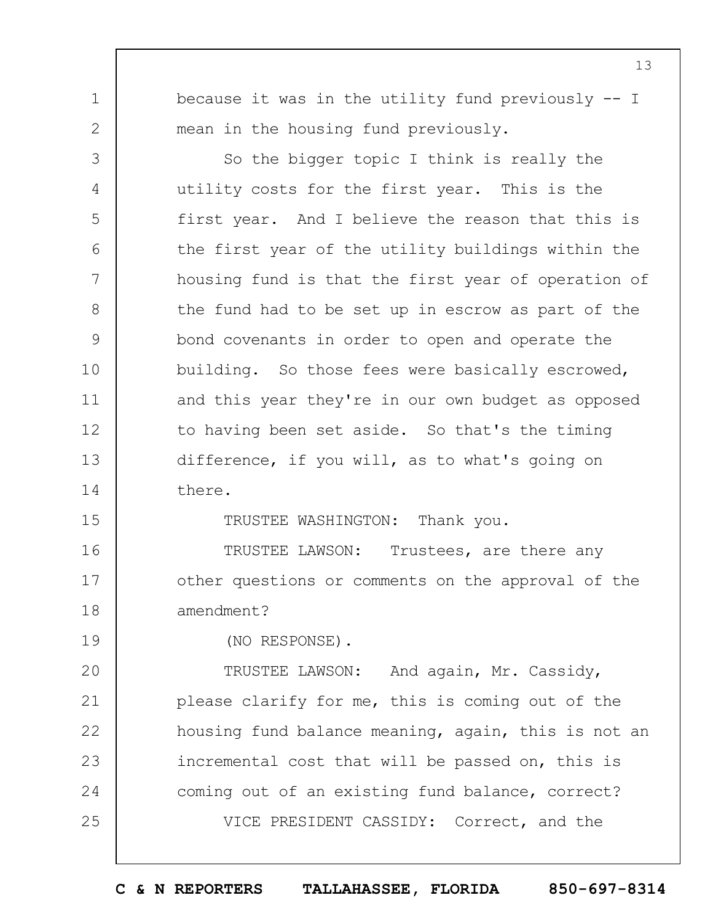1 2

3

4

5

6

7

8

9

10

11

12

13

14

because it was in the utility fund previously -- I mean in the housing fund previously.

So the bigger topic I think is really the utility costs for the first year. This is the first year. And I believe the reason that this is the first year of the utility buildings within the housing fund is that the first year of operation of the fund had to be set up in escrow as part of the bond covenants in order to open and operate the building. So those fees were basically escrowed, and this year they're in our own budget as opposed to having been set aside. So that's the timing difference, if you will, as to what's going on there.

15

TRUSTEE WASHINGTON: Thank you.

16 17 18 TRUSTEE LAWSON: Trustees, are there any other questions or comments on the approval of the amendment?

19

(NO RESPONSE).

 $20$ 21 22 23 24 25 TRUSTEE LAWSON: And again, Mr. Cassidy, please clarify for me, this is coming out of the housing fund balance meaning, again, this is not an incremental cost that will be passed on, this is coming out of an existing fund balance, correct? VICE PRESIDENT CASSIDY: Correct, and the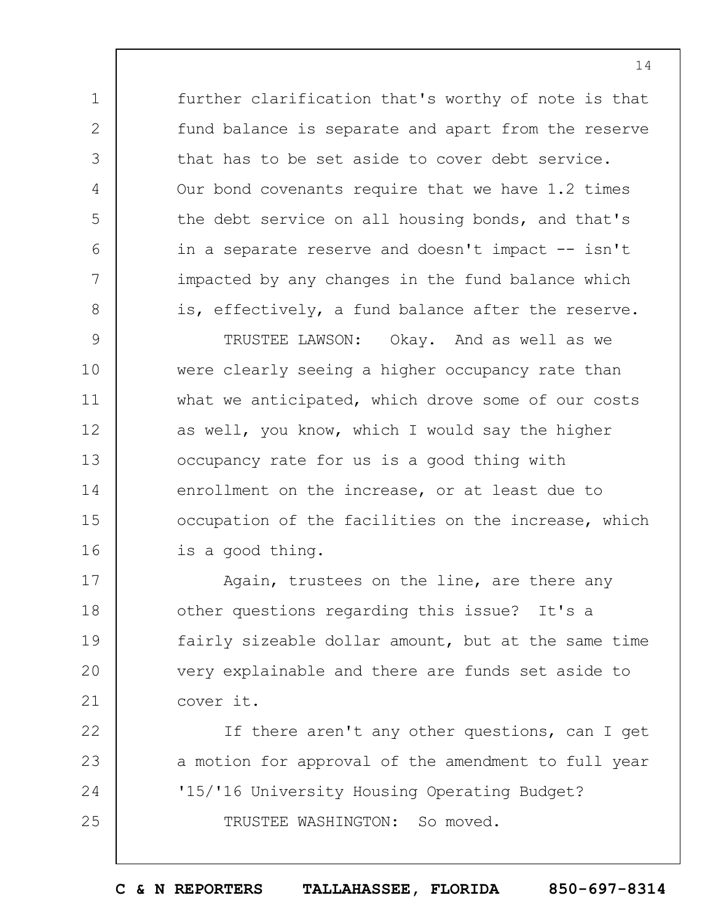further clarification that's worthy of note is that fund balance is separate and apart from the reserve that has to be set aside to cover debt service. Our bond covenants require that we have 1.2 times the debt service on all housing bonds, and that's in a separate reserve and doesn't impact -- isn't impacted by any changes in the fund balance which is, effectively, a fund balance after the reserve.

1

2

3

4

5

6

7

8

9 10 11 12 13 14 15 16 TRUSTEE LAWSON: Okay. And as well as we were clearly seeing a higher occupancy rate than what we anticipated, which drove some of our costs as well, you know, which I would say the higher occupancy rate for us is a good thing with enrollment on the increase, or at least due to occupation of the facilities on the increase, which is a good thing.

17 18 19  $20$ 21 Again, trustees on the line, are there any other questions regarding this issue? It's a fairly sizeable dollar amount, but at the same time very explainable and there are funds set aside to cover it.

22 23 24 25 If there aren't any other questions, can I get a motion for approval of the amendment to full year '15/'16 University Housing Operating Budget? TRUSTEE WASHINGTON: So moved.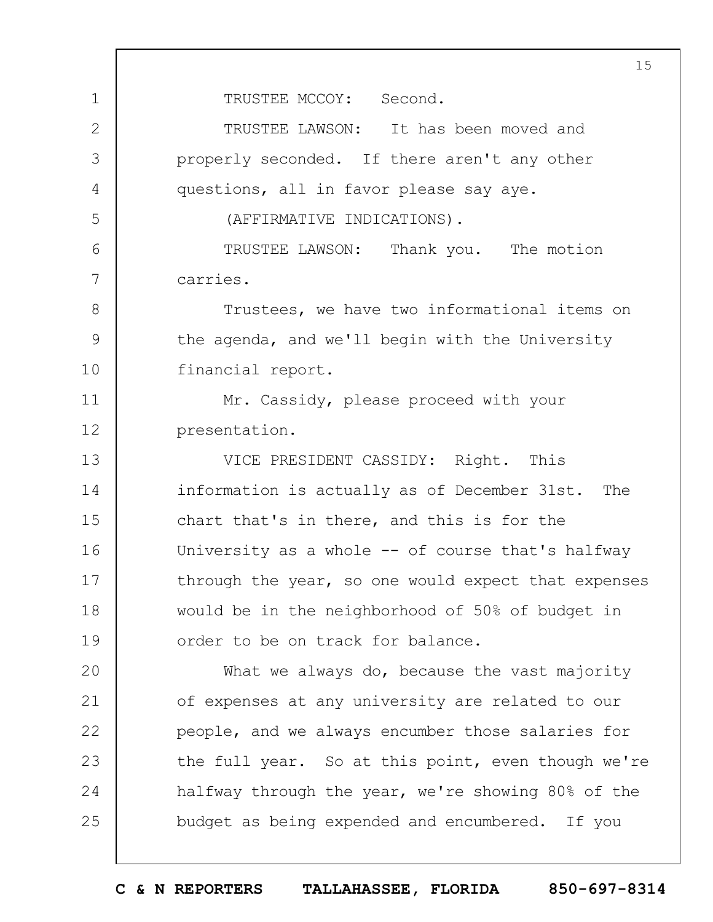1 2 3 4 5 6 7 8 9 10 11 12 13 14 15 16 17 18 19  $20$ 21 22 23 24 25 15 TRUSTEE MCCOY: Second. TRUSTEE LAWSON: It has been moved and properly seconded. If there aren't any other questions, all in favor please say aye. (AFFIRMATIVE INDICATIONS). TRUSTEE LAWSON: Thank you. The motion carries. Trustees, we have two informational items on the agenda, and we'll begin with the University financial report. Mr. Cassidy, please proceed with your presentation. VICE PRESIDENT CASSIDY: Right. This information is actually as of December 31st. The chart that's in there, and this is for the University as a whole -- of course that's halfway through the year, so one would expect that expenses would be in the neighborhood of 50% of budget in order to be on track for balance. What we always do, because the vast majority of expenses at any university are related to our people, and we always encumber those salaries for the full year. So at this point, even though we're halfway through the year, we're showing 80% of the budget as being expended and encumbered. If you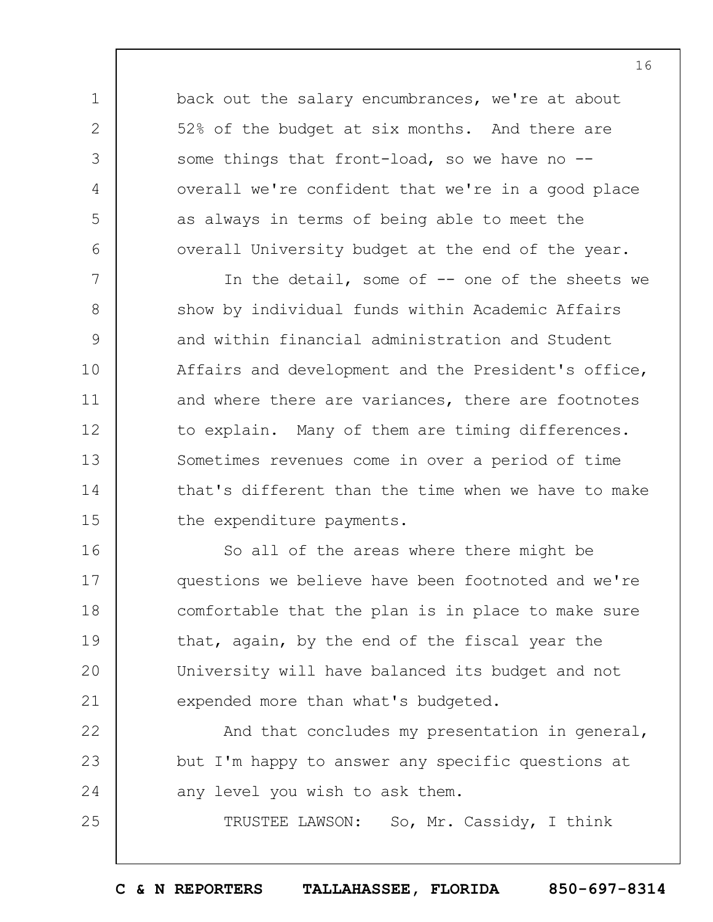back out the salary encumbrances, we're at about 52% of the budget at six months. And there are some things that front-load, so we have no -overall we're confident that we're in a good place as always in terms of being able to meet the overall University budget at the end of the year.

1

2

3

4

5

6

25

7 8 9 10 11 12 13 14 15 In the detail, some of -- one of the sheets we show by individual funds within Academic Affairs and within financial administration and Student Affairs and development and the President's office, and where there are variances, there are footnotes to explain. Many of them are timing differences. Sometimes revenues come in over a period of time that's different than the time when we have to make the expenditure payments.

16 17 18 19  $20$ 21 So all of the areas where there might be questions we believe have been footnoted and we're comfortable that the plan is in place to make sure that, again, by the end of the fiscal year the University will have balanced its budget and not expended more than what's budgeted.

22 23 24 And that concludes my presentation in general, but I'm happy to answer any specific questions at any level you wish to ask them.

TRUSTEE LAWSON: So, Mr. Cassidy, I think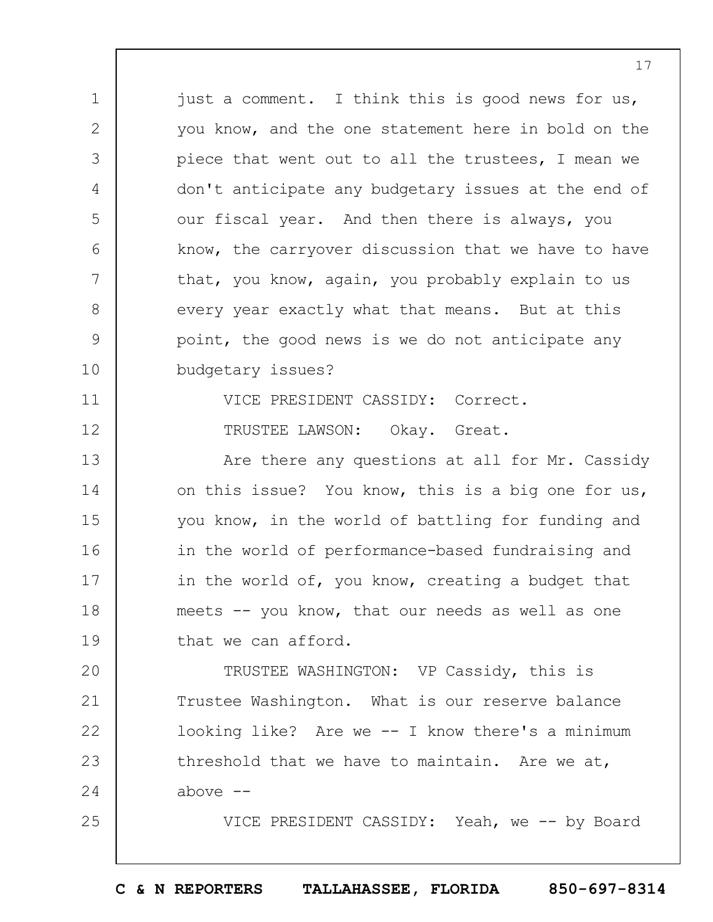1 2 3 4 5 6 7 8 9 10 11 12 13 14 15 16 17 18 19  $20$ 21 22 23 24 25 just a comment. I think this is good news for us, you know, and the one statement here in bold on the piece that went out to all the trustees, I mean we don't anticipate any budgetary issues at the end of our fiscal year. And then there is always, you know, the carryover discussion that we have to have that, you know, again, you probably explain to us every year exactly what that means. But at this point, the good news is we do not anticipate any budgetary issues? VICE PRESIDENT CASSIDY: Correct. TRUSTEE LAWSON: Okay. Great. Are there any questions at all for Mr. Cassidy on this issue? You know, this is a big one for us, you know, in the world of battling for funding and in the world of performance-based fundraising and in the world of, you know, creating a budget that meets -- you know, that our needs as well as one that we can afford. TRUSTEE WASHINGTON: VP Cassidy, this is Trustee Washington. What is our reserve balance looking like? Are we -- I know there's a minimum threshold that we have to maintain. Are we at, above  $--$ VICE PRESIDENT CASSIDY: Yeah, we -- by Board

17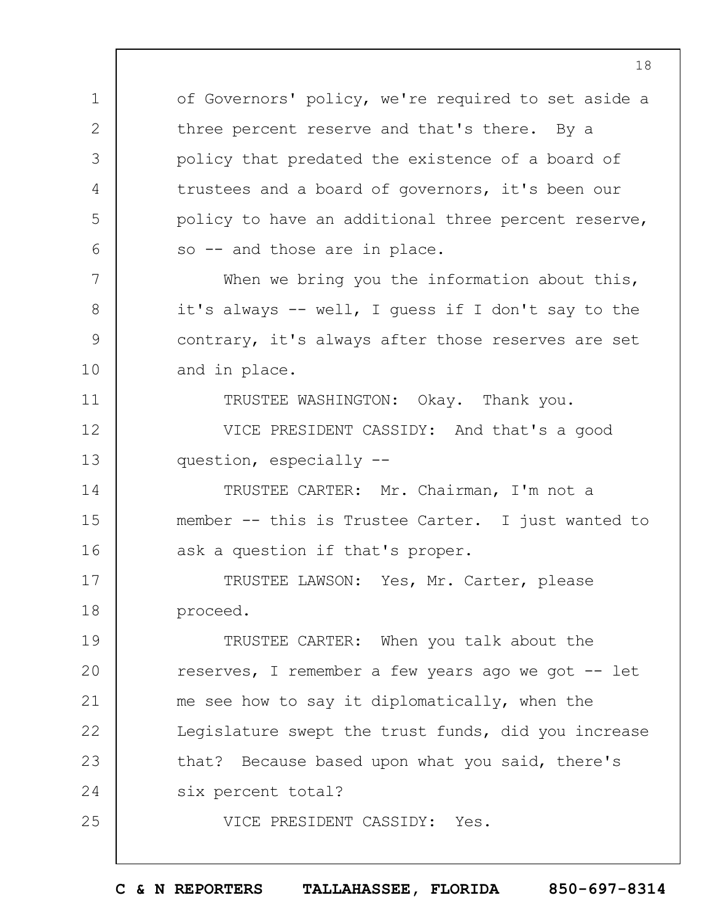of Governors' policy, we're required to set aside a three percent reserve and that's there. By a policy that predated the existence of a board of trustees and a board of governors, it's been our policy to have an additional three percent reserve, so -- and those are in place. When we bring you the information about this,

1

2

3

4

5

6

7

8

9

10

11

25

it's always -- well, I guess if I don't say to the contrary, it's always after those reserves are set and in place.

TRUSTEE WASHINGTON: Okay. Thank you.

12 13 VICE PRESIDENT CASSIDY: And that's a good question, especially --

14 15 16 TRUSTEE CARTER: Mr. Chairman, I'm not a member -- this is Trustee Carter. I just wanted to ask a question if that's proper.

17 18 TRUSTEE LAWSON: Yes, Mr. Carter, please proceed.

19  $20$ 21 22 23 24 TRUSTEE CARTER: When you talk about the reserves, I remember a few years ago we got -- let me see how to say it diplomatically, when the Legislature swept the trust funds, did you increase that? Because based upon what you said, there's six percent total?

VICE PRESIDENT CASSIDY: Yes.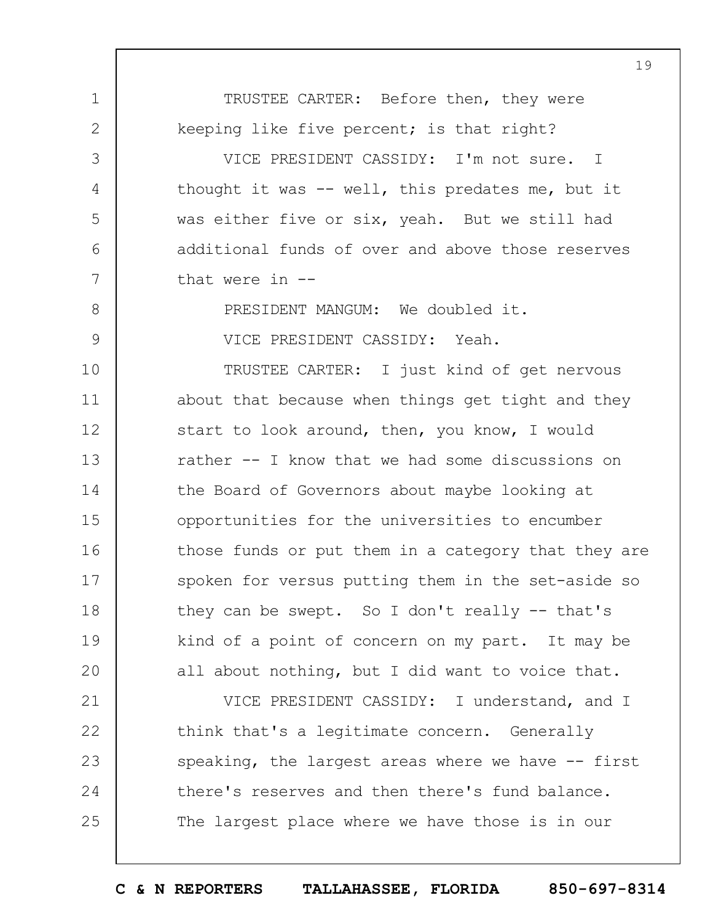1 2 3 4 5 6 7 8 9 10 11 12 13 14 15 16 17 18 19  $20$ 21 TRUSTEE CARTER: Before then, they were keeping like five percent; is that right? VICE PRESIDENT CASSIDY: I'm not sure. I thought it was -- well, this predates me, but it was either five or six, yeah. But we still had additional funds of over and above those reserves that were in -- PRESIDENT MANGUM: We doubled it. VICE PRESIDENT CASSIDY: Yeah. TRUSTEE CARTER: I just kind of get nervous about that because when things get tight and they start to look around, then, you know, I would rather -- I know that we had some discussions on the Board of Governors about maybe looking at opportunities for the universities to encumber those funds or put them in a category that they are spoken for versus putting them in the set-aside so they can be swept. So I don't really -- that's kind of a point of concern on my part. It may be all about nothing, but I did want to voice that. VICE PRESIDENT CASSIDY: I understand, and I

22 23 24 25 think that's a legitimate concern. Generally speaking, the largest areas where we have  $-$ - first there's reserves and then there's fund balance. The largest place where we have those is in our

19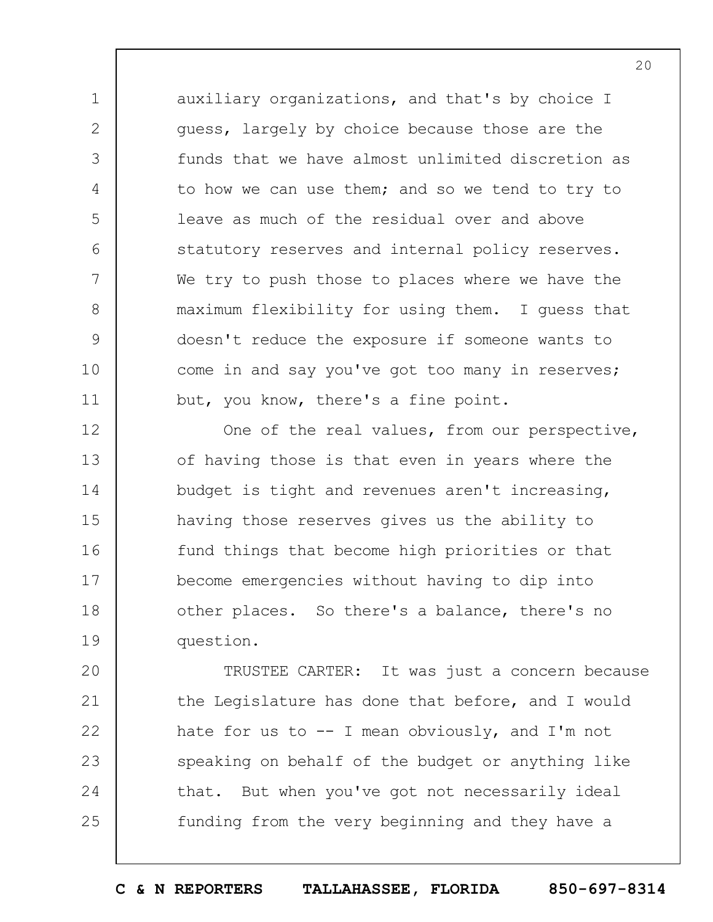auxiliary organizations, and that's by choice I guess, largely by choice because those are the funds that we have almost unlimited discretion as to how we can use them; and so we tend to try to leave as much of the residual over and above statutory reserves and internal policy reserves. We try to push those to places where we have the maximum flexibility for using them. I guess that doesn't reduce the exposure if someone wants to come in and say you've got too many in reserves; but, you know, there's a fine point.

1

2

3

4

5

6

7

8

9

10

11

12 13 14 15 16 17 18 19 One of the real values, from our perspective, of having those is that even in years where the budget is tight and revenues aren't increasing, having those reserves gives us the ability to fund things that become high priorities or that become emergencies without having to dip into other places. So there's a balance, there's no question.

 $20$ 21 22 23 24 25 TRUSTEE CARTER: It was just a concern because the Legislature has done that before, and I would hate for us to  $-$  I mean obviously, and I'm not speaking on behalf of the budget or anything like that. But when you've got not necessarily ideal funding from the very beginning and they have a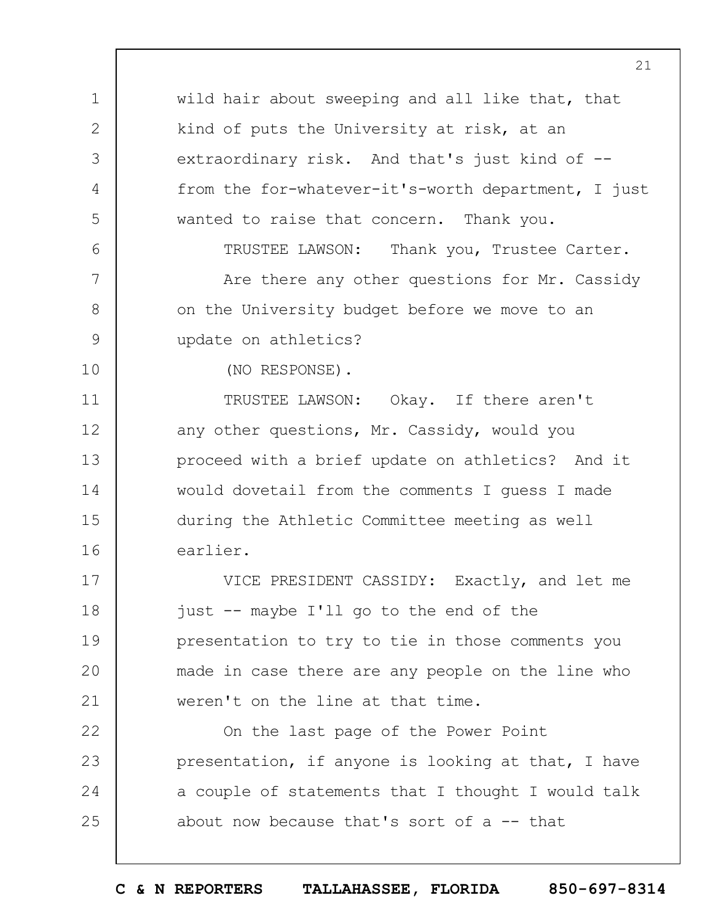wild hair about sweeping and all like that, that kind of puts the University at risk, at an extraordinary risk. And that's just kind of -from the for-whatever-it's-worth department, I just wanted to raise that concern. Thank you. TRUSTEE LAWSON: Thank you, Trustee Carter. Are there any other questions for Mr. Cassidy on the University budget before we move to an

update on athletics?

10

11

12

13

14

15

16

1

2

3

4

5

6

7

8

9

(NO RESPONSE).

TRUSTEE LAWSON: Okay. If there aren't any other questions, Mr. Cassidy, would you proceed with a brief update on athletics? And it would dovetail from the comments I guess I made during the Athletic Committee meeting as well earlier.

17 18 19  $20$ 21 VICE PRESIDENT CASSIDY: Exactly, and let me just -- maybe I'll go to the end of the presentation to try to tie in those comments you made in case there are any people on the line who weren't on the line at that time.

22 23 24 25 On the last page of the Power Point presentation, if anyone is looking at that, I have a couple of statements that I thought I would talk about now because that's sort of  $a$  -- that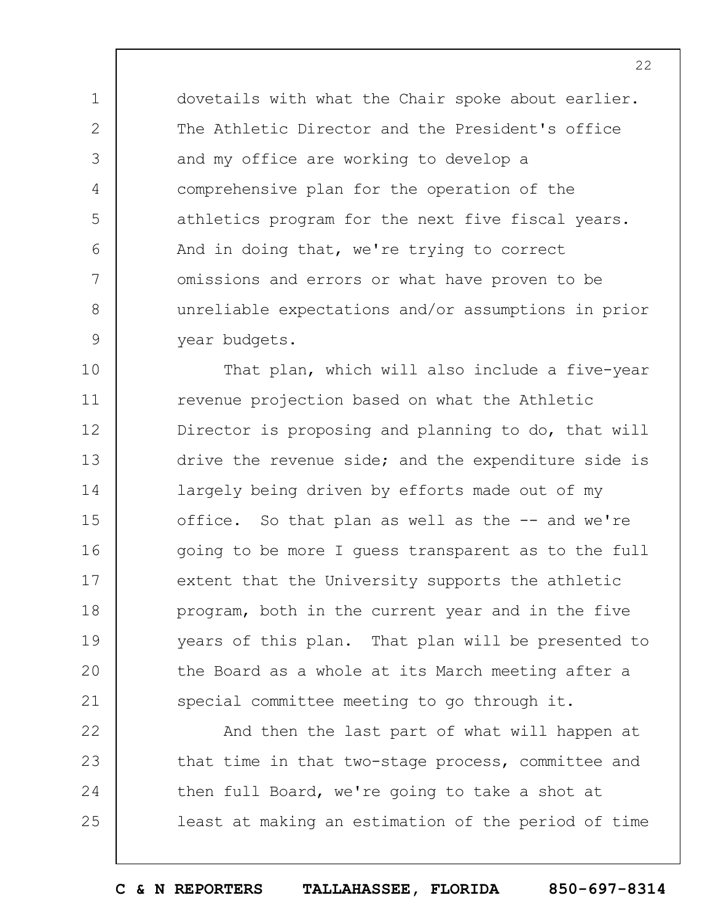dovetails with what the Chair spoke about earlier. The Athletic Director and the President's office and my office are working to develop a comprehensive plan for the operation of the athletics program for the next five fiscal years. And in doing that, we're trying to correct omissions and errors or what have proven to be unreliable expectations and/or assumptions in prior year budgets.

1

2

3

4

5

6

7

8

9

10 11 12 13 14 15 16 17 18 19  $20$ 21 That plan, which will also include a five-year revenue projection based on what the Athletic Director is proposing and planning to do, that will drive the revenue side; and the expenditure side is largely being driven by efforts made out of my office. So that plan as well as the -- and we're going to be more I guess transparent as to the full extent that the University supports the athletic program, both in the current year and in the five years of this plan. That plan will be presented to the Board as a whole at its March meeting after a special committee meeting to go through it.

22 23 24 25 And then the last part of what will happen at that time in that two-stage process, committee and then full Board, we're going to take a shot at least at making an estimation of the period of time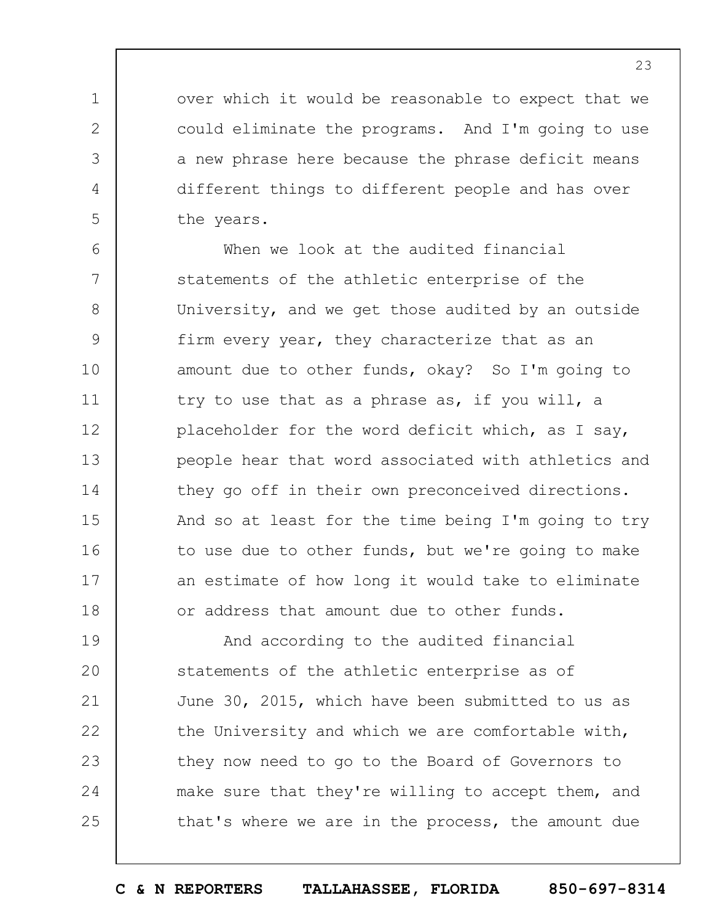over which it would be reasonable to expect that we could eliminate the programs. And I'm going to use a new phrase here because the phrase deficit means different things to different people and has over the years.

1

2

3

4

5

6 7 8 9 10 11 12 13 14 15 16 17 18 When we look at the audited financial statements of the athletic enterprise of the University, and we get those audited by an outside firm every year, they characterize that as an amount due to other funds, okay? So I'm going to try to use that as a phrase as, if you will, a placeholder for the word deficit which, as I say, people hear that word associated with athletics and they go off in their own preconceived directions. And so at least for the time being I'm going to try to use due to other funds, but we're going to make an estimate of how long it would take to eliminate or address that amount due to other funds.

19  $20$ 21 22 23 24 25 And according to the audited financial statements of the athletic enterprise as of June 30, 2015, which have been submitted to us as the University and which we are comfortable with, they now need to go to the Board of Governors to make sure that they're willing to accept them, and that's where we are in the process, the amount due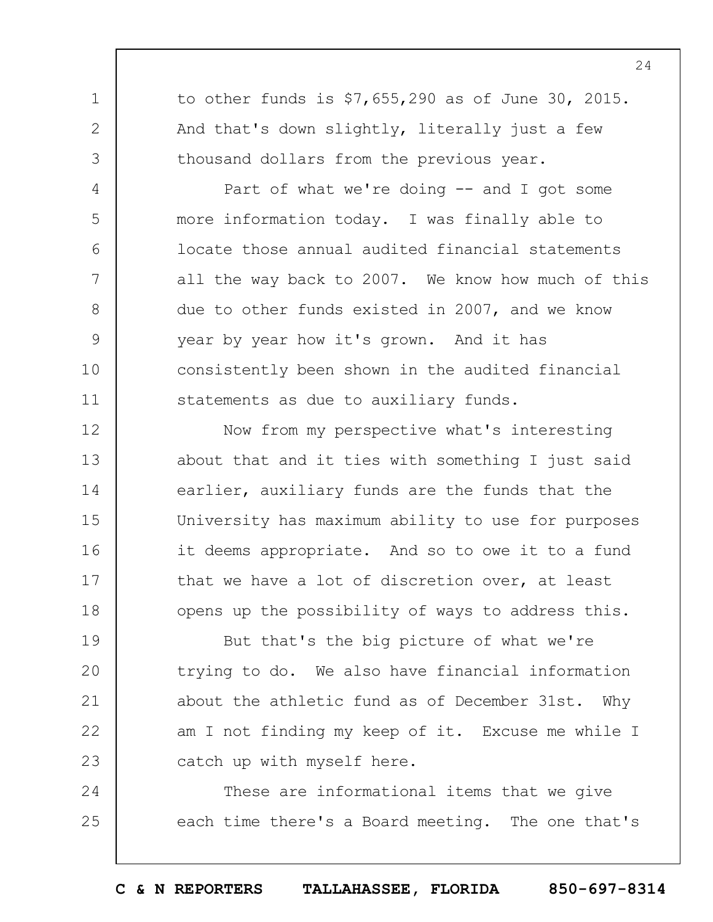to other funds is \$7,655,290 as of June 30, 2015. And that's down slightly, literally just a few thousand dollars from the previous year.

1

2

3

4

5

6

7

8

9

10

11

Part of what we're doing  $--$  and I got some more information today. I was finally able to locate those annual audited financial statements all the way back to 2007. We know how much of this due to other funds existed in 2007, and we know year by year how it's grown. And it has consistently been shown in the audited financial statements as due to auxiliary funds.

12 13 14 15 16 17 18 Now from my perspective what's interesting about that and it ties with something I just said earlier, auxiliary funds are the funds that the University has maximum ability to use for purposes it deems appropriate. And so to owe it to a fund that we have a lot of discretion over, at least opens up the possibility of ways to address this.

19  $20$ 21 22 23 But that's the big picture of what we're trying to do. We also have financial information about the athletic fund as of December 31st. Why am I not finding my keep of it. Excuse me while I catch up with myself here.

24 25 These are informational items that we give each time there's a Board meeting. The one that's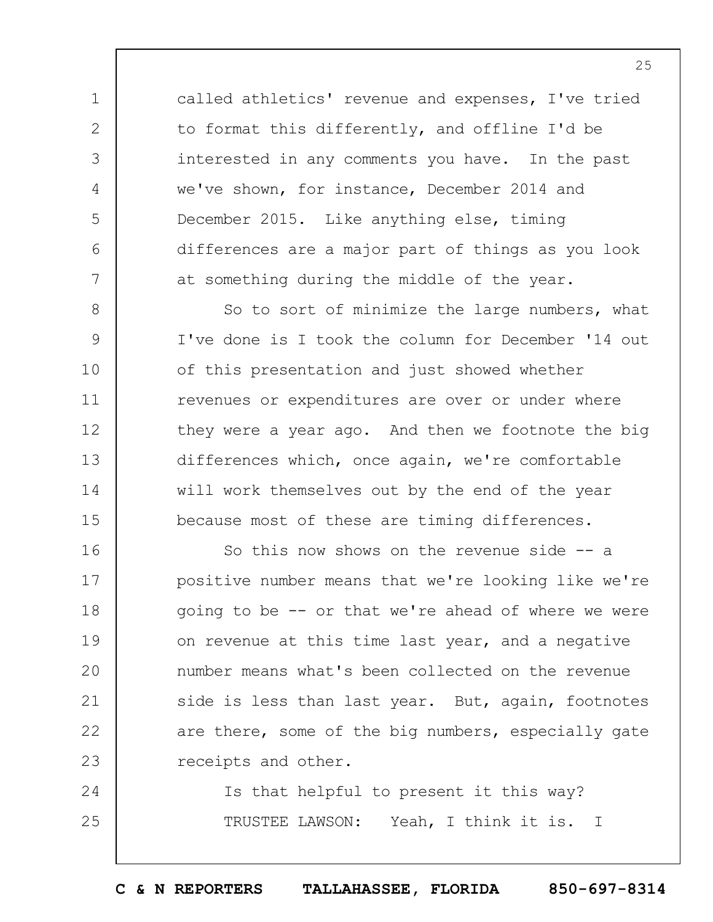called athletics' revenue and expenses, I've tried to format this differently, and offline I'd be interested in any comments you have. In the past we've shown, for instance, December 2014 and December 2015. Like anything else, timing differences are a major part of things as you look at something during the middle of the year.

1

2

3

4

5

6

7

8 9 10 11 12 13 14 15 So to sort of minimize the large numbers, what I've done is I took the column for December '14 out of this presentation and just showed whether revenues or expenditures are over or under where they were a year ago. And then we footnote the big differences which, once again, we're comfortable will work themselves out by the end of the year because most of these are timing differences.

16 17 18 19  $20$ 21 22 23 So this now shows on the revenue side -- a positive number means that we're looking like we're going to be -- or that we're ahead of where we were on revenue at this time last year, and a negative number means what's been collected on the revenue side is less than last year. But, again, footnotes are there, some of the big numbers, especially gate receipts and other.

24 25 Is that helpful to present it this way? TRUSTEE LAWSON: Yeah, I think it is. I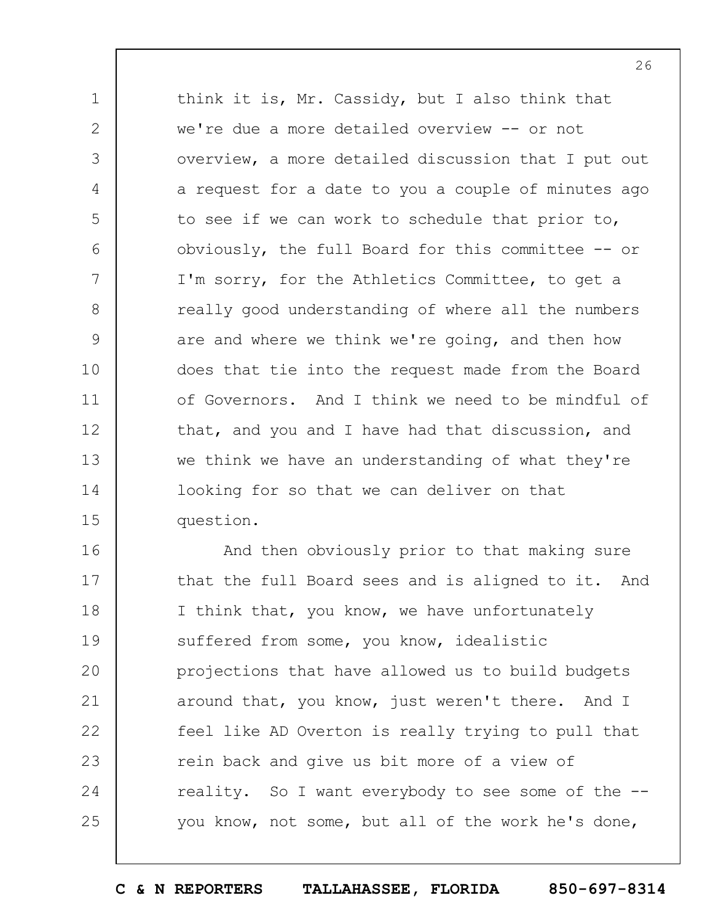1 2 3 4 5 6 7 8 9 10 11 12 13 14 15 think it is, Mr. Cassidy, but I also think that we're due a more detailed overview -- or not overview, a more detailed discussion that I put out a request for a date to you a couple of minutes ago to see if we can work to schedule that prior to, obviously, the full Board for this committee -- or I'm sorry, for the Athletics Committee, to get a really good understanding of where all the numbers are and where we think we're going, and then how does that tie into the request made from the Board of Governors. And I think we need to be mindful of that, and you and I have had that discussion, and we think we have an understanding of what they're looking for so that we can deliver on that question.

16 17 18 19  $20$ 21 22 23 24 25 And then obviously prior to that making sure that the full Board sees and is aligned to it. And I think that, you know, we have unfortunately suffered from some, you know, idealistic projections that have allowed us to build budgets around that, you know, just weren't there. And I feel like AD Overton is really trying to pull that rein back and give us bit more of a view of reality. So I want everybody to see some of the - you know, not some, but all of the work he's done,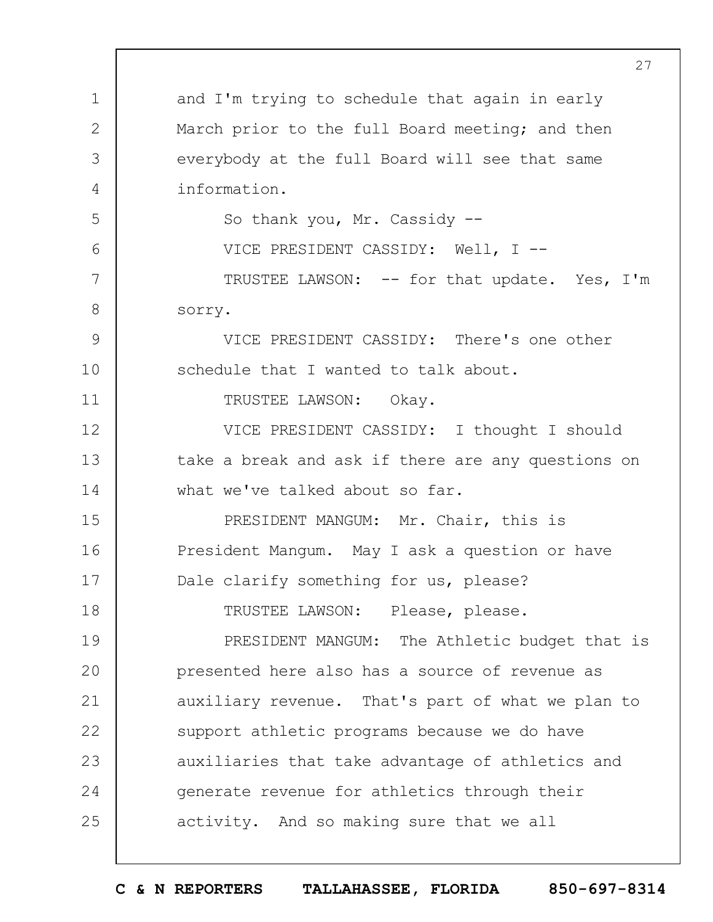1 2 3 4 5 6 7 8 9 10 11 12 13 14 15 16 17 18 19  $20$ 21 22 23 24 25 and I'm trying to schedule that again in early March prior to the full Board meeting; and then everybody at the full Board will see that same information. So thank you, Mr. Cassidy -- VICE PRESIDENT CASSIDY: Well, I -- TRUSTEE LAWSON: -- for that update. Yes, I'm sorry. VICE PRESIDENT CASSIDY: There's one other schedule that I wanted to talk about. TRUSTEE LAWSON: Okay. VICE PRESIDENT CASSIDY: I thought I should take a break and ask if there are any questions on what we've talked about so far. PRESIDENT MANGUM: Mr. Chair, this is President Mangum. May I ask a question or have Dale clarify something for us, please? TRUSTEE LAWSON: Please, please. PRESIDENT MANGUM: The Athletic budget that is presented here also has a source of revenue as auxiliary revenue. That's part of what we plan to support athletic programs because we do have auxiliaries that take advantage of athletics and generate revenue for athletics through their activity. And so making sure that we all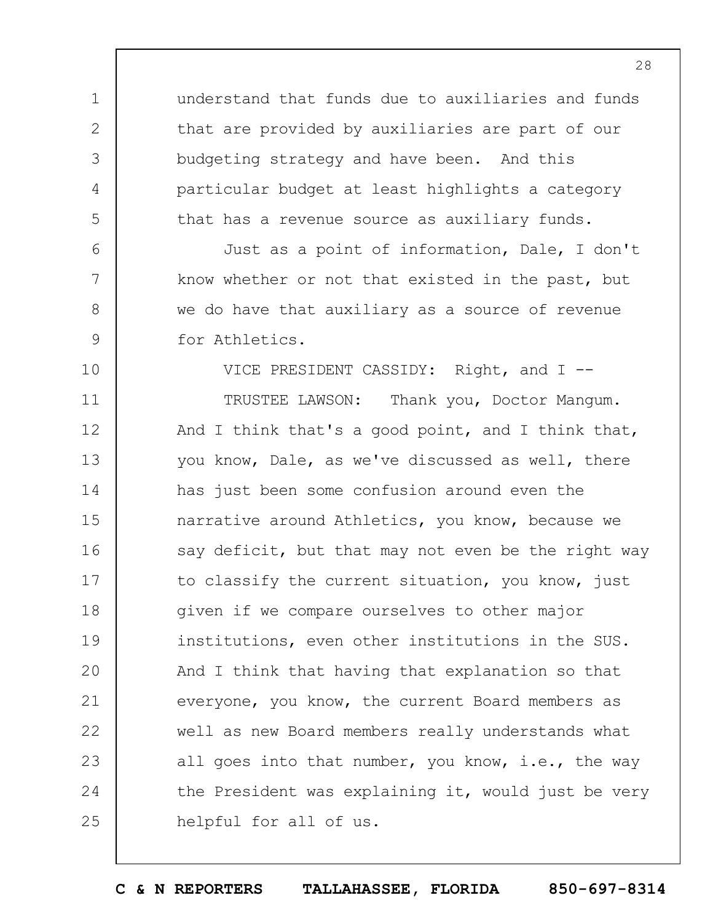understand that funds due to auxiliaries and funds that are provided by auxiliaries are part of our budgeting strategy and have been. And this particular budget at least highlights a category that has a revenue source as auxiliary funds.

1

2

3

4

5

6

7

8

9

10

Just as a point of information, Dale, I don't know whether or not that existed in the past, but we do have that auxiliary as a source of revenue for Athletics.

VICE PRESIDENT CASSIDY: Right, and I --

11 12 13 14 15 16 17 18 19  $20$ 21 22 23 24 25 TRUSTEE LAWSON: Thank you, Doctor Mangum. And I think that's a good point, and I think that, you know, Dale, as we've discussed as well, there has just been some confusion around even the narrative around Athletics, you know, because we say deficit, but that may not even be the right way to classify the current situation, you know, just given if we compare ourselves to other major institutions, even other institutions in the SUS. And I think that having that explanation so that everyone, you know, the current Board members as well as new Board members really understands what all goes into that number, you know, i.e., the way the President was explaining it, would just be very helpful for all of us.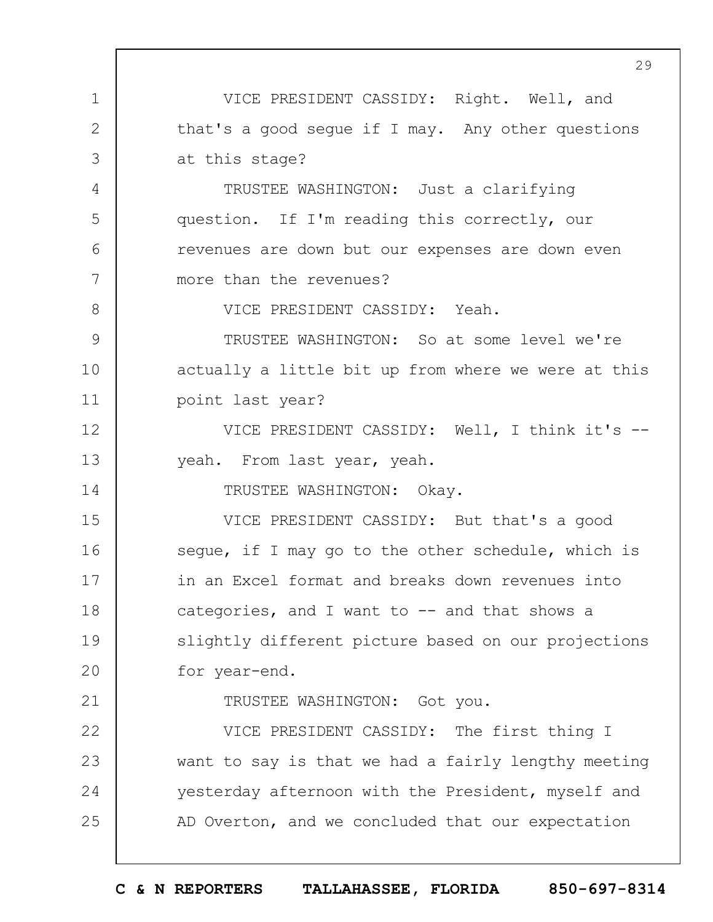1 2 3 4 5 6 7 8 9 10 11 12 13 14 15 16 17 18 19  $20$ 21 22 23 24 25 29 VICE PRESIDENT CASSIDY: Right. Well, and that's a good segue if I may. Any other questions at this stage? TRUSTEE WASHINGTON: Just a clarifying question. If I'm reading this correctly, our revenues are down but our expenses are down even more than the revenues? VICE PRESIDENT CASSIDY: Yeah. TRUSTEE WASHINGTON: So at some level we're actually a little bit up from where we were at this point last year? VICE PRESIDENT CASSIDY: Well, I think it's - yeah. From last year, yeah. TRUSTEE WASHINGTON: Okay. VICE PRESIDENT CASSIDY: But that's a good seque, if I may go to the other schedule, which is in an Excel format and breaks down revenues into categories, and I want to  $-$  and that shows a slightly different picture based on our projections for year-end. TRUSTEE WASHINGTON: Got you. VICE PRESIDENT CASSIDY: The first thing I want to say is that we had a fairly lengthy meeting yesterday afternoon with the President, myself and AD Overton, and we concluded that our expectation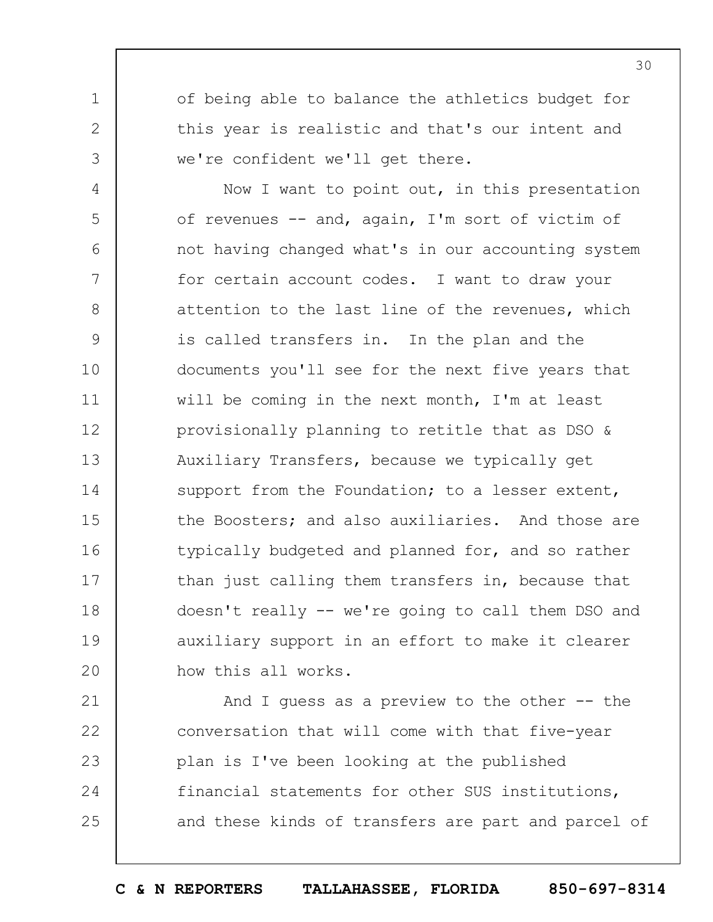of being able to balance the athletics budget for this year is realistic and that's our intent and we're confident we'll get there.

1

2

3

4 5 6 7 8 9 10 11 12 13 14 15 16 17 18 19  $20$ Now I want to point out, in this presentation of revenues -- and, again, I'm sort of victim of not having changed what's in our accounting system for certain account codes. I want to draw your attention to the last line of the revenues, which is called transfers in. In the plan and the documents you'll see for the next five years that will be coming in the next month, I'm at least provisionally planning to retitle that as DSO & Auxiliary Transfers, because we typically get support from the Foundation; to a lesser extent, the Boosters; and also auxiliaries. And those are typically budgeted and planned for, and so rather than just calling them transfers in, because that doesn't really -- we're going to call them DSO and auxiliary support in an effort to make it clearer how this all works.

21 22 23 24 25 And I quess as a preview to the other  $-$ - the conversation that will come with that five-year plan is I've been looking at the published financial statements for other SUS institutions, and these kinds of transfers are part and parcel of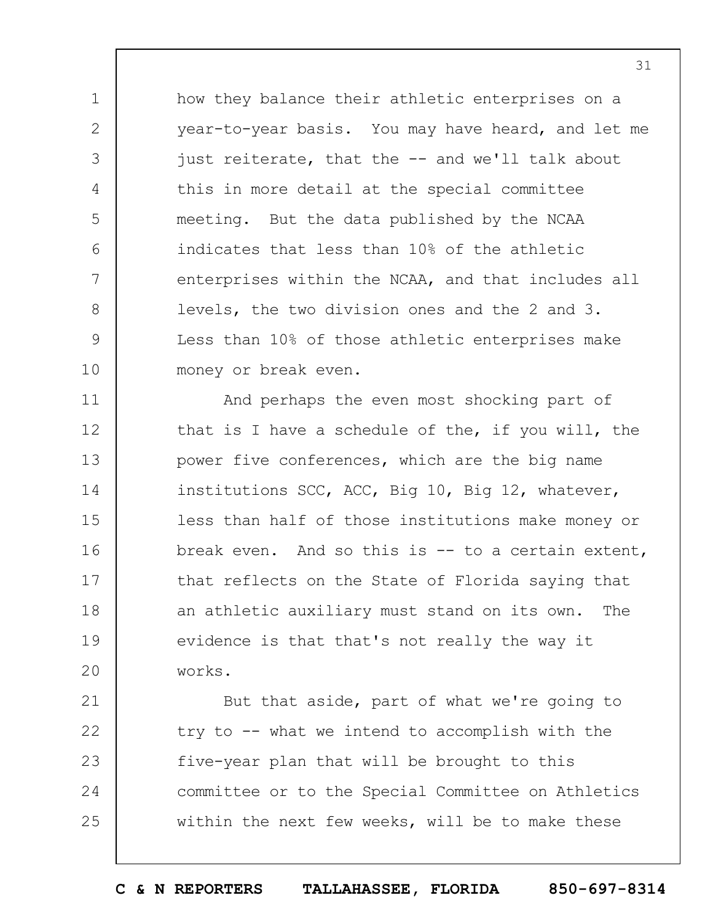how they balance their athletic enterprises on a year-to-year basis. You may have heard, and let me just reiterate, that the -- and we'll talk about this in more detail at the special committee meeting. But the data published by the NCAA indicates that less than 10% of the athletic enterprises within the NCAA, and that includes all levels, the two division ones and the 2 and 3. Less than 10% of those athletic enterprises make money or break even.

1

2

3

4

5

6

7

8

9

10

21

22

24

25

11 12 13 14 15 16 17 18 19  $20$ And perhaps the even most shocking part of that is I have a schedule of the, if you will, the power five conferences, which are the big name institutions SCC, ACC, Big 10, Big 12, whatever, less than half of those institutions make money or break even. And so this is -- to a certain extent, that reflects on the State of Florida saying that an athletic auxiliary must stand on its own. The evidence is that that's not really the way it works.

23 But that aside, part of what we're going to try to -- what we intend to accomplish with the five-year plan that will be brought to this committee or to the Special Committee on Athletics within the next few weeks, will be to make these

31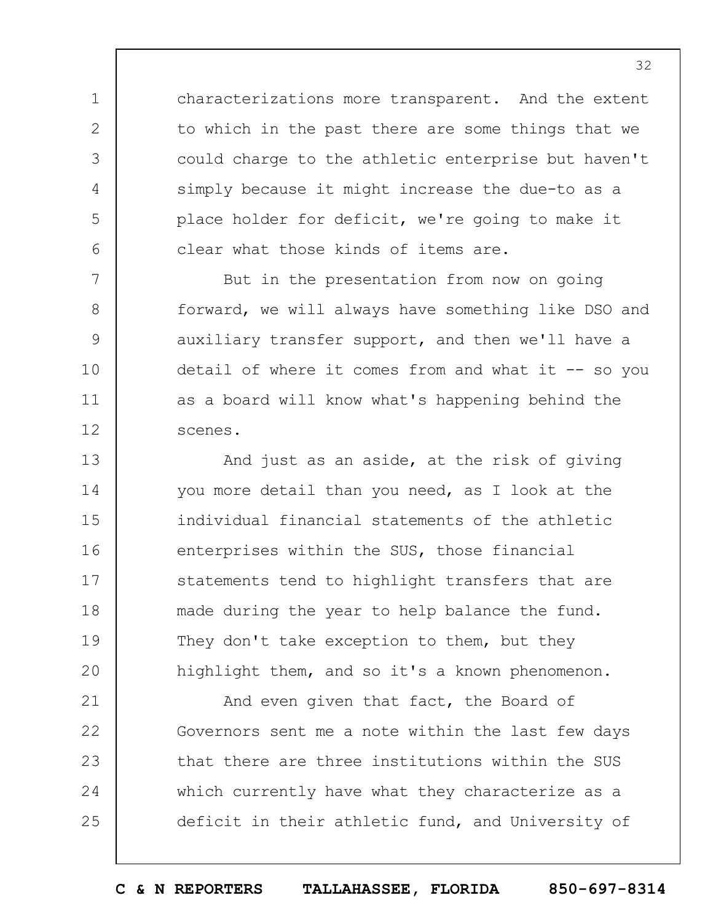characterizations more transparent. And the extent to which in the past there are some things that we could charge to the athletic enterprise but haven't simply because it might increase the due-to as a place holder for deficit, we're going to make it clear what those kinds of items are.

1

2

3

4

5

6

7

8

9

10

11

12

But in the presentation from now on going forward, we will always have something like DSO and auxiliary transfer support, and then we'll have a detail of where it comes from and what it  $-$ - so you as a board will know what's happening behind the scenes.

13 14 15 16 17 18 19  $20$ And just as an aside, at the risk of giving you more detail than you need, as I look at the individual financial statements of the athletic enterprises within the SUS, those financial statements tend to highlight transfers that are made during the year to help balance the fund. They don't take exception to them, but they highlight them, and so it's a known phenomenon.

21 22 23 24 25 And even given that fact, the Board of Governors sent me a note within the last few days that there are three institutions within the SUS which currently have what they characterize as a deficit in their athletic fund, and University of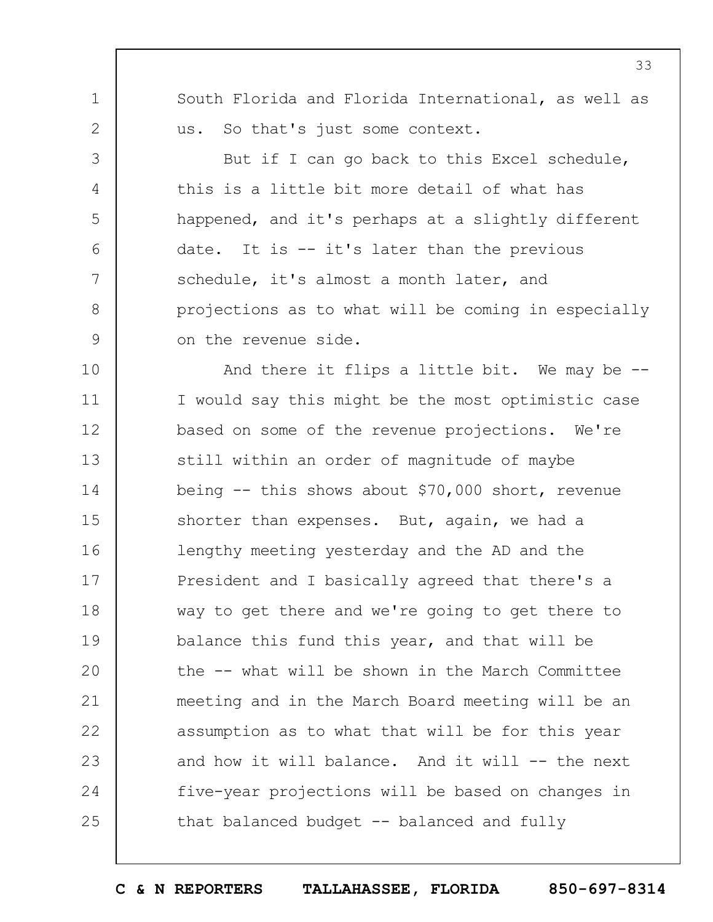South Florida and Florida International, as well as us. So that's just some context.

1

2

3

4

5

6

7

8

9

But if I can go back to this Excel schedule, this is a little bit more detail of what has happened, and it's perhaps at a slightly different date. It is -- it's later than the previous schedule, it's almost a month later, and projections as to what will be coming in especially on the revenue side.

10 11 12 13 14 15 16 17 18 19  $20$ 21 22 23 24 25 And there it flips a little bit. We may be -- I would say this might be the most optimistic case based on some of the revenue projections. We're still within an order of magnitude of maybe being -- this shows about \$70,000 short, revenue shorter than expenses. But, again, we had a lengthy meeting yesterday and the AD and the President and I basically agreed that there's a way to get there and we're going to get there to balance this fund this year, and that will be the -- what will be shown in the March Committee meeting and in the March Board meeting will be an assumption as to what that will be for this year and how it will balance. And it will -- the next five-year projections will be based on changes in that balanced budget  $-$ - balanced and fully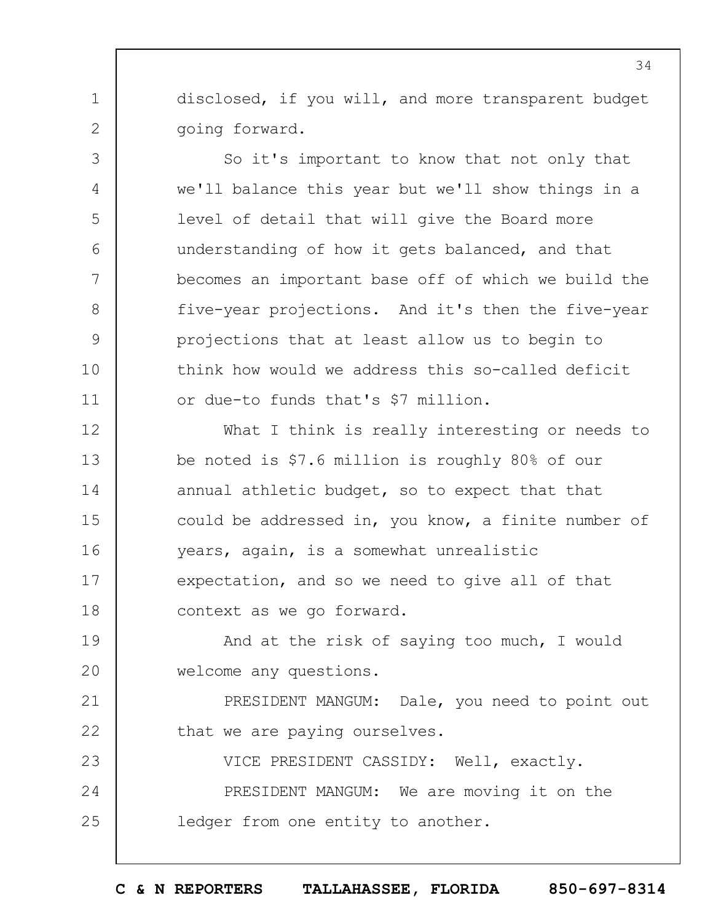disclosed, if you will, and more transparent budget going forward.

1

2

3

4

5

6

7

8

9

10

11

So it's important to know that not only that we'll balance this year but we'll show things in a level of detail that will give the Board more understanding of how it gets balanced, and that becomes an important base off of which we build the five-year projections. And it's then the five-year projections that at least allow us to begin to think how would we address this so-called deficit or due-to funds that's \$7 million.

12 13 14 15 16 17 18 What I think is really interesting or needs to be noted is \$7.6 million is roughly 80% of our annual athletic budget, so to expect that that could be addressed in, you know, a finite number of years, again, is a somewhat unrealistic expectation, and so we need to give all of that context as we go forward.

19  $20$ And at the risk of saying too much, I would welcome any questions.

21 22 PRESIDENT MANGUM: Dale, you need to point out that we are paying ourselves.

23 24 25 VICE PRESIDENT CASSIDY: Well, exactly. PRESIDENT MANGUM: We are moving it on the ledger from one entity to another.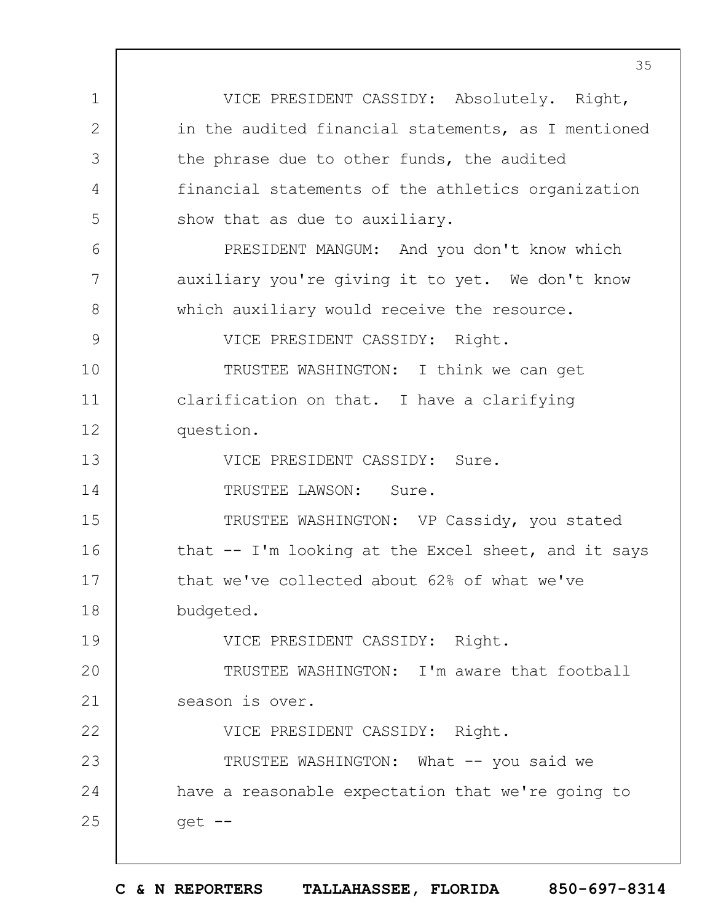1 2 3 4 5 6 7 8 9 10 11 12 13 14 15 16 17 18 19  $20$ 21 22 23 24 25 35 VICE PRESIDENT CASSIDY: Absolutely. Right, in the audited financial statements, as I mentioned the phrase due to other funds, the audited financial statements of the athletics organization show that as due to auxiliary. PRESIDENT MANGUM: And you don't know which auxiliary you're giving it to yet. We don't know which auxiliary would receive the resource. VICE PRESIDENT CASSIDY: Right. TRUSTEE WASHINGTON: I think we can get clarification on that. I have a clarifying question. VICE PRESIDENT CASSIDY: Sure. TRUSTEE LAWSON: Sure. TRUSTEE WASHINGTON: VP Cassidy, you stated that -- I'm looking at the Excel sheet, and it says that we've collected about 62% of what we've budgeted. VICE PRESIDENT CASSIDY: Right. TRUSTEE WASHINGTON: I'm aware that football season is over. VICE PRESIDENT CASSIDY: Right. TRUSTEE WASHINGTON: What -- you said we have a reasonable expectation that we're going to get --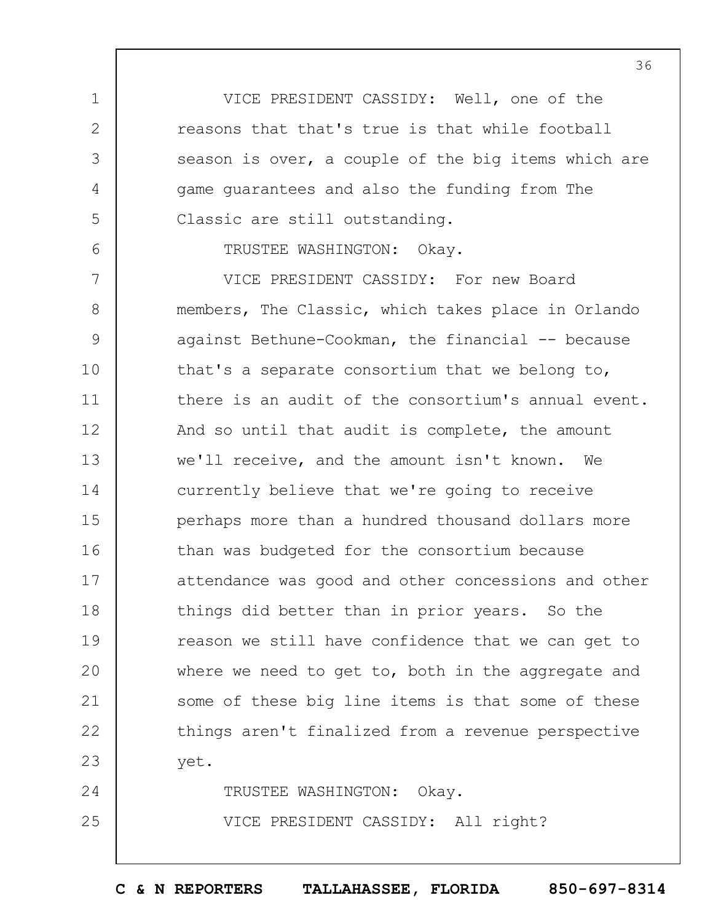VICE PRESIDENT CASSIDY: Well, one of the reasons that that's true is that while football season is over, a couple of the big items which are game guarantees and also the funding from The Classic are still outstanding.

TRUSTEE WASHINGTON: Okay.

1

2

3

4

5

6

25

7 8 9 10 11 12 13 14 15 16 17 18 19  $20$ 21 22 23 24 VICE PRESIDENT CASSIDY: For new Board members, The Classic, which takes place in Orlando against Bethune-Cookman, the financial -- because that's a separate consortium that we belong to, there is an audit of the consortium's annual event. And so until that audit is complete, the amount we'll receive, and the amount isn't known. We currently believe that we're going to receive perhaps more than a hundred thousand dollars more than was budgeted for the consortium because attendance was good and other concessions and other things did better than in prior years. So the reason we still have confidence that we can get to where we need to get to, both in the aggregate and some of these big line items is that some of these things aren't finalized from a revenue perspective yet. TRUSTEE WASHINGTON: Okay.

VICE PRESIDENT CASSIDY: All right?

**C & N REPORTERS TALLAHASSEE, FLORIDA 850-697-8314**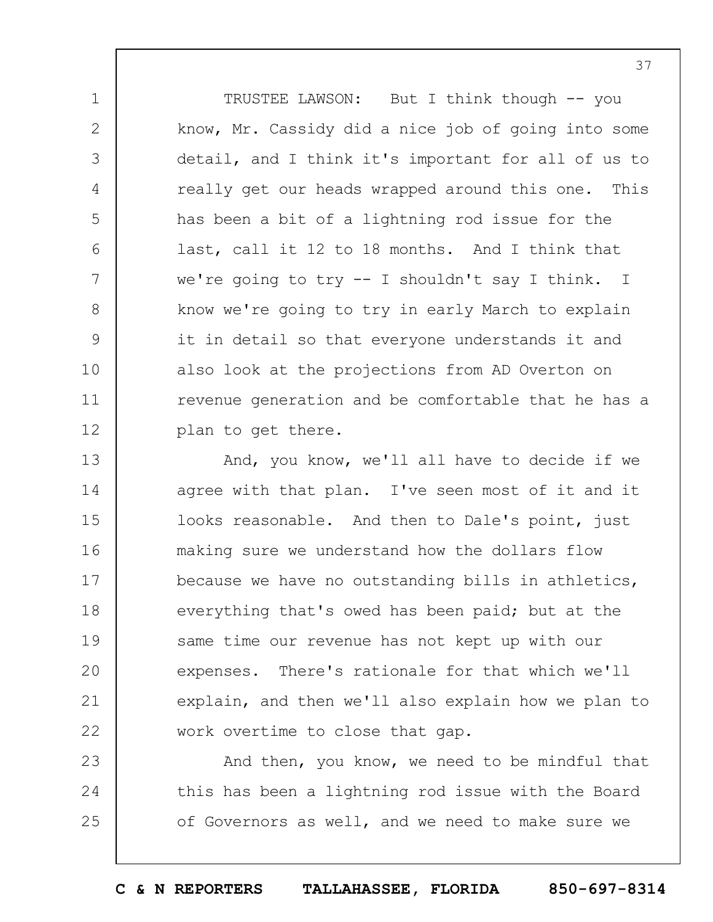TRUSTEE LAWSON: But I think though -- you know, Mr. Cassidy did a nice job of going into some detail, and I think it's important for all of us to really get our heads wrapped around this one. This has been a bit of a lightning rod issue for the last, call it 12 to 18 months. And I think that we're going to try -- I shouldn't say I think. I know we're going to try in early March to explain it in detail so that everyone understands it and also look at the projections from AD Overton on revenue generation and be comfortable that he has a plan to get there.

1

2

3

4

5

6

7

8

9

10

11

12

13 14 15 16 17 18 19  $20$ 21 22 And, you know, we'll all have to decide if we agree with that plan. I've seen most of it and it looks reasonable. And then to Dale's point, just making sure we understand how the dollars flow because we have no outstanding bills in athletics, everything that's owed has been paid; but at the same time our revenue has not kept up with our expenses. There's rationale for that which we'll explain, and then we'll also explain how we plan to work overtime to close that gap.

23 24 25 And then, you know, we need to be mindful that this has been a lightning rod issue with the Board of Governors as well, and we need to make sure we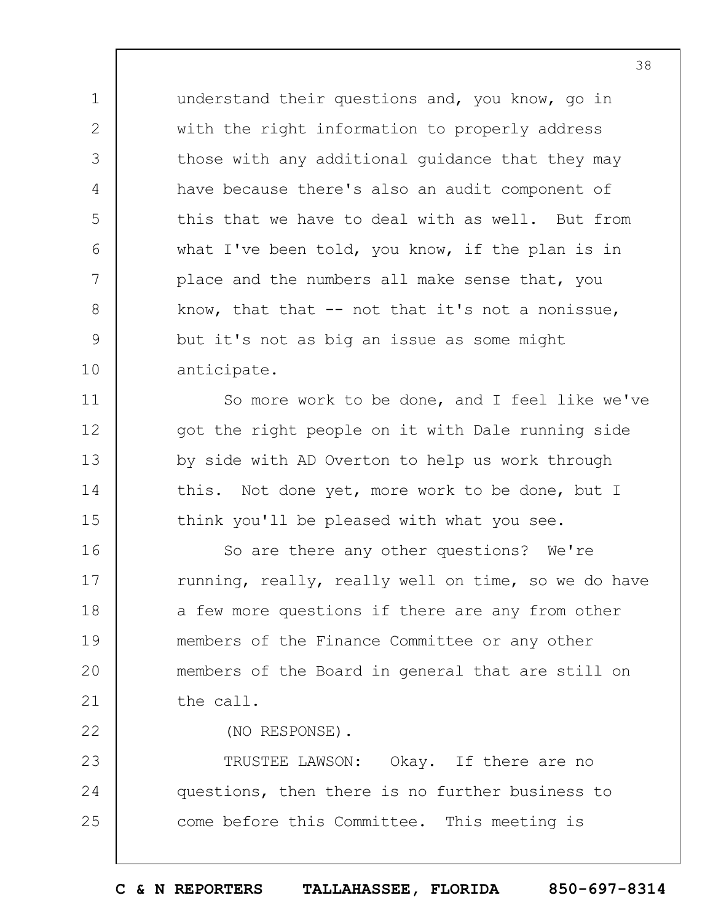understand their questions and, you know, go in with the right information to properly address those with any additional guidance that they may have because there's also an audit component of this that we have to deal with as well. But from what I've been told, you know, if the plan is in place and the numbers all make sense that, you know, that that  $--$  not that it's not a nonissue, but it's not as big an issue as some might anticipate.

1

2

3

4

5

6

7

8

9

10

11

12

13

14

15

22

So more work to be done, and I feel like we've got the right people on it with Dale running side by side with AD Overton to help us work through this. Not done yet, more work to be done, but I think you'll be pleased with what you see.

16 17 18 19  $20$ 21 So are there any other questions? We're running, really, really well on time, so we do have a few more questions if there are any from other members of the Finance Committee or any other members of the Board in general that are still on the call.

(NO RESPONSE).

23 24 25 TRUSTEE LAWSON: Okay. If there are no questions, then there is no further business to come before this Committee. This meeting is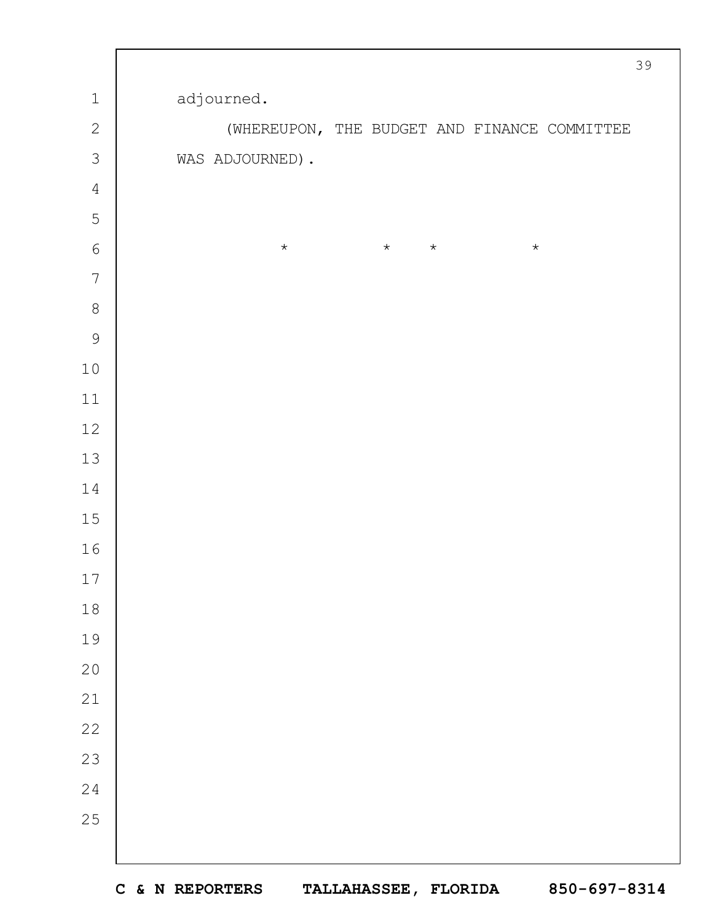|                |  |                 |         |         |         |         |                                              | 39 |
|----------------|--|-----------------|---------|---------|---------|---------|----------------------------------------------|----|
| $\mathbbm{1}$  |  | adjourned.      |         |         |         |         |                                              |    |
| $\mathbf{2}$   |  |                 |         |         |         |         | (WHEREUPON, THE BUDGET AND FINANCE COMMITTEE |    |
| $\mathcal{S}$  |  | WAS ADJOURNED). |         |         |         |         |                                              |    |
| $\sqrt{4}$     |  |                 |         |         |         |         |                                              |    |
| 5              |  |                 |         |         |         |         |                                              |    |
| $\sqrt{6}$     |  |                 | $\star$ | $\star$ | $\star$ | $\star$ |                                              |    |
| $\overline{7}$ |  |                 |         |         |         |         |                                              |    |
| $\,8\,$        |  |                 |         |         |         |         |                                              |    |
| $\mathcal{G}$  |  |                 |         |         |         |         |                                              |    |
| $10$           |  |                 |         |         |         |         |                                              |    |
| $11\,$         |  |                 |         |         |         |         |                                              |    |
| 12             |  |                 |         |         |         |         |                                              |    |
| $13$           |  |                 |         |         |         |         |                                              |    |
| $1\,4$         |  |                 |         |         |         |         |                                              |    |
| $15$           |  |                 |         |         |         |         |                                              |    |
| 16             |  |                 |         |         |         |         |                                              |    |
| 17             |  |                 |         |         |         |         |                                              |    |
| $18\,$         |  |                 |         |         |         |         |                                              |    |
| 19             |  |                 |         |         |         |         |                                              |    |
| $20$           |  |                 |         |         |         |         |                                              |    |
| $2\sqrt{1}$    |  |                 |         |         |         |         |                                              |    |
| 22             |  |                 |         |         |         |         |                                              |    |
| 23             |  |                 |         |         |         |         |                                              |    |
| 24             |  |                 |         |         |         |         |                                              |    |
| 25             |  |                 |         |         |         |         |                                              |    |
|                |  |                 |         |         |         |         |                                              |    |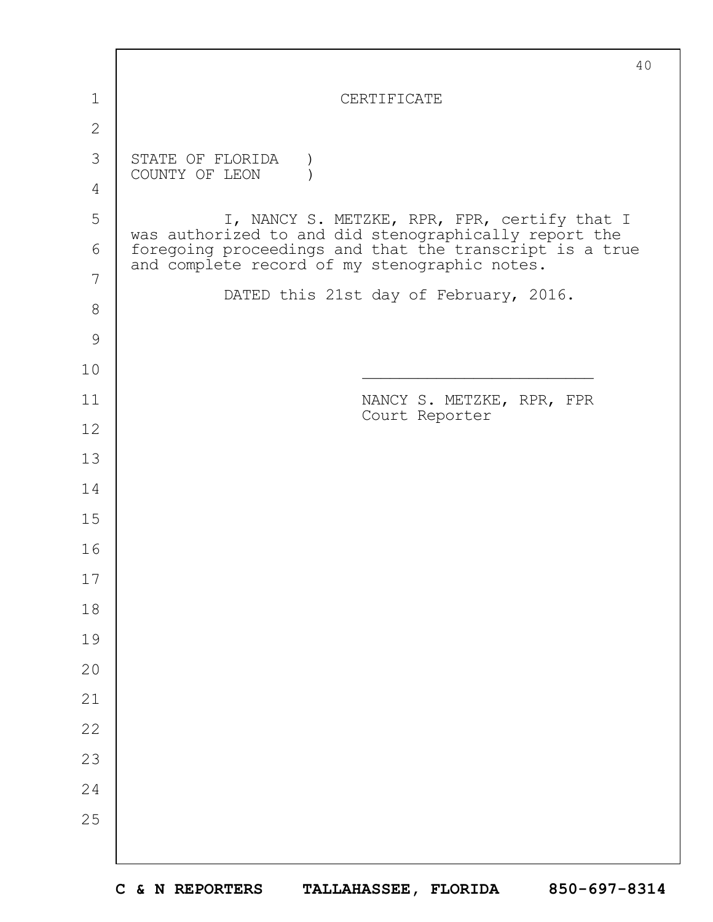|               | 40                                                                                                       |
|---------------|----------------------------------------------------------------------------------------------------------|
| 1             | CERTIFICATE                                                                                              |
| $\mathbf{2}$  |                                                                                                          |
| 3             | STATE OF FLORIDA<br>COUNTY OF LEON                                                                       |
| 4             |                                                                                                          |
| 5             | I, NANCY S. METZKE, RPR, FPR, certify that I<br>was authorized to and did stenographically report the    |
| 6             | foregoing proceedings and that the transcript is a true<br>and complete record of my stenographic notes. |
| 7             | DATED this 21st day of February, 2016.                                                                   |
| $8\,$         |                                                                                                          |
| $\mathcal{G}$ |                                                                                                          |
| 10            |                                                                                                          |
| 11            | NANCY S. METZKE, RPR, FPR<br>Court Reporter                                                              |
| 12            |                                                                                                          |
| 13            |                                                                                                          |
| 14            |                                                                                                          |
| 15            |                                                                                                          |
| 16            |                                                                                                          |
| $17$          |                                                                                                          |
| 18            |                                                                                                          |
| 19            |                                                                                                          |
| 20            |                                                                                                          |
| 21            |                                                                                                          |
| 22            |                                                                                                          |
| 23            |                                                                                                          |
| 24            |                                                                                                          |
| 25            |                                                                                                          |
|               |                                                                                                          |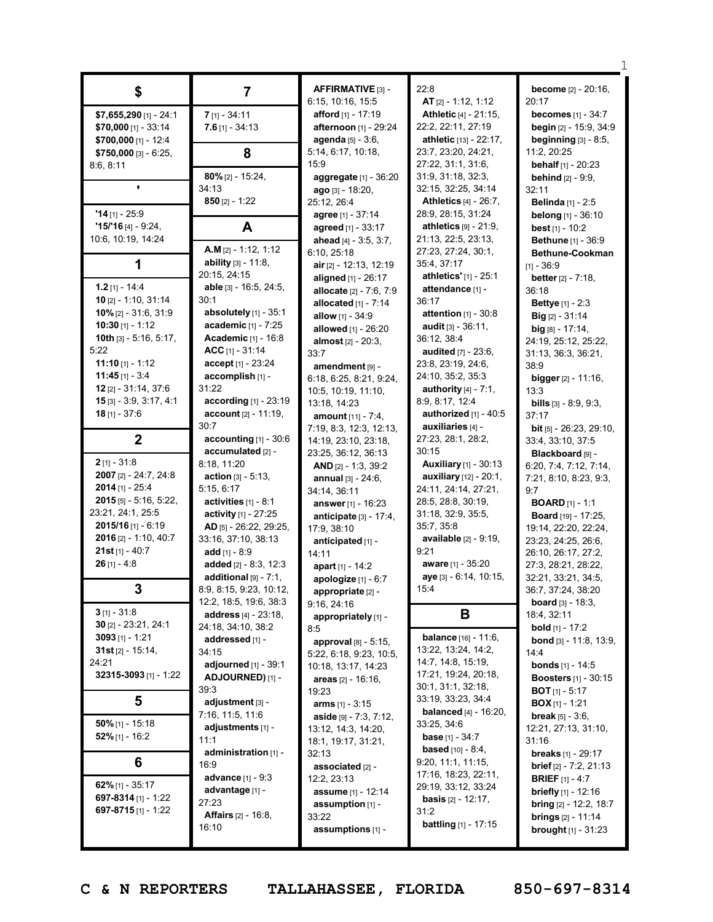| \$                        | $\overline{7}$                   | AFFIRMATIVE [3] -                                 | 22:8                                              | become [2] - 20:16,              |
|---------------------------|----------------------------------|---------------------------------------------------|---------------------------------------------------|----------------------------------|
|                           |                                  | 6:15, 10:16, 15:5                                 | AT [2] - 1:12, 1:12                               | 20:17                            |
| \$7,655,290 [1] - 24:1    | $7$ [1] - 34:11                  | afford [1] - 17:19                                | Athletic [4] - 21:15,                             | <b>becomes</b> [1] - 34:7        |
| $$70,000$ [1] - 33:14     | $7.6$ [1] - 34:13                | afternoon [1] - 29:24                             | 22:2, 22:11, 27:19                                | begin [2] - 15:9, 34:9           |
| $$700,000$ [1] - 12:4     |                                  | <b>agenda</b> $[5] - 3:6$ ,                       | athletic [13] - 22:17,                            | beginning [3] - 8:5,             |
| $$750,000$ [3] - 6:25,    | 8                                | 5:14, 6:17, 10:18,                                | 23:7, 23:20, 24:21,                               | 11:2, 20:25                      |
| 8:6, 8:11                 |                                  | 15:9                                              | 27:22, 31:1, 31:6,                                | behalf [1] - 20:23               |
|                           | $80\%$ [2] - 15:24,              | aggregate [1] - 36:20                             | 31:9, 31:18, 32:3,                                | <b>behind</b> $[2] - 9:9$ ,      |
| $\blacksquare$            | 34:13                            | $ago$ [3] - 18:20,                                | 32:15, 32:25, 34:14                               | 32:11                            |
|                           | 850 $[2] - 1:22$                 | 25:12, 26:4                                       | <b>Athletics [4] - 26:7,</b>                      | <b>Belinda</b> [1] - 2:5         |
| $'14$ [1] - 25:9          |                                  | agree [1] - 37:14                                 | 28:9, 28:15, 31:24                                | belong [1] - 36:10               |
| $15/16$ [4] - 9:24,       | A                                | agreed [1] - 33:17                                | athletics [9] - 21:9,                             | best $[1] - 10:2$                |
| 10:6, 10:19, 14:24        |                                  | ahead [4] - 3:5, 3:7,                             | 21:13, 22:5, 23:13,                               | Bethune [1] - 36:9               |
|                           | A.M [2] - 1:12, 1:12             | 6:10, 25:18                                       | 27:23, 27:24, 30:1,                               | Bethune-Cookman                  |
| 1                         | ability [3] - 11:8,              | air [2] - 12:13, 12:19                            | 35:4, 37:17                                       | $[1] - 36:9$                     |
|                           | 20:15, 24:15                     | aligned [1] - 26:17                               | athletics' [1] - 25:1                             | <b>better</b> $[2] - 7:18$ ,     |
| $1.2$ [1] - 14:4          | able [3] - 16:5, 24:5,           | allocate [2] - 7:6, 7:9                           | attendance [1] -                                  | 36:18                            |
| 10 $[2] - 1:10, 31:14$    | 30:1                             | allocated $[1] - 7:14$                            | 36:17                                             | <b>Bettye</b> [1] - 2:3          |
| 10% $[2] - 31:6, 31:9$    | absolutely [1] - 35:1            | allow [1] - 34:9                                  | attention $[1] - 30.8$                            | <b>Big</b> $[2] - 31:14$         |
| 10:30 $[1] - 1:12$        | academic [1] - 7:25              | allowed [1] - 26:20                               | <b>audit</b> $[3] - 36:11$ ,                      | $big [8] - 17:14,$               |
| 10th [3] - 5:16, 5:17,    | <b>Academic</b> [1] - 16:8       | <b>almost</b> $[2] - 20:3$ ,                      | 36:12, 38:4                                       | 24:19, 25:12, 25:22,             |
| 5:22                      | ACC $[1] - 31:14$                | 33:7                                              | audited [7] - 23:6,                               | 31:13, 36:3, 36:21,              |
| 11:10 $[1]$ - 1:12        | accept [1] - 23:24               | amendment [9] -                                   | 23:8, 23:19, 24:6,                                | 38:9                             |
| $11:45$ [1] - 3:4         | accomplish [1] -                 | 6:18, 6:25, 8:21, 9:24,                           | 24:10, 35:2, 35:3                                 | bigger [2] - 11:16,              |
| 12 [2] - 31:14, 37:6      | 31:22                            | 10:5, 10:19, 11:10,                               | authority $[4] - 7:1$ ,                           | 13:3                             |
| $15$ [3] - 3:9, 3:17, 4:1 | according [1] - 23:19            | 13:18, 14:23                                      | 8:9, 8:17, 12:4                                   | <b>bills</b> $[3] - 8:9, 9:3,$   |
| $18$ [1] - 37:6           | account [2] - 11:19,             | amount $[11] - 7:4$ ,                             | authorized $[1] - 40:5$                           | 37:17                            |
|                           | 30:7                             | 7:19, 8:3, 12:3, 12:13,                           | auxiliaries [4] -                                 | <b>bit</b> $[5]$ - 26:23, 29:10, |
| $\mathbf{2}$              | accounting $[1]$ - 30:6          | 14:19, 23:10, 23:18,                              | 27:23, 28:1, 28:2,                                | 33:4, 33:10, 37:5                |
| $2$ [1] - 31:8            | accumulated [2] -<br>8:18, 11:20 | 23:25, 36:12, 36:13                               | 30:15<br><b>Auxiliary</b> [1] - 30:13             | Blackboard [9] -                 |
| 2007 [2] - 24:7, 24:8     | <b>action</b> $[3] - 5:13$ ,     | AND $[2] - 1:3, 39:2$                             |                                                   | 6:20, 7:4, 7:12, 7:14,           |
| $2014$ [1] - 25:4         | 5:15, 6:17                       | <b>annual</b> $[3] - 24:6$ ,                      | auxiliary [12] - 20:1,<br>24:11, 24:14, 27:21,    | 7:21, 8:10, 8:23, 9:3,           |
| $2015$ [5] - 5:16, 5:22,  | activities $[1] - 8.1$           | 34:14, 36:11                                      | 28:5, 28:8, 30:19,                                | 9:7<br><b>BOARD</b> $[1] - 1:1$  |
| 23:21, 24:1, 25:5         | <b>activity</b> $[1]$ - 27:25    | answer $[1] - 16:23$<br>anticipate $[3] - 17:4$ , | 31:18, 32:9, 35:5,                                | <b>Board</b> [19] - 17:25,       |
| $2015/16$ [1] - 6:19      | AD [5] - 26:22, 29:25,           | 17:9, 38:10                                       | 35:7, 35:8                                        | 19:14, 22:20, 22:24,             |
| 2016 [2] - 1:10, 40:7     | 33:16, 37:10, 38:13              | anticipated [1] -                                 | available [2] - 9:19,                             | 23:23, 24:25, 26:6,              |
| $21st$ [1] - 40:7         | add $[1] - 8:9$                  | 14:11                                             | 9:21                                              | 26:10, 26:17, 27:2,              |
| $26$ [1] - 4:8            | added [2] - 8:3, 12:3            | apart [1] - 14:2                                  | aware [1] - 35:20                                 | 27:3, 28:21, 28:22,              |
|                           | additional $[9] - 7:1$ ,         | apologize [1] - 6:7                               | aye [3] - 6:14, 10:15,                            | 32:21, 33:21, 34:5,              |
| 3                         | 8:9, 8:15, 9:23, 10:12,          | appropriate [2] -                                 | 15:4                                              | 36:7, 37:24, 38:20               |
|                           | 12:2, 18:5, 19:6, 38:3           | 9:16, 24:16                                       |                                                   | <b>board</b> $[3] - 18:3$ ,      |
| $3$ [1] - 31:8            | <b>address</b> $[4] - 23:18$ ,   | appropriately [1] -                               | В                                                 | 18:4, 32:11                      |
| $30$ [2] - 23:21, 24:1    | 24:18, 34:10, 38:2               | 8:5                                               |                                                   | <b>bold</b> $[1]$ - 17:2         |
| $3093$ [1] - 1:21         | addressed [1] -                  | approval [8] - 5:15,                              | balance [16] - 11:6,                              | bond [3] - 11:8, 13:9,           |
| $31st$ [2] - 15:14,       | 34:15                            | 5:22, 6:18, 9:23, 10:5,                           | 13:22, 13:24, 14:2,                               | 14:4                             |
| 24:21                     | adjourned $[1]$ - 39:1           | 10:18, 13:17, 14:23                               | 14:7, 14:8, 15:19,                                | <b>bonds</b> [1] - 14:5          |
| 32315-3093 [1] - 1:22     | ADJOURNED) [1] -                 | areas $[2] - 16:16$ ,                             | 17:21, 19:24, 20:18,                              | <b>Boosters</b> [1] - 30:15      |
|                           | 39:3                             | 19:23                                             | 30:1, 31:1, 32:18,                                | <b>BOT</b> [1] - 5:17            |
| 5                         | adjustment [3] -                 | <b>arms</b> $[1] - 3:15$                          | 33:19, 33:23, 34:4                                | <b>BOX</b> $[1]$ - 1:21          |
| $50\%$ [1] - 15:18        | 7:16, 11:5, 11:6                 | aside [9] - 7:3, 7:12,                            | <b>balanced</b> [4] - 16:20,                      | <b>break</b> $[5] - 3:6$ ,       |
| $52\%$ [1] - 16:2         | adjustments [1] -                | 13:12, 14:3, 14:20,                               | 33:25, 34:6                                       | 12:21, 27:13, 31:10,             |
|                           | 11:1                             | 18:1, 19:17, 31:21,                               | <b>base</b> [1] - $34:7$                          | 31:16                            |
| 6                         | administration [1] -             | 32:13                                             | <b>based</b> $[10] - 8:4$ ,<br>9:20, 11:1, 11:15, | <b>breaks</b> [1] - 29:17        |
|                           | 16:9                             | associated [2] -                                  | 17:16, 18:23, 22:11,                              | <b>brief</b> $[2] - 7:2, 21:13$  |
| 62% [1] - 35:17           | <b>advance</b> [1] - 9:3         | 12:2, 23:13                                       | 29:19, 33:12, 33:24                               | <b>BRIEF</b> [1] - 4:7           |
| 697-8314 [1] - 1:22       | advantage [1] -                  | assume [1] - 12:14                                | <b>basis</b> $[2] - 12:17$ ,                      | briefly [1] - 12:16              |
| 697-8715 [1] - 1:22       | 27:23                            | assumption $[1]$ -                                | 31:2                                              | <b>bring</b> $[2] - 12:2, 18:7$  |
|                           | <b>Affairs</b> [2] - 16:8,       | 33:22                                             | <b>battling</b> $[1] - 17:15$                     | <b>brings</b> $[2] - 11:14$      |
|                           | 16:10                            | assumptions [1] -                                 |                                                   | <b>brought</b> $[1] - 31:23$     |
|                           |                                  |                                                   |                                                   |                                  |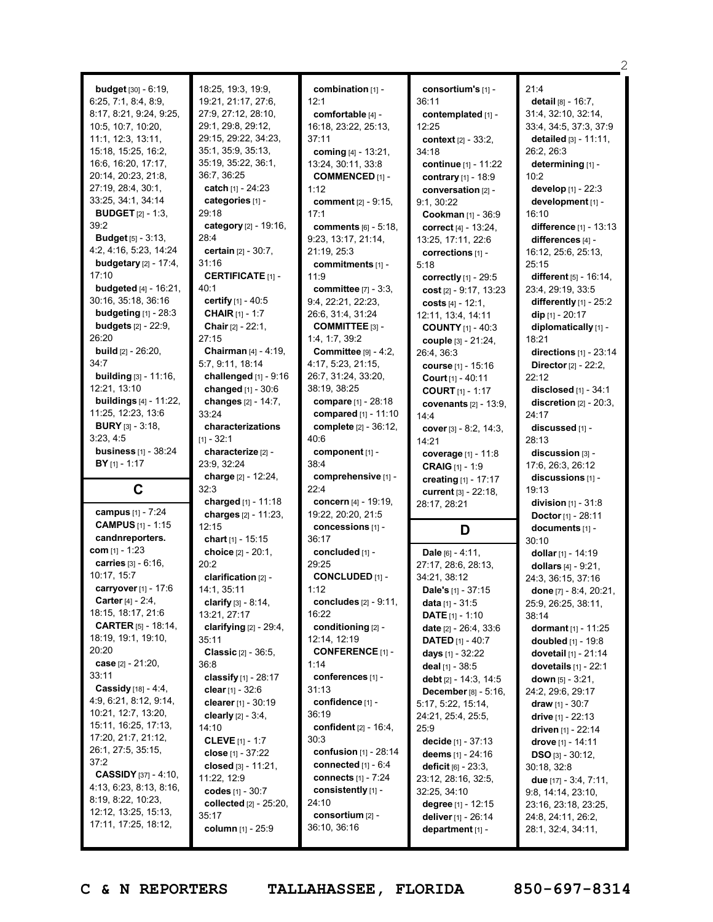| <b>budget</b> $[30] - 6:19$ ,   | 18:25, 19:3, 19:9,            | combination [1] -                | consortium's [1] -                        | 21:4                                     |
|---------------------------------|-------------------------------|----------------------------------|-------------------------------------------|------------------------------------------|
|                                 | 19:21, 21:17, 27:6,           |                                  |                                           |                                          |
| 6:25, 7:1, 8:4, 8:9,            |                               | 12:1                             | 36:11                                     | detail [8] - 16:7,                       |
| 8:17, 8:21, 9:24, 9:25,         | 27:9, 27:12, 28:10,           | comfortable [4] -                | contemplated [1] -                        | 31:4, 32:10, 32:14,                      |
| 10:5, 10:7, 10:20,              | 29:1, 29:8, 29:12,            | 16:18, 23:22, 25:13,             | 12:25                                     | 33:4, 34:5, 37:3, 37:9                   |
| 11:1, 12:3, 13:11,              | 29:15, 29:22, 34:23,          | 37:11                            | context [2] - 33:2,                       | detailed $[3] - 11:11$ ,                 |
| 15:18, 15:25, 16:2,             | 35:1, 35:9, 35:13,            | coming [4] - 13:21,              | 34:18                                     | 26:2, 26:3                               |
| 16:6, 16:20, 17:17,             | 35:19, 35:22, 36:1,           | 13:24, 30:11, 33:8               | continue [1] - 11:22                      | determining [1] -                        |
| 20:14, 20:23, 21:8,             | 36:7, 36:25                   | <b>COMMENCED [1] -</b>           | contrary [1] - 18:9                       | 10:2                                     |
| 27:19, 28:4, 30:1,              | catch [1] - 24:23             |                                  |                                           |                                          |
|                                 |                               | 1:12                             | conversation [2] -                        | develop [1] - 22:3                       |
| 33:25, 34:1, 34:14              | categories [1] -              | comment [2] - 9:15,              | 9:1, 30:22                                | development [1] -                        |
| <b>BUDGET</b> $[2] - 1:3$       | 29:18                         | 17:1                             | Cookman [1] - 36:9                        | 16:10                                    |
| 39:2                            | category [2] - 19:16,         | <b>comments</b> [6] - 5:18,      | correct $[4] - 13:24$ ,                   | difference [1] - 13:13                   |
| <b>Budget</b> $[5] - 3:13$ ,    | 28:4                          | 9:23, 13:17, 21:14,              | 13:25, 17:11, 22:6                        | differences [4] -                        |
| 4:2, 4:16, 5:23, 14:24          | certain [2] - 30:7,           | 21:19, 25:3                      | corrections [1] -                         | 16:12, 25:6, 25:13,                      |
| <b>budgetary</b> $[2] - 17:4$ , | 31:16                         | commitments [1] -                | 5:18                                      | 25:15                                    |
| 17:10                           | <b>CERTIFICATE [1] -</b>      | 11:9                             |                                           | different [5] - 16:14,                   |
|                                 |                               |                                  | correctly [1] - 29:5                      |                                          |
| <b>budgeted</b> $[4] - 16:21$ , | 40:1                          | committee $[7] - 3:3$ ,          | cost [2] - 9:17, 13:23                    | 23:4, 29:19, 33:5                        |
| 30:16, 35:18, 36:16             | certify [1] - 40:5            | 9:4, 22:21, 22:23,               | costs $[4] - 12:1$ ,                      | differently [1] - 25:2                   |
| budgeting $[1]$ - 28:3          | <b>CHAIR</b> [1] - 1:7        | 26:6, 31:4, 31:24                | 12:11, 13:4, 14:11                        | dip $[1] - 20:17$                        |
| <b>budgets</b> [2] - 22:9,      | Chair [2] - 22:1,             | COMMITTEE [3] -                  | <b>COUNTY</b> [1] - 40:3                  | diplomatically [1] -                     |
| 26:20                           | 27:15                         | 1:4, 1:7, 39:2                   | couple [3] - 21:24,                       | 18:21                                    |
| <b>build</b> [2] - 26:20,       | Chairman [4] - 4:19,          | Committee $[9] - 4:2$ ,          | 26:4, 36:3                                | directions $[1]$ - 23:14                 |
| 34:7                            | 5:7, 9:11, 18:14              |                                  |                                           |                                          |
|                                 |                               | 4:17, 5:23, 21:15,               | <b>course</b> [1] - 15:16                 | Director [2] - 22:2,                     |
| <b>building</b> [3] - 11:16,    | challenged [1] - 9:16         | 26:7, 31:24, 33:20,              | Court [1] - 40:11                         | 22:12                                    |
| 12:21, 13:10                    | changed [1] - 30:6            | 38:19, 38:25                     | <b>COURT</b> [1] - 1:17                   | disclosed [1] - 34:1                     |
| <b>buildings</b> [4] - 11:22,   | changes [2] - 14:7,           | compare [1] - 28:18              | covenants $[2] - 13:9$ ,                  | discretion $[2] - 20:3$ ,                |
| 11:25, 12:23, 13:6              | 33:24                         | compared [1] - 11:10             | 14:4                                      | 24:17                                    |
| <b>BURY</b> [3] - 3:18,         | characterizations             | complete [2] - 36:12,            | cover [3] - 8:2, 14:3,                    | discussed [1] -                          |
| 3:23, 4:5                       | $[1] - 32:1$                  | 40:6                             | 14:21                                     | 28:13                                    |
| <b>business</b> [1] - 38:24     | characterize [2] -            | component [1] -                  |                                           |                                          |
|                                 |                               |                                  | coverage [1] - 11:8                       | $disclusion$ $\beta$ -                   |
|                                 |                               |                                  |                                           |                                          |
| $BY$ [1] - 1:17                 | 23:9, 32:24                   | 38:4                             | <b>CRAIG</b> [1] - 1:9                    | 17:6, 26:3, 26:12                        |
|                                 | charge [2] - 12:24,           | comprehensive [1] -              | creating [1] - 17:17                      | discussions [1] -                        |
| C                               | 32:3                          | 22:4                             | current [3] - 22:18,                      | 19:13                                    |
|                                 | charged $[1] - 11:18$         | concern [4] - 19:19,             |                                           | division $[1] - 31:8$                    |
| campus [1] - 7:24               | charges [2] - 11:23,          | 19:22, 20:20, 21:5               | 28:17, 28:21                              |                                          |
| <b>CAMPUS</b> [1] - 1:15        |                               |                                  |                                           | Doctor [1] - 28:11                       |
|                                 | 12:15                         | concessions [1] -                | D                                         | documents [1] -                          |
| candnreporters.                 | chart [1] - 15:15             | 36:17                            |                                           | 30:10                                    |
| com $[1] - 1:23$                | choice [2] - 20:1,            | concluded [1] -                  | Dale $[6] - 4:11$ ,                       | dollar [1] - 14:19                       |
| carries [3] - 6:16,             | 20:2                          | 29:25                            | 27:17, 28:6, 28:13,                       | dollars [4] - 9:21,                      |
| 10:17, 15:7                     | clarification [2] -           | <b>CONCLUDED [1] -</b>           | 34:21, 38:12                              | 24:3, 36:15, 37:16                       |
| carryover [1] - 17:6            | 14:1, 35:11                   | 1:12                             | Dale's [1] - 37:15                        | done [7] - 8:4, 20:21,                   |
| <b>Carter</b> $[4] - 2:4$ ,     | clarify $[3] - 8:14$ ,        | concludes $[2] - 9:11$ ,         | <b>data</b> [1] - $31:5$                  | 25:9, 26:25, 38:11,                      |
| 18:15, 18:17, 21:6              | 13:21, 27:17                  | 16:22                            |                                           |                                          |
|                                 |                               |                                  | <b>DATE</b> $[1] - 1:10$                  | 38:14                                    |
| <b>CARTER</b> [5] - 18:14,      | clarifying $[2] - 29:4$ ,     | conditioning [2] -               | date [2] - 26:4, 33:6                     | dormant [1] - 11:25                      |
| 18:19, 19:1, 19:10,             | 35:11                         | 12:14, 12:19                     | <b>DATED</b> $[1] - 40:7$                 | <b>doubled</b> [1] - 19:8                |
| 20:20                           | <b>Classic</b> $[2] - 36:5$ , | <b>CONFERENCE</b> [1] -          | days $[1] - 32:22$                        | dovetail [1] - 21:14                     |
| case [2] - 21:20,               | 36:8                          | 1:14                             | deal $[1]$ - 38:5                         | dovetails $[1]$ - 22:1                   |
| 33:11                           | classify $[1] - 28:17$        | conferences [1] -                | debt [2] - 14:3, 14:5                     | <b>down</b> $[5] - 3:21$ ,               |
| Cassidy [18] - 4:4,             | clear $[1] - 32:6$            | 31:13                            | <b>December</b> $[8] - 5:16$ ,            | 24:2, 29:6, 29:17                        |
| 4:9, 6:21, 8:12, 9:14,          | clearer [1] - 30:19           | confidence [1] -                 |                                           |                                          |
| 10:21, 12:7, 13:20,             |                               | 36:19                            | 5:17, 5:22, 15:14,                        | <b>draw</b> [1] - $30:7$                 |
| 15:11, 16:25, 17:13,            | <b>clearly</b> $[2] - 3:4$ ,  |                                  | 24:21, 25:4, 25:5,                        | <b>drive</b> $[1]$ - 22:13               |
|                                 | 14:10                         | confident $[2] - 16:4,$          | 25:9                                      | <b>driven</b> [1] - 22:14                |
| 17:20, 21:7, 21:12,             | <b>CLEVE</b> $[1] - 1:7$      | 30:3                             | decide [1] - 37:13                        | <b>drove</b> [1] - 14:11                 |
| 26:1, 27:5, 35:15,              | close $[1] - 37:22$           | confusion $[1]$ - 28:14          | deems $[1] - 24:16$                       | $DSO$ [3] - 30:12,                       |
| 37:2                            | closed [3] - 11:21,           | connected $[1]$ - $6:4$          | <b>deficit</b> $[6] - 23:3,$              | 30:18, 32:8                              |
| <b>CASSIDY</b> [37] - 4:10,     | 11:22, 12:9                   | <b>connects</b> [1] - 7:24       | 23:12, 28:16, 32:5,                       | due $[17] - 3:4, 7:11,$                  |
| 4:13, 6:23, 8:13, 8:16,         | codes $[1] - 30:7$            | consistently [1] -               | 32:25, 34:10                              | 9:8, 14:14, 23:10,                       |
| 8:19, 8:22, 10:23,              | collected $[2] - 25:20$ ,     | 24:10                            |                                           |                                          |
| 12:12, 13:25, 15:13,            |                               |                                  | degree [1] - 12:15                        | 23:16, 23:18, 23:25,                     |
| 17:11, 17:25, 18:12,            | 35:17<br>column [1] - 25:9    | consortium [2] -<br>36:10, 36:16 | deliver [1] - 26:14<br>department $[1]$ - | 24:8, 24:11, 26:2,<br>28:1, 32:4, 34:11, |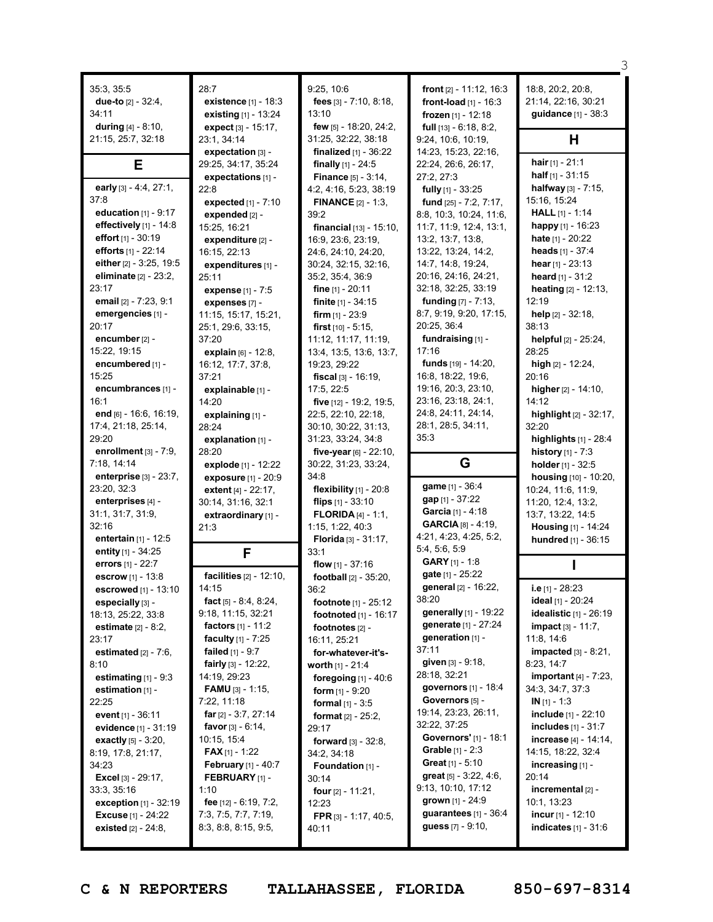|                                               |                                                   |                                        |                                                              | З                                                   |
|-----------------------------------------------|---------------------------------------------------|----------------------------------------|--------------------------------------------------------------|-----------------------------------------------------|
| 35:3, 35:5                                    | 28:7                                              | 9:25, 10:6                             | front [2] - 11:12, 16:3                                      | 18:8, 20:2, 20:8,                                   |
| due-to $[2] - 32:4$ ,                         | existence [1] - 18:3                              | fees [3] - 7:10, 8:18,                 | front-load $[1] - 16:3$                                      | 21:14, 22:16, 30:21                                 |
| 34:11                                         | existing [1] - 13:24                              | 13:10                                  | frozen $[1] - 12:18$                                         | guidance [1] - 38:3                                 |
| during $[4] - 8:10$ ,                         | expect $[3] - 15:17$ ,                            | few [5] - 18:20, 24:2,                 | full $[13] - 6:18, 8:2,$                                     |                                                     |
| 21:15, 25:7, 32:18                            | 23:1, 34:14                                       | 31:25, 32:22, 38:18                    | 9:24, 10:6, 10:19,                                           | н                                                   |
|                                               | expectation [3] -                                 | <b>finalized</b> $[1] - 36:22$         | 14:23, 15:23, 22:16,                                         |                                                     |
| Е                                             | 29:25, 34:17, 35:24                               | finally $[1] - 24:5$                   | 22:24, 26:6, 26:17,                                          | hair $[1] - 21:1$                                   |
|                                               | expectations [1] -                                | <b>Finance</b> [5] - 3:14,             | 27:2, 27:3                                                   | half $[1] - 31:15$                                  |
| early [3] - 4:4, 27:1,                        | 22:8                                              | 4:2, 4:16, 5:23, 38:19                 | <b>fully</b> $[1]$ - 33:25                                   | halfway [3] - 7:15,                                 |
| 37:8                                          | expected [1] - 7:10                               | <b>FINANCE</b> $[2] - 1:3$ ,           | fund [25] - 7:2, 7:17,                                       | 15:16, 15:24                                        |
| education $[1]$ - $9:17$                      | expended [2] -                                    | 39:2                                   | 8:8, 10:3, 10:24, 11:6,                                      | <b>HALL</b> $[1] - 1:14$                            |
| effectively [1] - 14:8                        | 15:25, 16:21                                      | <b>financial</b> $[13] - 15:10$ ,      | 11:7, 11:9, 12:4, 13:1,                                      | happy $[1] - 16:23$                                 |
| effort $[1] - 30:19$                          | expenditure [2] -                                 | 16:9, 23:6, 23:19,                     | 13:2, 13:7, 13:8,                                            | <b>hate</b> $[1] - 20:22$                           |
| efforts [1] - 22:14                           | 16:15, 22:13                                      | 24:6, 24:10, 24:20,                    | 13:22, 13:24, 14:2,                                          | heads $[1] - 37:4$                                  |
| either [2] - 3:25, 19:5                       | expenditures [1] -                                | 30:24, 32:15, 32:16,                   | 14:7, 14:8, 19:24,                                           | hear $[1] - 23:13$                                  |
| eliminate [2] - 23:2,                         | 25:11                                             | 35:2, 35:4, 36:9                       | 20:16, 24:16, 24:21,                                         | heard $[1] - 31:2$                                  |
| 23:17                                         | expense [1] - 7:5                                 | <b>fine</b> $[1] - 20:11$              | 32:18, 32:25, 33:19                                          | heating [2] - 12:13,                                |
| email [2] - 7:23, 9:1                         | expenses [7] -                                    | finite [1] - 34:15                     | <b>funding</b> $[7] - 7:13$ ,                                | 12:19                                               |
| emergencies [1] -                             | 11:15, 15:17, 15:21,                              | firm $[1] - 23:9$                      | 8:7, 9:19, 9:20, 17:15,                                      | help [2] - 32:18,                                   |
| 20:17                                         | 25:1, 29:6, 33:15,                                | <b>first</b> $[10] - 5:15$ ,           | 20:25, 36:4                                                  | 38:13                                               |
| encumber [2] -                                | 37:20                                             | 11:12, 11:17, 11:19,                   | fundraising [1] -                                            | helpful [2] - 25:24,                                |
| 15:22, 19:15                                  | explain [6] - 12:8,                               | 13:4, 13:5, 13:6, 13:7,                | 17:16<br>funds [19] - 14:20,                                 | 28:25<br>high $[2] - 12:24$ ,                       |
| encumbered [1] -<br>15:25                     | 16:12, 17:7, 37:8,<br>37:21                       | 19:23, 29:22<br>fiscal $[3] - 16:19$ , | 16:8, 18:22, 19:6,                                           | 20:16                                               |
| encumbrances [1] -                            | explainable [1] -                                 | 17:5, 22:5                             | 19:16, 20:3, 23:10,                                          | higher $[2] - 14:10$ ,                              |
| 16:1                                          | 14:20                                             | five [12] - 19:2, 19:5,                | 23:16, 23:18, 24:1,                                          | 14:12                                               |
| end [6] - 16:6, 16:19,                        | explaining [1] -                                  | 22:5, 22:10, 22:18,                    | 24:8, 24:11, 24:14,                                          | highlight [2] - 32:17,                              |
| 17:4, 21:18, 25:14,                           | 28:24                                             | 30:10, 30:22, 31:13,                   | 28:1, 28:5, 34:11,                                           | 32:20                                               |
| 29:20                                         | explanation [1] -                                 | 31:23, 33:24, 34:8                     | 35:3                                                         | highlights [1] - 28:4                               |
| enrollment $[3] - 7:9$ ,                      | 28:20                                             | five-year $[6] - 22:10$ ,              |                                                              | <b>history</b> $[1] - 7:3$                          |
| 7:18, 14:14                                   | explode [1] - 12:22                               | 30:22, 31:23, 33:24,                   | G                                                            | holder [1] - 32:5                                   |
|                                               |                                                   |                                        |                                                              |                                                     |
| enterprise $[3]$ - $23:7$ ,                   | exposure [1] - 20:9                               | 34:8                                   |                                                              | housing [10] - 10:20,                               |
| 23:20, 32:3                                   | extent $[4] - 22:17$ ,                            | flexibility $[1]$ - 20:8               | game [1] - 36:4                                              | 10:24, 11:6, 11:9,                                  |
| enterprises [4] -                             | 30:14, 31:16, 32:1                                | flips $[1] - 33:10$                    | gap [1] - 37:22                                              | 11:20, 12:4, 13:2,                                  |
| 31:1, 31:7, 31:9,                             | extraordinary [1] -                               | <b>FLORIDA</b> $[4] - 1:1$ ,           | Garcia [1] - 4:18                                            | 13:7, 13:22, 14:5                                   |
| 32:16                                         | 21:3                                              | 1:15, 1:22, 40:3                       | <b>GARCIA</b> $[8] - 4:19$ ,                                 | <b>Housing</b> [1] - 14:24                          |
| entertain [1] - 12:5                          |                                                   | Florida [3] - 31:17,                   | 4:21, 4:23, 4:25, 5:2,                                       | hundred [1] - 36:15                                 |
| entity [1] - 34:25                            | F                                                 | 33:1                                   | 5:4, 5:6, 5:9                                                |                                                     |
| errors [1] - 22:7                             |                                                   | flow $[1] - 37:16$                     | <b>GARY</b> [1] - 1:8                                        |                                                     |
| escrow [1] - 13:8                             | facilities [2] - 12:10,                           | football [2] - 35:20,                  | gate [1] - 25:22                                             |                                                     |
| escrowed [1] - 13:10                          | 14:15                                             | 36:2                                   | general [2] - 16:22,<br>38:20                                | i.e $[1]$ - 28:23                                   |
| especially [3] -                              | fact $[5] - 8.4, 8.24,$                           | <b>footnote</b> $[1] - 25:12$          | generally [1] - 19:22                                        | ideal [1] - 20:24                                   |
| 18:13, 25:22, 33:8                            | 9:18, 11:15, 32:21<br><b>factors</b> $[1]$ - 11:2 | <b>footnoted</b> $[1]$ - 16:17         | generate [1] - 27:24                                         | idealistic [1] - 26:19<br><b>impact</b> [3] - 11:7, |
| <b>estimate</b> $[2] - 8:2,$<br>23:17         | faculty $[1] - 7:25$                              | footnotes [2] -<br>16:11, 25:21        | generation $[1]$ -                                           | 11:8, 14:6                                          |
| estimated $[2] - 7:6$ ,                       | failed [1] - 9:7                                  | for-whatever-it's-                     | 37:11                                                        | impacted [3] - 8:21,                                |
| 8:10                                          | fairly $[3] - 12:22$ ,                            | worth [1] - 21:4                       | given $[3] - 9:18$ ,                                         | 8:23, 14:7                                          |
| estimating $[1]$ - 9:3                        | 14:19, 29:23                                      | foregoing $[1] - 40:6$                 | 28:18, 32:21                                                 | <b>important</b> [4] - 7:23,                        |
| estimation $[1]$ -                            | <b>FAMU</b> $[3] - 1:15$ ,                        | <b>form</b> $[1]$ - 9:20               | governors [1] - 18:4                                         | 34:3, 34:7, 37:3                                    |
| 22:25                                         | 7:22, 11:18                                       | <b>formal</b> $[1] - 3:5$              | Governors [5] -                                              | $IN_{[1]} - 1:3$                                    |
| event $[1] - 36:11$                           | far $[2] - 3:7, 27:14$                            | <b>format</b> $[2] - 25:2$ ,           | 19:14, 23:23, 26:11,                                         | include [1] - 22:10                                 |
| evidence [1] - 31:19                          | favor [3] - 6:14,                                 | 29:17                                  | 32:22, 37:25                                                 | <b>includes</b> $[1] - 31:7$                        |
| <b>exactly</b> $[5] - 3:20$ ,                 | 10:15, 15:4                                       | forward $[3] - 32:8$ ,                 | Governors' [1] - 18:1                                        | increase [4] - 14:14,                               |
| 8:19, 17:8, 21:17,                            | <b>FAX</b> [1] - 1:22                             | 34:2, 34:18                            | <b>Grable</b> $[1] - 2:3$                                    | 14:15, 18:22, 32:4                                  |
| 34:23                                         | <b>February</b> $[1] - 40:7$                      | Foundation [1] -                       | <b>Great</b> $[1] - 5:10$<br><b>great</b> $[5] - 3:22, 4:6,$ | increasing $[1]$ -<br>20:14                         |
| Excel [3] - 29:17,                            | <b>FEBRUARY</b> [1] -<br>1:10                     | 30:14                                  | 9:13, 10:10, 17:12                                           | incremental [2] -                                   |
| 33:3, 35:16<br><b>exception</b> $[1]$ - 32:19 | fee $[12] - 6:19, 7:2,$                           | four [2] - 11:21,<br>12:23             | grown $[1] - 24:9$                                           | 10:1, 13:23                                         |
| <b>Excuse</b> $[1] - 24:22$                   | 7:3, 7:5, 7:7, 7:19,                              | FPR [3] - 1:17, 40:5,                  | guarantees [1] - 36:4                                        | incur $[1]$ - 12:10                                 |
| <b>existed</b> $[2] - 24:8$ ,                 | 8:3, 8:8, 8:15, 9:5,                              | 40:11                                  | guess $[7] - 9:10$ ,                                         | <b>indicates</b> $[1] - 31:6$                       |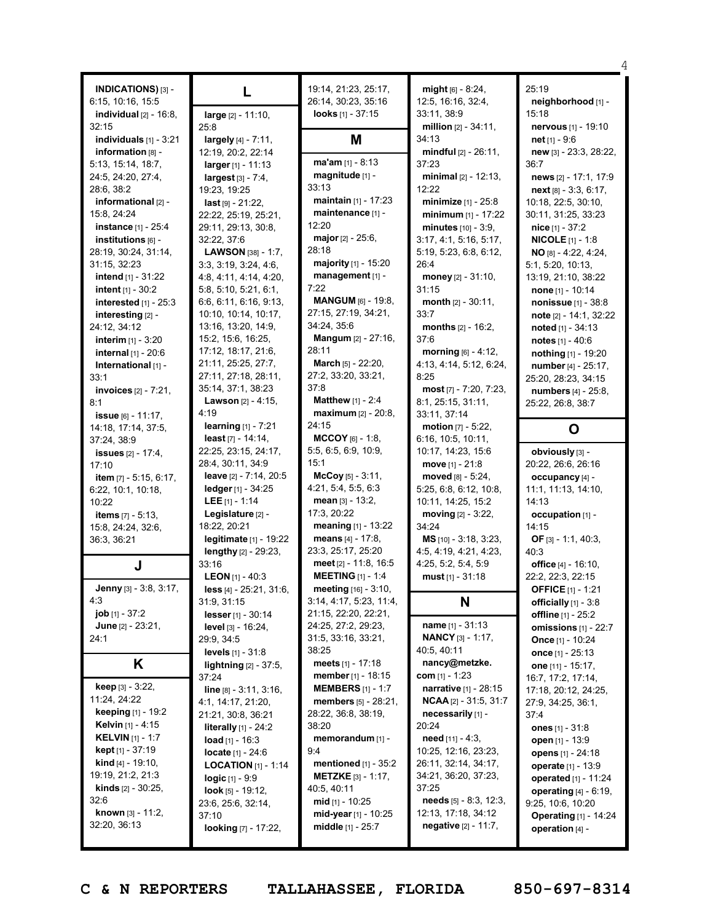|                                    |                                             |                                           |                                | 4                               |
|------------------------------------|---------------------------------------------|-------------------------------------------|--------------------------------|---------------------------------|
| INDICATIONS) [3] -                 |                                             | 19:14, 21:23, 25:17,                      | $might [6] - 8:24,$            | 25:19                           |
| 6:15, 10:16, 15:5                  | L                                           | 26:14, 30:23, 35:16                       | 12:5, 16:16, 32:4,             | neighborhood [1] -              |
| individual $[2]$ - 16:8,           | large [2] - 11:10,                          | looks $[1] - 37:15$                       | 33:11, 38:9                    | 15:18                           |
| 32:15                              | 25:8                                        |                                           | million $[2] - 34:11$ ,        | nervous [1] - 19:10             |
| individuals $[1]$ - 3:21           | largely [4] - 7:11,                         | Μ                                         | 34:13                          | net $[1] - 9:6$                 |
| information [8] -                  | 12:19, 20:2, 22:14                          |                                           | $mindful$ [2] - 26:11,         | new [3] - 23:3, 28:22,          |
| 5:13, 15:14, 18:7,                 | $larger_{[1]} - 11:13$                      | $ma'am$ [1] - 8:13                        | 37:23                          | 36:7                            |
| 24:5, 24:20, 27:4,                 | largest [3] - 7:4,                          | magnitude [1] -                           | minimal $[2] - 12:13$ ,        | news [2] - 17:1, 17:9           |
| 28:6, 38:2                         | 19:23, 19:25                                | 33:13                                     | 12:22                          | next [8] - 3:3, 6:17,           |
| informational [2] -                | $last[9] - 21:22,$                          | maintain [1] - 17:23                      | minimize [1] - 25:8            | 10:18, 22:5, 30:10,             |
| 15:8, 24:24                        | 22:22, 25:19, 25:21,                        | maintenance [1] -                         | minimum $[1] - 17:22$          | 30:11, 31:25, 33:23             |
| <b>instance</b> [1] - 25:4         | 29:11, 29:13, 30:8,                         | 12:20                                     | minutes $[10] - 3.9$ ,         | $nice$ [1] - 37:2               |
| institutions [6] -                 | 32:22, 37:6                                 | major $[2] - 25:6$ ,                      | 3:17, 4:1, 5:16, 5:17,         | <b>NICOLE</b> $[1] - 1:8$       |
| 28:19, 30:24, 31:14,               | LAWSON [38] - 1:7,                          | 28:18                                     | 5:19, 5:23, 6:8, 6:12,         | $NO$ [8] - 4:22, 4:24,          |
| 31:15, 32:23                       | 3:3, 3:19, 3:24, 4:6,                       | majority [1] - 15:20                      | 26:4                           | 5:1, 5:20, 10:13,               |
| <b>intend</b> $[1] - 31:22$        | 4:8, 4:11, 4:14, 4:20,                      | management [1] -                          | money [2] - 31:10,             | 13:19, 21:10, 38:22             |
| intent $[1] - 30:2$                | 5:8, 5:10, 5:21, 6:1,                       | 7:22                                      | 31:15                          | none [1] - 10:14                |
| interested [1] - 25:3              | 6:6, 6:11, 6:16, 9:13,                      | <b>MANGUM</b> [6] - 19:8,                 | month [2] - 30:11,             | nonissue [1] - 38:8             |
| interesting [2] -                  | 10:10, 10:14, 10:17,                        | 27:15, 27:19, 34:21,                      | 33:7                           | note [2] - 14:1, 32:22          |
| 24:12, 34:12                       | 13:16, 13:20, 14:9,                         | 34:24, 35:6                               | months $[2] - 16:2$ ,          | noted $[1] - 34:13$             |
| <b>interim</b> $[1] - 3:20$        | 15:2, 15:6, 16:25,<br>17:12, 18:17, 21:6,   | <b>Mangum [2] - 27:16,</b><br>28:11       | 37:6                           | notes $[1] - 40:6$              |
| internal [1] - 20:6                |                                             |                                           | morning $[6] - 4:12$ ,         | nothing [1] - 19:20             |
| International [1] -                | 21:11, 25:25, 27:7,<br>27:11, 27:18, 28:11, | March [5] - 22:20,<br>27:2, 33:20, 33:21, | 4:13, 4:14, 5:12, 6:24,        | number [4] - 25:17,             |
| 33:1                               | 35:14, 37:1, 38:23                          | 37:8                                      | 8:25<br>most [7] - 7:20, 7:23, | 25:20, 28:23, 34:15             |
| <b>invoices</b> $[2] - 7:21$ ,     | <b>Lawson</b> $[2] - 4:15$ ,                | <b>Matthew</b> $[1] - 2:4$                | 8:1, 25:15, 31:11,             | numbers [4] - 25:8,             |
| 8:1                                | 4:19                                        | <b>maximum</b> [2] - 20:8,                | 33:11, 37:14                   | 25:22, 26:8, 38:7               |
| issue $[6] - 11:17$ ,              | <b>learning</b> $[1] - 7:21$                | 24:15                                     | motion $[7] - 5:22$ ,          |                                 |
| 14:18, 17:14, 37:5,<br>37:24, 38:9 | least $[7] - 14:14$ ,                       | $MCCOY$ [6] - 1:8,                        | 6:16, 10:5, 10:11,             | O                               |
| <b>issues</b> [2] - 17:4,          | 22:25, 23:15, 24:17,                        | 5:5, 6:5, 6:9, 10:9,                      | 10:17, 14:23, 15:6             | obviously [3] -                 |
| 17:10                              | 28:4, 30:11, 34:9                           | 15:1                                      | move $[1] - 21:8$              | 20:22, 26:6, 26:16              |
| item [7] - 5:15, 6:17,             | leave [2] - 7:14, 20:5                      | $McCoy [5] - 3:11,$                       | moved [8] - 5:24,              | occupancy [4] -                 |
| 6:22, 10:1, 10:18,                 | ledger [1] - 34:25                          | 4:21, 5:4, 5:5, 6:3                       | 5:25, 6:8, 6:12, 10:8,         | 11:1, 11:13, 14:10,             |
| 10:22                              | LEE $[1] - 1:14$                            | mean [3] - 13:2,                          | 10:11, 14:25, 15:2             | 14:13                           |
| <b>items</b> $[7] - 5:13$ ,        | Legislature [2] -                           | 17:3, 20:22                               | moving [2] - 3:22,             | occupation [1] -                |
| 15:8, 24:24, 32:6,                 | 18:22, 20:21                                | meaning [1] - 13:22                       | 34:24                          | 14:15                           |
| 36:3, 36:21                        | legitimate [1] - 19:22                      | means $[4] - 17:8$ ,                      | MS [10] - 3:18, 3:23,          | OF [3] - 1:1, 40:3,             |
|                                    | lengthy [2] - 29:23,                        | 23:3, 25:17, 25:20                        | 4:5, 4:19, 4:21, 4:23,         | 40:3                            |
| J                                  | 33:16                                       | meet [2] - 11:8, 16:5                     | 4:25, 5:2, 5:4, 5:9            | office [4] - 16:10,             |
|                                    | <b>LEON</b> [1] - 40:3                      | <b>MEETING</b> [1] - 1:4                  | must $[1] - 31:18$             | 22:2, 22:3, 22:15               |
| <b>Jenny</b> $[3] - 3:8, 3:17,$    | $less$ [4] - 25:21, 31:6,                   | meeting [16] - 3:10,                      |                                | <b>OFFICE</b> $[1] - 1:21$      |
| 4:3                                | 31:9, 31:15                                 | 3:14, 4:17, 5:23, 11:4,                   | N                              | officially [1] - 3:8            |
| $job [1] - 37:2$                   | lesser [1] - 30:14                          | 21:15, 22:20, 22:21,                      |                                |                                 |
| <b>June</b> $[2] - 23:21$ ,        |                                             |                                           |                                | <b>offline</b> [1] - 25:2       |
|                                    | <b>level</b> $[3] - 16:24$ ,                | 24:25, 27:2, 29:23,                       | <b>name</b> $[1] - 31:13$      | omissions $[1]$ - 22:7          |
| 24:1                               | 29:9, 34:5                                  | 31:5, 33:16, 33:21,                       | <b>NANCY</b> $[3] - 1:17$ ,    | Once [1] - 10:24                |
|                                    | <b>levels</b> $[1] - 31:8$                  | 38:25                                     | 40:5, 40:11                    | once [1] - 25:13                |
| K                                  | <b>lightning</b> $[2] - 37:5$ ,             | meets $[1] - 17:18$                       | nancy@metzke.                  | one [11] - 15:17,               |
|                                    | 37:24                                       | member $[1] - 18:15$                      | com $[1] - 1:23$               | 16:7, 17:2, 17:14,              |
| keep [3] - 3:22,                   | $line_{[8]-3:11,3:16,}$                     | <b>MEMBERS</b> $[1]$ - 1:7                | narrative [1] - 28:15          | 17:18, 20:12, 24:25,            |
| 11:24, 24:22                       | 4:1, 14:17, 21:20,                          | <b>members</b> $[5] - 28:21$ ,            | <b>NCAA</b> [2] - 31:5, 31:7   | 27:9, 34:25, 36:1,              |
| <b>keeping</b> $[1]$ - 19:2        | 21:21, 30:8, 36:21                          | 28:22, 36:8, 38:19,                       | necessarily [1] -              | 37:4                            |
| <b>Kelvin</b> $[1]$ - 4:15         | literally $[1]$ - 24:2                      | 38:20                                     | 20:24                          | <b>ones</b> $[1] - 31:8$        |
| <b>KELVIN</b> [1] - 1:7            | <b>load</b> $[1]$ - 16:3                    | memorandum [1] -                          | <b>need</b> $[11] - 4:3$ ,     | open [1] - 13:9                 |
| <b>kept</b> $[1] - 37:19$          | <b>locate</b> $[1] - 24:6$                  | 9:4                                       | 10:25, 12:16, 23:23,           | opens [1] - 24:18               |
| <b>kind</b> [4] - 19:10,           | <b>LOCATION</b> $[1]$ - 1:14                | mentioned [1] - 35:2                      | 26:11, 32:14, 34:17,           | <b>operate</b> $[1] - 13:9$     |
| 19:19, 21:2, 21:3                  | <b>logic</b> $[1] - 9.9$                    | <b>METZKE</b> [3] - 1:17,                 | 34:21, 36:20, 37:23,           | operated [1] - 11:24            |
| <b>kinds</b> $[2] - 30:25$ ,       | <b>look</b> [5] - 19:12,                    | 40:5, 40:11                               | 37:25                          | <b>operating</b> $[4] - 6:19$ , |
| 32:6                               | 23:6, 25:6, 32:14,                          | mid $[1]$ - 10:25                         | needs $[5] - 8:3, 12:3,$       | 9:25, 10:6, 10:20               |
| known [3] - 11:2,                  | 37:10                                       | mid-year [1] - 10:25                      | 12:13, 17:18, 34:12            | <b>Operating</b> [1] - 14:24    |
| 32:20, 36:13                       | looking [7] - 17:22,                        | <b>middle</b> [1] - 25:7                  | <b>negative</b> $[2] - 11:7$ , | operation [4] -                 |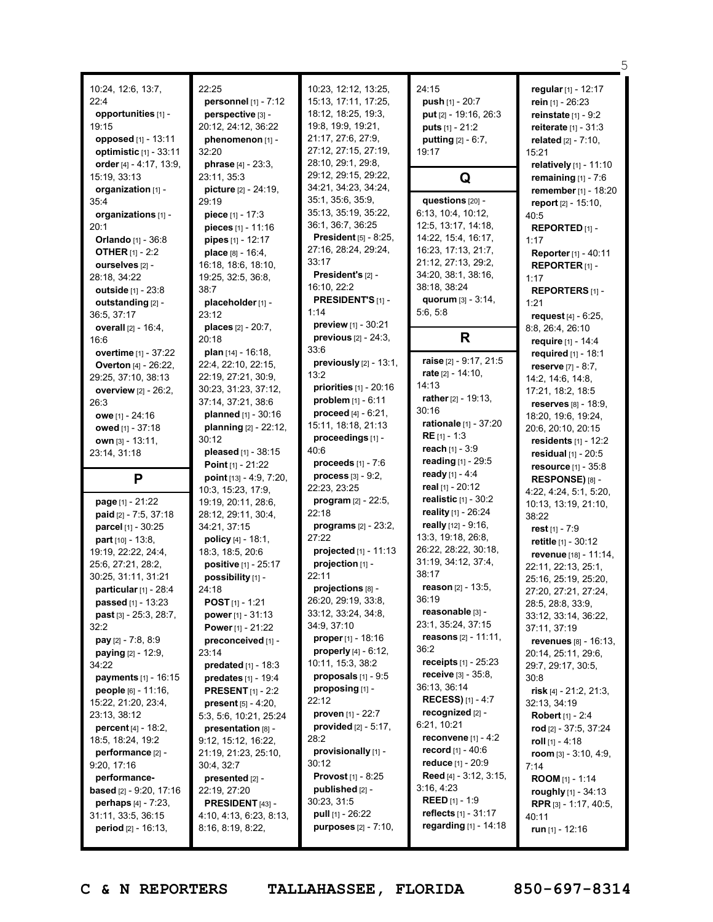|                                                     |                                               |                                                          |                                                          | 5                                              |
|-----------------------------------------------------|-----------------------------------------------|----------------------------------------------------------|----------------------------------------------------------|------------------------------------------------|
| 10:24, 12:6, 13:7,                                  | 22:25                                         | 10:23, 12:12, 13:25,                                     | 24:15                                                    | regular [1] - 12:17                            |
| 22:4                                                | <b>personnel</b> $[1] - 7:12$                 | 15:13, 17:11, 17:25,                                     | push $[1] - 20:7$                                        | rein [1] - 26:23                               |
| opportunities [1] -                                 | perspective [3] -                             | 18:12, 18:25, 19:3,                                      | put [2] - 19:16, 26:3                                    | reinstate $[1] - 9:2$                          |
| 19:15                                               | 20:12, 24:12, 36:22                           | 19:8, 19:9, 19:21,                                       | <b>puts</b> $[1] - 21:2$                                 | reiterate [1] - 31:3                           |
| opposed [1] - 13:11                                 | phenomenon [1] -                              | 21:17, 27:6, 27:9,                                       | <b>putting</b> $[2] - 6:7$ ,                             | related $[2] - 7:10$ ,                         |
| optimistic [1] - 33:11                              | 32:20                                         | 27:12, 27:15, 27:19,                                     | 19:17                                                    | 15:21                                          |
| order [4] - 4:17, 13:9,                             | <b>phrase</b> $[4] - 23:3$ ,                  | 28:10, 29:1, 29:8,                                       |                                                          | relatively [1] - 11:10                         |
| 15:19, 33:13                                        | 23:11, 35:3                                   | 29:12, 29:15, 29:22,                                     | Q                                                        | remaining $[1] - 7:6$                          |
| organization [1] -                                  | picture [2] - 24:19,                          | 34:21, 34:23, 34:24,                                     |                                                          | remember [1] - 18:20                           |
| 35:4                                                | 29:19                                         | 35:1, 35:6, 35:9,                                        | questions [20] -                                         | report [2] - 15:10,                            |
| organizations [1] -                                 | piece $[1] - 17:3$                            | 35:13, 35:19, 35:22,                                     | 6:13, 10:4, 10:12,                                       | 40:5                                           |
| 20:1                                                | <b>pieces</b> $[1] - 11:16$                   | 36:1, 36:7, 36:25                                        | 12:5, 13:17, 14:18,                                      | REPORTED <sub>[1]</sub> -                      |
| <b>Orlando</b> [1] - 36:8                           | pipes $[1] - 12:17$                           | President [5] - 8:25,                                    | 14:22, 15:4, 16:17,                                      | 1:17                                           |
| <b>OTHER</b> [1] - 2:2                              | place [8] - 16:4,                             | 27:16, 28:24, 29:24,                                     | 16:23, 17:13, 21:7,                                      | Reporter [1] - 40:11                           |
| ourselves [2] -                                     | 16:18, 18:6, 18:10,                           | 33:17                                                    | 21:12, 27:13, 29:2,                                      | REPORTER <sub>[1]</sub> -                      |
| 28:18, 34:22                                        | 19:25, 32:5, 36:8,                            | President's [2] -                                        | 34:20, 38:1, 38:16,                                      | 1:17                                           |
| <b>outside</b> $[1] - 23:8$                         | 38:7                                          | 16:10, 22:2                                              | 38:18, 38:24                                             | <b>REPORTERS</b> [1] -                         |
| outstanding [2] -                                   | placeholder [1] -                             | PRESIDENT'S [1] -<br>1:14                                | quorum [3] - 3:14,                                       | 1:21                                           |
| 36:5, 37:17                                         | 23:12                                         | preview [1] - 30:21                                      | 5:6, 5:8                                                 | request $[4] - 6:25$ ,                         |
| overall [2] - 16:4,                                 | places [2] - 20:7,                            |                                                          | R                                                        | 8:8, 26:4, 26:10                               |
| 16:6                                                | 20:18                                         | <b>previous</b> $[2] - 24:3$ ,<br>33:6                   |                                                          | require [1] - 14:4                             |
| overtime [1] - 37:22                                | plan $[14] - 16:18$ ,                         | previously [2] - 13:1,                                   | raise [2] - 9:17, 21:5                                   | required [1] - 18:1                            |
| <b>Overton</b> [4] - 26:22,                         | 22:4, 22:10, 22:15,<br>22:19, 27:21, 30:9,    | 13:2                                                     | rate [2] - 14:10,                                        | <b>reserve</b> $[7] - 8:7$ ,                   |
| 29:25, 37:10, 38:13                                 | 30:23, 31:23, 37:12,                          | priorities [1] - 20:16                                   | 14:13                                                    | 14:2, 14:6, 14:8,                              |
| overview [2] - 26:2,<br>26:3                        | 37:14, 37:21, 38:6                            | problem $[1] - 6:11$                                     | rather [2] - 19:13,                                      | 17:21, 18:2, 18:5                              |
| owe $[1] - 24:16$                                   | planned [1] - 30:16                           | proceed $[4] - 6:21$ ,                                   | 30:16                                                    | reserves $[8] - 18:9$ ,                        |
| owed [1] - 37:18                                    | planning [2] - 22:12,                         | 15:11, 18:18, 21:13                                      | rationale [1] - 37:20                                    | 18:20, 19:6, 19:24,<br>20:6, 20:10, 20:15      |
| <b>own</b> $[3] - 13:11$ ,                          | 30:12                                         | proceedings [1] -                                        | $RE[1] - 1:3$                                            | <b>residents</b> $[1] - 12:2$                  |
|                                                     |                                               |                                                          |                                                          |                                                |
|                                                     |                                               | 40:6                                                     | reach $[1] - 3:9$                                        |                                                |
| 23:14, 31:18                                        | pleased [1] - 38:15                           | proceeds $[1] - 7:6$                                     | reading [1] - 29:5                                       | <b>residual</b> $[1] - 20:5$                   |
|                                                     | Point [1] - 21:22                             | <b>process</b> $[3] - 9:2$ ,                             | ready [1] - 4:4                                          | <b>resource</b> $[1] - 35:8$                   |
| P                                                   | point [13] - 4:9, 7:20,<br>10:3, 15:23, 17:9, | 22:23, 23:25                                             | real $[1] - 20:12$                                       | RESPONSE) [8] -                                |
| page [1] - 21:22                                    | 19:19, 20:11, 28:6,                           | <b>program</b> $[2] - 22:5$ ,                            | realistic $[1] - 30:2$                                   | 4:22, 4:24, 5:1, 5:20,<br>10:13, 13:19, 21:10, |
| paid [2] - 7:5, 37:18                               | 28:12, 29:11, 30:4,                           | 22:18                                                    | reality [1] - 26:24                                      | 38:22                                          |
| parcel [1] - 30:25                                  | 34:21, 37:15                                  | <b>programs</b> $[2] - 23:2,$                            | really [12] - 9:16,                                      | rest [1] - 7:9                                 |
| part [10] - 13:8,                                   | <b>policy</b> $[4] - 18:1$ ,                  | 27:22                                                    | 13:3, 19:18, 26:8,                                       | retitle [1] - 30:12                            |
| 19:19, 22:22, 24:4,                                 | 18:3, 18:5, 20:6                              | projected [1] - 11:13                                    | 26:22, 28:22, 30:18,                                     | <b>revenue</b> [18] - 11:14,                   |
| 25:6, 27:21, 28:2,                                  | positive [1] - 25:17                          | projection [1] -                                         | 31:19, 34:12, 37:4,                                      | 22:11, 22:13, 25:1,                            |
| 30:25, 31:11, 31:21                                 | possibility [1] -                             | 22:11                                                    | 38:17                                                    | 25:16, 25:19, 25:20,                           |
| particular $[1]$ - 28:4                             | 24:18                                         | projections [8] -                                        | reason $[2] - 13:5$ ,                                    | 27:20, 27:21, 27:24,                           |
| passed [1] - 13:23                                  | <b>POST</b> $[1]$ - 1:21                      | 26:20, 29:19, 33:8,                                      | 36:19                                                    | 28:5, 28:8, 33:9,                              |
| past $[3] - 25:3$ , 28:7,                           | <b>power</b> $[1] - 31:13$                    | 33:12, 33:24, 34:8,                                      | reasonable [3] -                                         | 33:12, 33:14, 36:22,                           |
| 32:2                                                | <b>Power</b> [1] - 21:22                      | 34:9, 37:10                                              | 23:1, 35:24, 37:15                                       | 37:11, 37:19                                   |
| <b>pay</b> $[2] - 7:8, 8:9$                         | preconceived [1] -                            | proper [1] - 18:16                                       | <b>reasons</b> $[2] - 11:11$ ,<br>36:2                   | <b>revenues</b> [8] - 16:13,                   |
| <b>paying</b> $[2] - 12:9$ ,                        | 23:14                                         | properly $[4] - 6:12$ ,                                  | <b>receipts</b> $[1] - 25:23$                            | 20:14, 25:11, 29:6,                            |
| 34:22                                               | predated [1] - 18:3                           | 10:11, 15:3, 38:2                                        | receive [3] - 35:8,                                      | 29:7, 29:17, 30:5,                             |
| <b>payments</b> [1] - 16:15                         | predates [1] - 19:4                           | proposals $[1]$ - $9:5$<br>proposing [1] -               | 36:13, 36:14                                             | 30:8                                           |
| <b>people</b> $[6] - 11:16$ ,                       | <b>PRESENT</b> [1] - 2:2                      | 22:12                                                    | <b>RECESS)</b> $[1] - 4:7$                               | risk $[4]$ - 21:2, 21:3,                       |
| 15:22, 21:20, 23:4,<br>23:13, 38:12                 | <b>present</b> $[5] - 4:20$ ,                 | proven $[1] - 22:7$                                      | recognized [2] -                                         | 32:13, 34:19<br><b>Robert</b> $[1] - 2:4$      |
| <b>percent</b> $[4] - 18:2,$                        | 5:3, 5:6, 10:21, 25:24<br>presentation [8] -  | <b>provided</b> $[2] - 5:17$ ,                           | 6:21, 10:21                                              | rod [2] - 37:5, 37:24                          |
| 18:5, 18:24, 19:2                                   | $9:12$ , $15:12$ , $16:22$ ,                  | 28:2                                                     | reconvene $[1] - 4:2$                                    | roll $[1] - 4:18$                              |
| performance [2] -                                   | 21:19, 21:23, 25:10,                          | provisionally [1] -                                      | <b>record</b> $[1] - 40:6$                               | room $[3] - 3:10, 4:9,$                        |
| 9:20, 17:16                                         | 30:4, 32:7                                    | 30:12                                                    | <b>reduce</b> $[1] - 20:9$                               | 7:14                                           |
| performance-                                        | presented [2] -                               | <b>Provost</b> [1] - 8:25                                | <b>Reed</b> [4] $-3:12, 3:15,$                           | <b>ROOM</b> $[1] - 1:14$                       |
| based [2] - 9:20, 17:16                             | 22:19, 27:20                                  | published $[2]$ -                                        | 3:16, 4:23                                               | roughly $[1] - 34:13$                          |
| <b>perhaps</b> $[4] - 7:23$ ,                       | <b>PRESIDENT</b> [43] -                       | 30:23, 31:5                                              | <b>REED</b> $[1] - 1:9$                                  | <b>RPR</b> [3] - 1:17, 40:5,                   |
| 31:11, 33:5, 36:15<br><b>period</b> $[2] - 16:13$ , | 4:10, 4:13, 6:23, 8:13,<br>8:16, 8:19, 8:22,  | <b>pull</b> $[1]$ - 26:22<br><b>purposes</b> [2] - 7:10, | <b>reflects</b> $[1]$ - 31:17<br>regarding $[1] - 14:18$ | 40:11<br>run $[1]$ - 12:16                     |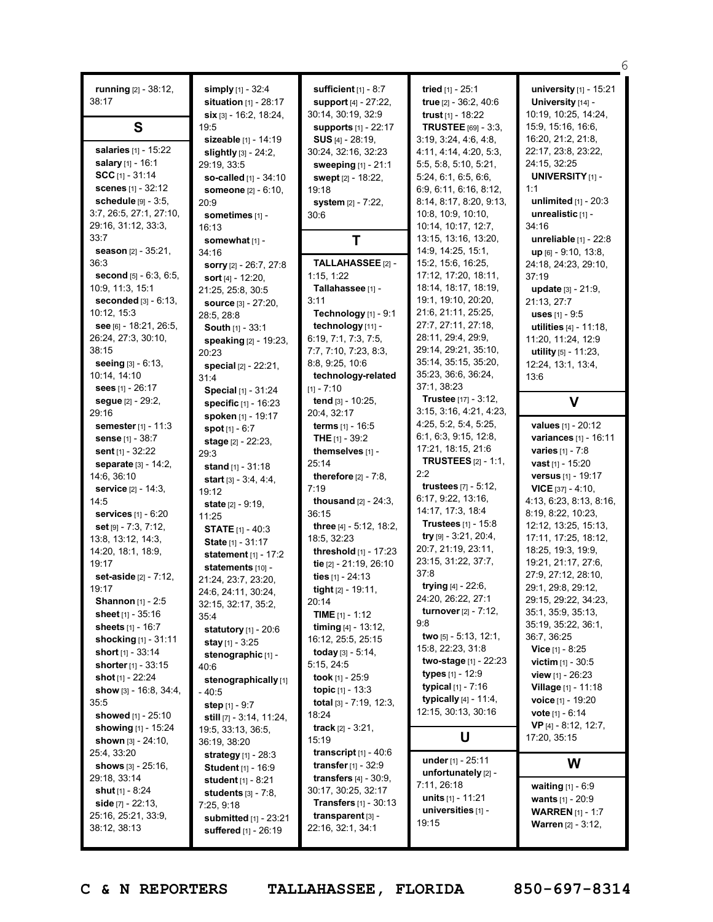| running [2] - 38:12,<br>simply [1] - 32:4<br>sufficient [1] - 8:7<br>tried [1] - 25:1<br>university [1] - 15:21<br>38:17<br>situation $[1]$ - 28:17<br>support [4] - 27:22,<br>true [2] - 36:2, 40:6<br>University [14] -<br>$\sin$ [3] - 16:2, 18:24,<br>30:14, 30:19, 32:9<br>trust <sub>[1]</sub> - 18:22<br>10:19, 10:25, 14:24,<br>S<br><b>TRUSTEE</b> [69] - 3:3,<br>15:9, 15:16, 16:6,<br>19:5<br><b>supports</b> [1] - 22:17<br>16:20, 21:2, 21:8,<br>3:19, 3:24, 4:6, 4:8,<br>sizeable [1] - 14:19<br>$SUS$ [4] - 28:19,<br>salaries [1] - 15:22<br>22:17, 23:8, 23:22,<br>4:11, 4:14, 4:20, 5:3,<br><b>slightly</b> $[3] - 24:2$ ,<br>30:24, 32:16, 32:23<br>salary [1] - 16:1<br>24:15, 32:25<br>5:5, 5:8, 5:10, 5:21,<br>29:19, 33:5<br>sweeping [1] - 21:1<br>$SCC$ [1] - 31:14<br><b>UNIVERSITY</b> [1] -<br>5:24, 6:1, 6:5, 6:6,<br>so-called [1] - 34:10<br>swept [2] - 18:22,<br>scenes [1] - 32:12<br>1:1<br>6:9, 6:11, 6:16, 8:12,<br>someone [2] - 6:10,<br>19:18<br>schedule [9] - 3:5,<br>8:14, 8:17, 8:20, 9:13,<br>unlimited $[1]$ - 20:3<br>system [2] - 7:22,<br>20:9<br>3:7, 26:5, 27:1, 27:10,<br>10:8, 10:9, 10:10,<br>unrealistic [1] -<br>sometimes [1] -<br>30:6<br>29:16, 31:12, 33:3,<br>10:14, 10:17, 12:7,<br>34:16<br>16:13<br>33:7<br>13:15, 13:16, 13:20,<br>unreliable [1] - 22:8<br>Τ<br>somewhat [1] -<br>14:9, 14:25, 15:1,<br>season [2] - 35:21,<br>$up$ [6] - 9:10, 13:8,<br>34:16<br>36:3<br>TALLAHASSEE [2] -<br>15:2, 15:6, 16:25,<br>24:18, 24:23, 29:10,<br>sorry [2] - 26:7, 27:8<br>1:15, 1:22<br>17:12, 17:20, 18:11,<br><b>second</b> $[5] - 6:3, 6:5,$<br>37:19<br>sort $[4] - 12:20$ ,<br>18:14, 18:17, 18:19,<br>Tallahassee [1] -<br>10:9, 11:3, 15:1<br>update [3] - 21:9,<br>21:25, 25:8, 30:5<br>19:1, 19:10, 20:20,<br>seconded $[3] - 6:13$ ,<br>3:11<br>21:13, 27:7<br>source [3] - 27:20,<br>21:6, 21:11, 25:25,<br>10:12, 15:3<br>Technology [1] - 9:1<br>uses $[1] - 9.5$<br>28:5, 28:8<br>27:7, 27:11, 27:18,<br>see [6] - 18:21, 26:5,<br>technology [11] -<br>utilities [4] - 11:18,<br>South [1] - 33:1<br>28:11, 29:4, 29:9,<br>26:24, 27:3, 30:10,<br>6:19, 7:1, 7:3, 7:5,<br>11:20, 11:24, 12:9<br>speaking [2] - 19:23,<br>29:14, 29:21, 35:10,<br>38:15<br>7:7, 7:10, 7:23, 8:3,<br>utility $[5] - 11:23$ ,<br>20:23<br>35:14, 35:15, 35:20,<br>seeing $[3] - 6:13$ ,<br>8:8, 9:25, 10:6<br>12:24, 13:1, 13:4,<br>special [2] - 22:21,<br>35:23, 36:6, 36:24,<br>technology-related<br>10:14, 14:10<br>13:6<br>31:4<br>37:1, 38:23<br>sees $[1] - 26:17$<br>[1] - 7:10<br>Special [1] - 31:24<br>Trustee [17] - 3:12,<br>tend [3] - 10:25,<br>$\mathbf v$<br>segue [2] - 29:2,<br>specific [1] - 16:23<br>3:15, 3:16, 4:21, 4:23,<br>29:16<br>20:4, 32:17<br>spoken [1] - 19:17<br>4:25, 5:2, 5:4, 5:25,<br><b>values</b> $[1] - 20:12$<br>semester [1] - 11:3<br><b>terms</b> $[1] - 16:5$<br><b>spot</b> $[1] - 6:7$<br>6:1, 6:3, 9:15, 12:8,<br>variances [1] - 16:11<br><b>THE</b> $[1]$ - 39:2<br><b>sense</b> $[1] - 38:7$<br>stage [2] - 22:23,<br>17:21, 18:15, 21:6<br>varies [1] - 7:8<br>themselves [1] -<br>sent $[1]$ - 32:22<br>29:3<br><b>TRUSTEES</b> [2] - 1:1,<br>25:14<br><b>vast</b> [1] - 15:20<br>separate [3] - 14:2,<br>stand $[1] - 31:18$<br>2:2<br>versus [1] - 19:17<br>14:6, 36:10<br>therefore $[2] - 7:8$ ,<br>start [3] - 3:4, 4:4,<br><b>trustees</b> $[7] - 5:12$ ,<br>7:19<br><b>VICE</b> $[37] - 4:10$ ,<br><b>service</b> $[2] - 14:3$ ,<br>19:12<br>6:17, 9:22, 13:16,<br>4:13, 6:23, 8:13, 8:16,<br>14:5<br><b>thousand</b> $[2] - 24:3$ ,<br>state [2] - 9:19,<br>14:17, 17:3, 18:4<br>36:15<br>8:19, 8:22, 10:23,<br><b>services</b> $[1] - 6:20$<br>11:25<br>Trustees [1] - 15:8<br>12:12, 13:25, 15:13,<br>three [4] - 5:12, 18:2,<br><b>set</b> $[9] - 7:3, 7:12$<br><b>STATE</b> $[1] - 40:3$<br>try $[9] - 3:21, 20:4,$<br>17:11, 17:25, 18:12,<br>18:5, 32:23<br>13:8, 13:12, 14:3,<br>State [1] - 31:17<br>20:7, 21:19, 23:11,<br>18:25, 19:3, 19:9,<br>threshold [1] - 17:23<br>14:20, 18:1, 18:9,<br>statement $[1] - 17:2$<br>23:15, 31:22, 37:7,<br>19:21, 21:17, 27:6,<br>19:17<br>tie [2] - 21:19, 26:10<br>statements [10] -<br>37:8<br>27:9, 27:12, 28:10,<br>set-aside [2] - 7:12,<br>ties [1] - 24:13<br>21:24, 23:7, 23:20,<br>trying $[4] - 22:6$ ,<br>29:1, 29:8, 29:12,<br>19:17<br>tight [2] - 19:11,<br>24:6, 24:11, 30:24,<br>24:20, 26:22, 27:1<br>29:15, 29:22, 34:23,<br><b>Shannon</b> $[1] - 2:5$<br>20:14<br>32:15, 32:17, 35:2,<br>turnover [2] - 7:12,<br>35:1, 35:9, 35:13,<br>sheet $[1] - 35:16$<br><b>TIME</b> $[1] - 1:12$<br>35:4<br>9.8<br>35:19, 35:22, 36:1,<br>sheets [1] - 16:7<br><b>timing</b> $[4] - 13:12$ ,<br><b>statutory</b> $[1] - 20:6$<br>two [5] - 5:13, 12:1,<br>36:7, 36:25<br><b>shocking</b> $[1]$ - 31:11<br>16:12, 25:5, 25:15<br><b>stay</b> $[1]$ - 3:25<br>15:8, 22:23, 31:8<br><b>Vice</b> $[1]$ - 8:25<br>short [1] - 33:14<br><b>today</b> $[3] - 5:14$ ,<br>stenographic [1] -<br><b>two-stage</b> $[1]$ - 22:23<br><b>victim</b> $[1] - 30:5$<br>5:15, 24:5<br><b>shorter</b> $[1] - 33:15$<br>40:6<br><b>types</b> $[1] - 12:9$<br><b>view</b> $[1]$ - 26:23<br>took [1] - 25:9<br><b>shot</b> [1] - 22:24<br>stenographically[1]<br><b>typical</b> $[1] - 7:16$<br><b>Village</b> [1] - 11:18<br>topic [1] - 13:3<br>show [3] - 16:8, 34:4,<br>- 40:5<br>typically [4] - 11:4,<br>voice [1] - 19:20<br>35:5<br><b>total</b> $[3] - 7:19, 12:3,$<br>step $[1] - 9:7$<br>12:15, 30:13, 30:16<br><b>vote</b> $[1] - 6:14$<br>18:24<br>showed [1] - 25:10<br>still [7] - 3:14, 11:24,<br>VP [4] - 8:12, 12:7,<br><b>track</b> $[2] - 3:21$ ,<br><b>showing</b> [1] - 15:24<br>19:5, 33:13, 36:5,<br>U<br>17:20, 35:15<br>15:19<br>shown $[3] - 24:10$ ,<br>36:19, 38:20<br>transcript $[1] - 40.6$<br>25:4, 33:20<br>strategy [1] - 28:3<br>under $[1] - 25:11$<br>W<br><b>transfer</b> $[1] - 32:9$<br>shows $[3] - 25:16$ ,<br><b>Student</b> [1] - 16:9<br>unfortunately [2] -<br>29:18, 33:14<br><b>transfers</b> $[4] - 30.9$ ,<br><b>student</b> $[1] - 8:21$<br>7:11, 26:18<br><b>waiting</b> $[1] - 6:9$<br>30:17, 30:25, 32:17<br><b>shut</b> $[1]$ - 8:24<br>students $[3] - 7:8$ ,<br>units $[1] - 11:21$<br><b>wants</b> $[1] - 20:9$<br><b>Transfers</b> $[1] - 30:13$<br><b>side</b> $[7] - 22:13$ ,<br>7:25, 9:18<br>universities [1] -<br><b>WARREN</b> [1] - 1:7<br>25:16, 25:21, 33:9,<br>transparent $[3]$ -<br>submitted [1] - 23:21<br>19:15<br><b>Warren</b> [2] - 3:12,<br>38:12, 38:13<br>22:16, 32:1, 34:1<br>suffered [1] - 26:19 |  |  | 6 |
|------------------------------------------------------------------------------------------------------------------------------------------------------------------------------------------------------------------------------------------------------------------------------------------------------------------------------------------------------------------------------------------------------------------------------------------------------------------------------------------------------------------------------------------------------------------------------------------------------------------------------------------------------------------------------------------------------------------------------------------------------------------------------------------------------------------------------------------------------------------------------------------------------------------------------------------------------------------------------------------------------------------------------------------------------------------------------------------------------------------------------------------------------------------------------------------------------------------------------------------------------------------------------------------------------------------------------------------------------------------------------------------------------------------------------------------------------------------------------------------------------------------------------------------------------------------------------------------------------------------------------------------------------------------------------------------------------------------------------------------------------------------------------------------------------------------------------------------------------------------------------------------------------------------------------------------------------------------------------------------------------------------------------------------------------------------------------------------------------------------------------------------------------------------------------------------------------------------------------------------------------------------------------------------------------------------------------------------------------------------------------------------------------------------------------------------------------------------------------------------------------------------------------------------------------------------------------------------------------------------------------------------------------------------------------------------------------------------------------------------------------------------------------------------------------------------------------------------------------------------------------------------------------------------------------------------------------------------------------------------------------------------------------------------------------------------------------------------------------------------------------------------------------------------------------------------------------------------------------------------------------------------------------------------------------------------------------------------------------------------------------------------------------------------------------------------------------------------------------------------------------------------------------------------------------------------------------------------------------------------------------------------------------------------------------------------------------------------------------------------------------------------------------------------------------------------------------------------------------------------------------------------------------------------------------------------------------------------------------------------------------------------------------------------------------------------------------------------------------------------------------------------------------------------------------------------------------------------------------------------------------------------------------------------------------------------------------------------------------------------------------------------------------------------------------------------------------------------------------------------------------------------------------------------------------------------------------------------------------------------------------------------------------------------------------------------------------------------------------------------------------------------------------------------------------------------------------------------------------------------------------------------------------------------------------------------------------------------------------------------------------------------------------------------------------------------------------------------------------------------------------------------------------------------------------------------------------------------------------------------------------------------------------------------------------------------------------------------------------------------------------------------------------------------------------------------------------------------------------------------------------------------------------------------------------------------------------------------------------------------------------------------------------------------------------------------------------------------------------------------------------------------------------------------------------------------------------------------------------------------------------------------------------------------------------------------------------------------------------------------------------------------------------------------------------------------------------------------------------------------------------------------------------------------------------------------------------------------------------------------------------------------------------------------------------------------------------------------------------------------------------------------------------------------------------------------------------------------------------------------------------------------------------------------------------|--|--|---|
|                                                                                                                                                                                                                                                                                                                                                                                                                                                                                                                                                                                                                                                                                                                                                                                                                                                                                                                                                                                                                                                                                                                                                                                                                                                                                                                                                                                                                                                                                                                                                                                                                                                                                                                                                                                                                                                                                                                                                                                                                                                                                                                                                                                                                                                                                                                                                                                                                                                                                                                                                                                                                                                                                                                                                                                                                                                                                                                                                                                                                                                                                                                                                                                                                                                                                                                                                                                                                                                                                                                                                                                                                                                                                                                                                                                                                                                                                                                                                                                                                                                                                                                                                                                                                                                                                                                                                                                                                                                                                                                                                                                                                                                                                                                                                                                                                                                                                                                                                                                                                                                                                                                                                                                                                                                                                                                                                                                                                                                                                                                                                                                                                                                                                                                                                                                                                                                                                                                                                                                                                                                                                                                                                                                                                                                                                                                                                                                                                                                                                                                                                      |  |  |   |
|                                                                                                                                                                                                                                                                                                                                                                                                                                                                                                                                                                                                                                                                                                                                                                                                                                                                                                                                                                                                                                                                                                                                                                                                                                                                                                                                                                                                                                                                                                                                                                                                                                                                                                                                                                                                                                                                                                                                                                                                                                                                                                                                                                                                                                                                                                                                                                                                                                                                                                                                                                                                                                                                                                                                                                                                                                                                                                                                                                                                                                                                                                                                                                                                                                                                                                                                                                                                                                                                                                                                                                                                                                                                                                                                                                                                                                                                                                                                                                                                                                                                                                                                                                                                                                                                                                                                                                                                                                                                                                                                                                                                                                                                                                                                                                                                                                                                                                                                                                                                                                                                                                                                                                                                                                                                                                                                                                                                                                                                                                                                                                                                                                                                                                                                                                                                                                                                                                                                                                                                                                                                                                                                                                                                                                                                                                                                                                                                                                                                                                                                                      |  |  |   |
|                                                                                                                                                                                                                                                                                                                                                                                                                                                                                                                                                                                                                                                                                                                                                                                                                                                                                                                                                                                                                                                                                                                                                                                                                                                                                                                                                                                                                                                                                                                                                                                                                                                                                                                                                                                                                                                                                                                                                                                                                                                                                                                                                                                                                                                                                                                                                                                                                                                                                                                                                                                                                                                                                                                                                                                                                                                                                                                                                                                                                                                                                                                                                                                                                                                                                                                                                                                                                                                                                                                                                                                                                                                                                                                                                                                                                                                                                                                                                                                                                                                                                                                                                                                                                                                                                                                                                                                                                                                                                                                                                                                                                                                                                                                                                                                                                                                                                                                                                                                                                                                                                                                                                                                                                                                                                                                                                                                                                                                                                                                                                                                                                                                                                                                                                                                                                                                                                                                                                                                                                                                                                                                                                                                                                                                                                                                                                                                                                                                                                                                                                      |  |  |   |
|                                                                                                                                                                                                                                                                                                                                                                                                                                                                                                                                                                                                                                                                                                                                                                                                                                                                                                                                                                                                                                                                                                                                                                                                                                                                                                                                                                                                                                                                                                                                                                                                                                                                                                                                                                                                                                                                                                                                                                                                                                                                                                                                                                                                                                                                                                                                                                                                                                                                                                                                                                                                                                                                                                                                                                                                                                                                                                                                                                                                                                                                                                                                                                                                                                                                                                                                                                                                                                                                                                                                                                                                                                                                                                                                                                                                                                                                                                                                                                                                                                                                                                                                                                                                                                                                                                                                                                                                                                                                                                                                                                                                                                                                                                                                                                                                                                                                                                                                                                                                                                                                                                                                                                                                                                                                                                                                                                                                                                                                                                                                                                                                                                                                                                                                                                                                                                                                                                                                                                                                                                                                                                                                                                                                                                                                                                                                                                                                                                                                                                                                                      |  |  |   |
|                                                                                                                                                                                                                                                                                                                                                                                                                                                                                                                                                                                                                                                                                                                                                                                                                                                                                                                                                                                                                                                                                                                                                                                                                                                                                                                                                                                                                                                                                                                                                                                                                                                                                                                                                                                                                                                                                                                                                                                                                                                                                                                                                                                                                                                                                                                                                                                                                                                                                                                                                                                                                                                                                                                                                                                                                                                                                                                                                                                                                                                                                                                                                                                                                                                                                                                                                                                                                                                                                                                                                                                                                                                                                                                                                                                                                                                                                                                                                                                                                                                                                                                                                                                                                                                                                                                                                                                                                                                                                                                                                                                                                                                                                                                                                                                                                                                                                                                                                                                                                                                                                                                                                                                                                                                                                                                                                                                                                                                                                                                                                                                                                                                                                                                                                                                                                                                                                                                                                                                                                                                                                                                                                                                                                                                                                                                                                                                                                                                                                                                                                      |  |  |   |
|                                                                                                                                                                                                                                                                                                                                                                                                                                                                                                                                                                                                                                                                                                                                                                                                                                                                                                                                                                                                                                                                                                                                                                                                                                                                                                                                                                                                                                                                                                                                                                                                                                                                                                                                                                                                                                                                                                                                                                                                                                                                                                                                                                                                                                                                                                                                                                                                                                                                                                                                                                                                                                                                                                                                                                                                                                                                                                                                                                                                                                                                                                                                                                                                                                                                                                                                                                                                                                                                                                                                                                                                                                                                                                                                                                                                                                                                                                                                                                                                                                                                                                                                                                                                                                                                                                                                                                                                                                                                                                                                                                                                                                                                                                                                                                                                                                                                                                                                                                                                                                                                                                                                                                                                                                                                                                                                                                                                                                                                                                                                                                                                                                                                                                                                                                                                                                                                                                                                                                                                                                                                                                                                                                                                                                                                                                                                                                                                                                                                                                                                                      |  |  |   |
|                                                                                                                                                                                                                                                                                                                                                                                                                                                                                                                                                                                                                                                                                                                                                                                                                                                                                                                                                                                                                                                                                                                                                                                                                                                                                                                                                                                                                                                                                                                                                                                                                                                                                                                                                                                                                                                                                                                                                                                                                                                                                                                                                                                                                                                                                                                                                                                                                                                                                                                                                                                                                                                                                                                                                                                                                                                                                                                                                                                                                                                                                                                                                                                                                                                                                                                                                                                                                                                                                                                                                                                                                                                                                                                                                                                                                                                                                                                                                                                                                                                                                                                                                                                                                                                                                                                                                                                                                                                                                                                                                                                                                                                                                                                                                                                                                                                                                                                                                                                                                                                                                                                                                                                                                                                                                                                                                                                                                                                                                                                                                                                                                                                                                                                                                                                                                                                                                                                                                                                                                                                                                                                                                                                                                                                                                                                                                                                                                                                                                                                                                      |  |  |   |
|                                                                                                                                                                                                                                                                                                                                                                                                                                                                                                                                                                                                                                                                                                                                                                                                                                                                                                                                                                                                                                                                                                                                                                                                                                                                                                                                                                                                                                                                                                                                                                                                                                                                                                                                                                                                                                                                                                                                                                                                                                                                                                                                                                                                                                                                                                                                                                                                                                                                                                                                                                                                                                                                                                                                                                                                                                                                                                                                                                                                                                                                                                                                                                                                                                                                                                                                                                                                                                                                                                                                                                                                                                                                                                                                                                                                                                                                                                                                                                                                                                                                                                                                                                                                                                                                                                                                                                                                                                                                                                                                                                                                                                                                                                                                                                                                                                                                                                                                                                                                                                                                                                                                                                                                                                                                                                                                                                                                                                                                                                                                                                                                                                                                                                                                                                                                                                                                                                                                                                                                                                                                                                                                                                                                                                                                                                                                                                                                                                                                                                                                                      |  |  |   |
|                                                                                                                                                                                                                                                                                                                                                                                                                                                                                                                                                                                                                                                                                                                                                                                                                                                                                                                                                                                                                                                                                                                                                                                                                                                                                                                                                                                                                                                                                                                                                                                                                                                                                                                                                                                                                                                                                                                                                                                                                                                                                                                                                                                                                                                                                                                                                                                                                                                                                                                                                                                                                                                                                                                                                                                                                                                                                                                                                                                                                                                                                                                                                                                                                                                                                                                                                                                                                                                                                                                                                                                                                                                                                                                                                                                                                                                                                                                                                                                                                                                                                                                                                                                                                                                                                                                                                                                                                                                                                                                                                                                                                                                                                                                                                                                                                                                                                                                                                                                                                                                                                                                                                                                                                                                                                                                                                                                                                                                                                                                                                                                                                                                                                                                                                                                                                                                                                                                                                                                                                                                                                                                                                                                                                                                                                                                                                                                                                                                                                                                                                      |  |  |   |
|                                                                                                                                                                                                                                                                                                                                                                                                                                                                                                                                                                                                                                                                                                                                                                                                                                                                                                                                                                                                                                                                                                                                                                                                                                                                                                                                                                                                                                                                                                                                                                                                                                                                                                                                                                                                                                                                                                                                                                                                                                                                                                                                                                                                                                                                                                                                                                                                                                                                                                                                                                                                                                                                                                                                                                                                                                                                                                                                                                                                                                                                                                                                                                                                                                                                                                                                                                                                                                                                                                                                                                                                                                                                                                                                                                                                                                                                                                                                                                                                                                                                                                                                                                                                                                                                                                                                                                                                                                                                                                                                                                                                                                                                                                                                                                                                                                                                                                                                                                                                                                                                                                                                                                                                                                                                                                                                                                                                                                                                                                                                                                                                                                                                                                                                                                                                                                                                                                                                                                                                                                                                                                                                                                                                                                                                                                                                                                                                                                                                                                                                                      |  |  |   |
|                                                                                                                                                                                                                                                                                                                                                                                                                                                                                                                                                                                                                                                                                                                                                                                                                                                                                                                                                                                                                                                                                                                                                                                                                                                                                                                                                                                                                                                                                                                                                                                                                                                                                                                                                                                                                                                                                                                                                                                                                                                                                                                                                                                                                                                                                                                                                                                                                                                                                                                                                                                                                                                                                                                                                                                                                                                                                                                                                                                                                                                                                                                                                                                                                                                                                                                                                                                                                                                                                                                                                                                                                                                                                                                                                                                                                                                                                                                                                                                                                                                                                                                                                                                                                                                                                                                                                                                                                                                                                                                                                                                                                                                                                                                                                                                                                                                                                                                                                                                                                                                                                                                                                                                                                                                                                                                                                                                                                                                                                                                                                                                                                                                                                                                                                                                                                                                                                                                                                                                                                                                                                                                                                                                                                                                                                                                                                                                                                                                                                                                                                      |  |  |   |
|                                                                                                                                                                                                                                                                                                                                                                                                                                                                                                                                                                                                                                                                                                                                                                                                                                                                                                                                                                                                                                                                                                                                                                                                                                                                                                                                                                                                                                                                                                                                                                                                                                                                                                                                                                                                                                                                                                                                                                                                                                                                                                                                                                                                                                                                                                                                                                                                                                                                                                                                                                                                                                                                                                                                                                                                                                                                                                                                                                                                                                                                                                                                                                                                                                                                                                                                                                                                                                                                                                                                                                                                                                                                                                                                                                                                                                                                                                                                                                                                                                                                                                                                                                                                                                                                                                                                                                                                                                                                                                                                                                                                                                                                                                                                                                                                                                                                                                                                                                                                                                                                                                                                                                                                                                                                                                                                                                                                                                                                                                                                                                                                                                                                                                                                                                                                                                                                                                                                                                                                                                                                                                                                                                                                                                                                                                                                                                                                                                                                                                                                                      |  |  |   |
|                                                                                                                                                                                                                                                                                                                                                                                                                                                                                                                                                                                                                                                                                                                                                                                                                                                                                                                                                                                                                                                                                                                                                                                                                                                                                                                                                                                                                                                                                                                                                                                                                                                                                                                                                                                                                                                                                                                                                                                                                                                                                                                                                                                                                                                                                                                                                                                                                                                                                                                                                                                                                                                                                                                                                                                                                                                                                                                                                                                                                                                                                                                                                                                                                                                                                                                                                                                                                                                                                                                                                                                                                                                                                                                                                                                                                                                                                                                                                                                                                                                                                                                                                                                                                                                                                                                                                                                                                                                                                                                                                                                                                                                                                                                                                                                                                                                                                                                                                                                                                                                                                                                                                                                                                                                                                                                                                                                                                                                                                                                                                                                                                                                                                                                                                                                                                                                                                                                                                                                                                                                                                                                                                                                                                                                                                                                                                                                                                                                                                                                                                      |  |  |   |
|                                                                                                                                                                                                                                                                                                                                                                                                                                                                                                                                                                                                                                                                                                                                                                                                                                                                                                                                                                                                                                                                                                                                                                                                                                                                                                                                                                                                                                                                                                                                                                                                                                                                                                                                                                                                                                                                                                                                                                                                                                                                                                                                                                                                                                                                                                                                                                                                                                                                                                                                                                                                                                                                                                                                                                                                                                                                                                                                                                                                                                                                                                                                                                                                                                                                                                                                                                                                                                                                                                                                                                                                                                                                                                                                                                                                                                                                                                                                                                                                                                                                                                                                                                                                                                                                                                                                                                                                                                                                                                                                                                                                                                                                                                                                                                                                                                                                                                                                                                                                                                                                                                                                                                                                                                                                                                                                                                                                                                                                                                                                                                                                                                                                                                                                                                                                                                                                                                                                                                                                                                                                                                                                                                                                                                                                                                                                                                                                                                                                                                                                                      |  |  |   |
|                                                                                                                                                                                                                                                                                                                                                                                                                                                                                                                                                                                                                                                                                                                                                                                                                                                                                                                                                                                                                                                                                                                                                                                                                                                                                                                                                                                                                                                                                                                                                                                                                                                                                                                                                                                                                                                                                                                                                                                                                                                                                                                                                                                                                                                                                                                                                                                                                                                                                                                                                                                                                                                                                                                                                                                                                                                                                                                                                                                                                                                                                                                                                                                                                                                                                                                                                                                                                                                                                                                                                                                                                                                                                                                                                                                                                                                                                                                                                                                                                                                                                                                                                                                                                                                                                                                                                                                                                                                                                                                                                                                                                                                                                                                                                                                                                                                                                                                                                                                                                                                                                                                                                                                                                                                                                                                                                                                                                                                                                                                                                                                                                                                                                                                                                                                                                                                                                                                                                                                                                                                                                                                                                                                                                                                                                                                                                                                                                                                                                                                                                      |  |  |   |
|                                                                                                                                                                                                                                                                                                                                                                                                                                                                                                                                                                                                                                                                                                                                                                                                                                                                                                                                                                                                                                                                                                                                                                                                                                                                                                                                                                                                                                                                                                                                                                                                                                                                                                                                                                                                                                                                                                                                                                                                                                                                                                                                                                                                                                                                                                                                                                                                                                                                                                                                                                                                                                                                                                                                                                                                                                                                                                                                                                                                                                                                                                                                                                                                                                                                                                                                                                                                                                                                                                                                                                                                                                                                                                                                                                                                                                                                                                                                                                                                                                                                                                                                                                                                                                                                                                                                                                                                                                                                                                                                                                                                                                                                                                                                                                                                                                                                                                                                                                                                                                                                                                                                                                                                                                                                                                                                                                                                                                                                                                                                                                                                                                                                                                                                                                                                                                                                                                                                                                                                                                                                                                                                                                                                                                                                                                                                                                                                                                                                                                                                                      |  |  |   |
|                                                                                                                                                                                                                                                                                                                                                                                                                                                                                                                                                                                                                                                                                                                                                                                                                                                                                                                                                                                                                                                                                                                                                                                                                                                                                                                                                                                                                                                                                                                                                                                                                                                                                                                                                                                                                                                                                                                                                                                                                                                                                                                                                                                                                                                                                                                                                                                                                                                                                                                                                                                                                                                                                                                                                                                                                                                                                                                                                                                                                                                                                                                                                                                                                                                                                                                                                                                                                                                                                                                                                                                                                                                                                                                                                                                                                                                                                                                                                                                                                                                                                                                                                                                                                                                                                                                                                                                                                                                                                                                                                                                                                                                                                                                                                                                                                                                                                                                                                                                                                                                                                                                                                                                                                                                                                                                                                                                                                                                                                                                                                                                                                                                                                                                                                                                                                                                                                                                                                                                                                                                                                                                                                                                                                                                                                                                                                                                                                                                                                                                                                      |  |  |   |
|                                                                                                                                                                                                                                                                                                                                                                                                                                                                                                                                                                                                                                                                                                                                                                                                                                                                                                                                                                                                                                                                                                                                                                                                                                                                                                                                                                                                                                                                                                                                                                                                                                                                                                                                                                                                                                                                                                                                                                                                                                                                                                                                                                                                                                                                                                                                                                                                                                                                                                                                                                                                                                                                                                                                                                                                                                                                                                                                                                                                                                                                                                                                                                                                                                                                                                                                                                                                                                                                                                                                                                                                                                                                                                                                                                                                                                                                                                                                                                                                                                                                                                                                                                                                                                                                                                                                                                                                                                                                                                                                                                                                                                                                                                                                                                                                                                                                                                                                                                                                                                                                                                                                                                                                                                                                                                                                                                                                                                                                                                                                                                                                                                                                                                                                                                                                                                                                                                                                                                                                                                                                                                                                                                                                                                                                                                                                                                                                                                                                                                                                                      |  |  |   |
|                                                                                                                                                                                                                                                                                                                                                                                                                                                                                                                                                                                                                                                                                                                                                                                                                                                                                                                                                                                                                                                                                                                                                                                                                                                                                                                                                                                                                                                                                                                                                                                                                                                                                                                                                                                                                                                                                                                                                                                                                                                                                                                                                                                                                                                                                                                                                                                                                                                                                                                                                                                                                                                                                                                                                                                                                                                                                                                                                                                                                                                                                                                                                                                                                                                                                                                                                                                                                                                                                                                                                                                                                                                                                                                                                                                                                                                                                                                                                                                                                                                                                                                                                                                                                                                                                                                                                                                                                                                                                                                                                                                                                                                                                                                                                                                                                                                                                                                                                                                                                                                                                                                                                                                                                                                                                                                                                                                                                                                                                                                                                                                                                                                                                                                                                                                                                                                                                                                                                                                                                                                                                                                                                                                                                                                                                                                                                                                                                                                                                                                                                      |  |  |   |
|                                                                                                                                                                                                                                                                                                                                                                                                                                                                                                                                                                                                                                                                                                                                                                                                                                                                                                                                                                                                                                                                                                                                                                                                                                                                                                                                                                                                                                                                                                                                                                                                                                                                                                                                                                                                                                                                                                                                                                                                                                                                                                                                                                                                                                                                                                                                                                                                                                                                                                                                                                                                                                                                                                                                                                                                                                                                                                                                                                                                                                                                                                                                                                                                                                                                                                                                                                                                                                                                                                                                                                                                                                                                                                                                                                                                                                                                                                                                                                                                                                                                                                                                                                                                                                                                                                                                                                                                                                                                                                                                                                                                                                                                                                                                                                                                                                                                                                                                                                                                                                                                                                                                                                                                                                                                                                                                                                                                                                                                                                                                                                                                                                                                                                                                                                                                                                                                                                                                                                                                                                                                                                                                                                                                                                                                                                                                                                                                                                                                                                                                                      |  |  |   |
|                                                                                                                                                                                                                                                                                                                                                                                                                                                                                                                                                                                                                                                                                                                                                                                                                                                                                                                                                                                                                                                                                                                                                                                                                                                                                                                                                                                                                                                                                                                                                                                                                                                                                                                                                                                                                                                                                                                                                                                                                                                                                                                                                                                                                                                                                                                                                                                                                                                                                                                                                                                                                                                                                                                                                                                                                                                                                                                                                                                                                                                                                                                                                                                                                                                                                                                                                                                                                                                                                                                                                                                                                                                                                                                                                                                                                                                                                                                                                                                                                                                                                                                                                                                                                                                                                                                                                                                                                                                                                                                                                                                                                                                                                                                                                                                                                                                                                                                                                                                                                                                                                                                                                                                                                                                                                                                                                                                                                                                                                                                                                                                                                                                                                                                                                                                                                                                                                                                                                                                                                                                                                                                                                                                                                                                                                                                                                                                                                                                                                                                                                      |  |  |   |
|                                                                                                                                                                                                                                                                                                                                                                                                                                                                                                                                                                                                                                                                                                                                                                                                                                                                                                                                                                                                                                                                                                                                                                                                                                                                                                                                                                                                                                                                                                                                                                                                                                                                                                                                                                                                                                                                                                                                                                                                                                                                                                                                                                                                                                                                                                                                                                                                                                                                                                                                                                                                                                                                                                                                                                                                                                                                                                                                                                                                                                                                                                                                                                                                                                                                                                                                                                                                                                                                                                                                                                                                                                                                                                                                                                                                                                                                                                                                                                                                                                                                                                                                                                                                                                                                                                                                                                                                                                                                                                                                                                                                                                                                                                                                                                                                                                                                                                                                                                                                                                                                                                                                                                                                                                                                                                                                                                                                                                                                                                                                                                                                                                                                                                                                                                                                                                                                                                                                                                                                                                                                                                                                                                                                                                                                                                                                                                                                                                                                                                                                                      |  |  |   |
|                                                                                                                                                                                                                                                                                                                                                                                                                                                                                                                                                                                                                                                                                                                                                                                                                                                                                                                                                                                                                                                                                                                                                                                                                                                                                                                                                                                                                                                                                                                                                                                                                                                                                                                                                                                                                                                                                                                                                                                                                                                                                                                                                                                                                                                                                                                                                                                                                                                                                                                                                                                                                                                                                                                                                                                                                                                                                                                                                                                                                                                                                                                                                                                                                                                                                                                                                                                                                                                                                                                                                                                                                                                                                                                                                                                                                                                                                                                                                                                                                                                                                                                                                                                                                                                                                                                                                                                                                                                                                                                                                                                                                                                                                                                                                                                                                                                                                                                                                                                                                                                                                                                                                                                                                                                                                                                                                                                                                                                                                                                                                                                                                                                                                                                                                                                                                                                                                                                                                                                                                                                                                                                                                                                                                                                                                                                                                                                                                                                                                                                                                      |  |  |   |
|                                                                                                                                                                                                                                                                                                                                                                                                                                                                                                                                                                                                                                                                                                                                                                                                                                                                                                                                                                                                                                                                                                                                                                                                                                                                                                                                                                                                                                                                                                                                                                                                                                                                                                                                                                                                                                                                                                                                                                                                                                                                                                                                                                                                                                                                                                                                                                                                                                                                                                                                                                                                                                                                                                                                                                                                                                                                                                                                                                                                                                                                                                                                                                                                                                                                                                                                                                                                                                                                                                                                                                                                                                                                                                                                                                                                                                                                                                                                                                                                                                                                                                                                                                                                                                                                                                                                                                                                                                                                                                                                                                                                                                                                                                                                                                                                                                                                                                                                                                                                                                                                                                                                                                                                                                                                                                                                                                                                                                                                                                                                                                                                                                                                                                                                                                                                                                                                                                                                                                                                                                                                                                                                                                                                                                                                                                                                                                                                                                                                                                                                                      |  |  |   |
|                                                                                                                                                                                                                                                                                                                                                                                                                                                                                                                                                                                                                                                                                                                                                                                                                                                                                                                                                                                                                                                                                                                                                                                                                                                                                                                                                                                                                                                                                                                                                                                                                                                                                                                                                                                                                                                                                                                                                                                                                                                                                                                                                                                                                                                                                                                                                                                                                                                                                                                                                                                                                                                                                                                                                                                                                                                                                                                                                                                                                                                                                                                                                                                                                                                                                                                                                                                                                                                                                                                                                                                                                                                                                                                                                                                                                                                                                                                                                                                                                                                                                                                                                                                                                                                                                                                                                                                                                                                                                                                                                                                                                                                                                                                                                                                                                                                                                                                                                                                                                                                                                                                                                                                                                                                                                                                                                                                                                                                                                                                                                                                                                                                                                                                                                                                                                                                                                                                                                                                                                                                                                                                                                                                                                                                                                                                                                                                                                                                                                                                                                      |  |  |   |
|                                                                                                                                                                                                                                                                                                                                                                                                                                                                                                                                                                                                                                                                                                                                                                                                                                                                                                                                                                                                                                                                                                                                                                                                                                                                                                                                                                                                                                                                                                                                                                                                                                                                                                                                                                                                                                                                                                                                                                                                                                                                                                                                                                                                                                                                                                                                                                                                                                                                                                                                                                                                                                                                                                                                                                                                                                                                                                                                                                                                                                                                                                                                                                                                                                                                                                                                                                                                                                                                                                                                                                                                                                                                                                                                                                                                                                                                                                                                                                                                                                                                                                                                                                                                                                                                                                                                                                                                                                                                                                                                                                                                                                                                                                                                                                                                                                                                                                                                                                                                                                                                                                                                                                                                                                                                                                                                                                                                                                                                                                                                                                                                                                                                                                                                                                                                                                                                                                                                                                                                                                                                                                                                                                                                                                                                                                                                                                                                                                                                                                                                                      |  |  |   |
|                                                                                                                                                                                                                                                                                                                                                                                                                                                                                                                                                                                                                                                                                                                                                                                                                                                                                                                                                                                                                                                                                                                                                                                                                                                                                                                                                                                                                                                                                                                                                                                                                                                                                                                                                                                                                                                                                                                                                                                                                                                                                                                                                                                                                                                                                                                                                                                                                                                                                                                                                                                                                                                                                                                                                                                                                                                                                                                                                                                                                                                                                                                                                                                                                                                                                                                                                                                                                                                                                                                                                                                                                                                                                                                                                                                                                                                                                                                                                                                                                                                                                                                                                                                                                                                                                                                                                                                                                                                                                                                                                                                                                                                                                                                                                                                                                                                                                                                                                                                                                                                                                                                                                                                                                                                                                                                                                                                                                                                                                                                                                                                                                                                                                                                                                                                                                                                                                                                                                                                                                                                                                                                                                                                                                                                                                                                                                                                                                                                                                                                                                      |  |  |   |
|                                                                                                                                                                                                                                                                                                                                                                                                                                                                                                                                                                                                                                                                                                                                                                                                                                                                                                                                                                                                                                                                                                                                                                                                                                                                                                                                                                                                                                                                                                                                                                                                                                                                                                                                                                                                                                                                                                                                                                                                                                                                                                                                                                                                                                                                                                                                                                                                                                                                                                                                                                                                                                                                                                                                                                                                                                                                                                                                                                                                                                                                                                                                                                                                                                                                                                                                                                                                                                                                                                                                                                                                                                                                                                                                                                                                                                                                                                                                                                                                                                                                                                                                                                                                                                                                                                                                                                                                                                                                                                                                                                                                                                                                                                                                                                                                                                                                                                                                                                                                                                                                                                                                                                                                                                                                                                                                                                                                                                                                                                                                                                                                                                                                                                                                                                                                                                                                                                                                                                                                                                                                                                                                                                                                                                                                                                                                                                                                                                                                                                                                                      |  |  |   |
|                                                                                                                                                                                                                                                                                                                                                                                                                                                                                                                                                                                                                                                                                                                                                                                                                                                                                                                                                                                                                                                                                                                                                                                                                                                                                                                                                                                                                                                                                                                                                                                                                                                                                                                                                                                                                                                                                                                                                                                                                                                                                                                                                                                                                                                                                                                                                                                                                                                                                                                                                                                                                                                                                                                                                                                                                                                                                                                                                                                                                                                                                                                                                                                                                                                                                                                                                                                                                                                                                                                                                                                                                                                                                                                                                                                                                                                                                                                                                                                                                                                                                                                                                                                                                                                                                                                                                                                                                                                                                                                                                                                                                                                                                                                                                                                                                                                                                                                                                                                                                                                                                                                                                                                                                                                                                                                                                                                                                                                                                                                                                                                                                                                                                                                                                                                                                                                                                                                                                                                                                                                                                                                                                                                                                                                                                                                                                                                                                                                                                                                                                      |  |  |   |
|                                                                                                                                                                                                                                                                                                                                                                                                                                                                                                                                                                                                                                                                                                                                                                                                                                                                                                                                                                                                                                                                                                                                                                                                                                                                                                                                                                                                                                                                                                                                                                                                                                                                                                                                                                                                                                                                                                                                                                                                                                                                                                                                                                                                                                                                                                                                                                                                                                                                                                                                                                                                                                                                                                                                                                                                                                                                                                                                                                                                                                                                                                                                                                                                                                                                                                                                                                                                                                                                                                                                                                                                                                                                                                                                                                                                                                                                                                                                                                                                                                                                                                                                                                                                                                                                                                                                                                                                                                                                                                                                                                                                                                                                                                                                                                                                                                                                                                                                                                                                                                                                                                                                                                                                                                                                                                                                                                                                                                                                                                                                                                                                                                                                                                                                                                                                                                                                                                                                                                                                                                                                                                                                                                                                                                                                                                                                                                                                                                                                                                                                                      |  |  |   |
|                                                                                                                                                                                                                                                                                                                                                                                                                                                                                                                                                                                                                                                                                                                                                                                                                                                                                                                                                                                                                                                                                                                                                                                                                                                                                                                                                                                                                                                                                                                                                                                                                                                                                                                                                                                                                                                                                                                                                                                                                                                                                                                                                                                                                                                                                                                                                                                                                                                                                                                                                                                                                                                                                                                                                                                                                                                                                                                                                                                                                                                                                                                                                                                                                                                                                                                                                                                                                                                                                                                                                                                                                                                                                                                                                                                                                                                                                                                                                                                                                                                                                                                                                                                                                                                                                                                                                                                                                                                                                                                                                                                                                                                                                                                                                                                                                                                                                                                                                                                                                                                                                                                                                                                                                                                                                                                                                                                                                                                                                                                                                                                                                                                                                                                                                                                                                                                                                                                                                                                                                                                                                                                                                                                                                                                                                                                                                                                                                                                                                                                                                      |  |  |   |
|                                                                                                                                                                                                                                                                                                                                                                                                                                                                                                                                                                                                                                                                                                                                                                                                                                                                                                                                                                                                                                                                                                                                                                                                                                                                                                                                                                                                                                                                                                                                                                                                                                                                                                                                                                                                                                                                                                                                                                                                                                                                                                                                                                                                                                                                                                                                                                                                                                                                                                                                                                                                                                                                                                                                                                                                                                                                                                                                                                                                                                                                                                                                                                                                                                                                                                                                                                                                                                                                                                                                                                                                                                                                                                                                                                                                                                                                                                                                                                                                                                                                                                                                                                                                                                                                                                                                                                                                                                                                                                                                                                                                                                                                                                                                                                                                                                                                                                                                                                                                                                                                                                                                                                                                                                                                                                                                                                                                                                                                                                                                                                                                                                                                                                                                                                                                                                                                                                                                                                                                                                                                                                                                                                                                                                                                                                                                                                                                                                                                                                                                                      |  |  |   |
|                                                                                                                                                                                                                                                                                                                                                                                                                                                                                                                                                                                                                                                                                                                                                                                                                                                                                                                                                                                                                                                                                                                                                                                                                                                                                                                                                                                                                                                                                                                                                                                                                                                                                                                                                                                                                                                                                                                                                                                                                                                                                                                                                                                                                                                                                                                                                                                                                                                                                                                                                                                                                                                                                                                                                                                                                                                                                                                                                                                                                                                                                                                                                                                                                                                                                                                                                                                                                                                                                                                                                                                                                                                                                                                                                                                                                                                                                                                                                                                                                                                                                                                                                                                                                                                                                                                                                                                                                                                                                                                                                                                                                                                                                                                                                                                                                                                                                                                                                                                                                                                                                                                                                                                                                                                                                                                                                                                                                                                                                                                                                                                                                                                                                                                                                                                                                                                                                                                                                                                                                                                                                                                                                                                                                                                                                                                                                                                                                                                                                                                                                      |  |  |   |
|                                                                                                                                                                                                                                                                                                                                                                                                                                                                                                                                                                                                                                                                                                                                                                                                                                                                                                                                                                                                                                                                                                                                                                                                                                                                                                                                                                                                                                                                                                                                                                                                                                                                                                                                                                                                                                                                                                                                                                                                                                                                                                                                                                                                                                                                                                                                                                                                                                                                                                                                                                                                                                                                                                                                                                                                                                                                                                                                                                                                                                                                                                                                                                                                                                                                                                                                                                                                                                                                                                                                                                                                                                                                                                                                                                                                                                                                                                                                                                                                                                                                                                                                                                                                                                                                                                                                                                                                                                                                                                                                                                                                                                                                                                                                                                                                                                                                                                                                                                                                                                                                                                                                                                                                                                                                                                                                                                                                                                                                                                                                                                                                                                                                                                                                                                                                                                                                                                                                                                                                                                                                                                                                                                                                                                                                                                                                                                                                                                                                                                                                                      |  |  |   |
|                                                                                                                                                                                                                                                                                                                                                                                                                                                                                                                                                                                                                                                                                                                                                                                                                                                                                                                                                                                                                                                                                                                                                                                                                                                                                                                                                                                                                                                                                                                                                                                                                                                                                                                                                                                                                                                                                                                                                                                                                                                                                                                                                                                                                                                                                                                                                                                                                                                                                                                                                                                                                                                                                                                                                                                                                                                                                                                                                                                                                                                                                                                                                                                                                                                                                                                                                                                                                                                                                                                                                                                                                                                                                                                                                                                                                                                                                                                                                                                                                                                                                                                                                                                                                                                                                                                                                                                                                                                                                                                                                                                                                                                                                                                                                                                                                                                                                                                                                                                                                                                                                                                                                                                                                                                                                                                                                                                                                                                                                                                                                                                                                                                                                                                                                                                                                                                                                                                                                                                                                                                                                                                                                                                                                                                                                                                                                                                                                                                                                                                                                      |  |  |   |
|                                                                                                                                                                                                                                                                                                                                                                                                                                                                                                                                                                                                                                                                                                                                                                                                                                                                                                                                                                                                                                                                                                                                                                                                                                                                                                                                                                                                                                                                                                                                                                                                                                                                                                                                                                                                                                                                                                                                                                                                                                                                                                                                                                                                                                                                                                                                                                                                                                                                                                                                                                                                                                                                                                                                                                                                                                                                                                                                                                                                                                                                                                                                                                                                                                                                                                                                                                                                                                                                                                                                                                                                                                                                                                                                                                                                                                                                                                                                                                                                                                                                                                                                                                                                                                                                                                                                                                                                                                                                                                                                                                                                                                                                                                                                                                                                                                                                                                                                                                                                                                                                                                                                                                                                                                                                                                                                                                                                                                                                                                                                                                                                                                                                                                                                                                                                                                                                                                                                                                                                                                                                                                                                                                                                                                                                                                                                                                                                                                                                                                                                                      |  |  |   |
|                                                                                                                                                                                                                                                                                                                                                                                                                                                                                                                                                                                                                                                                                                                                                                                                                                                                                                                                                                                                                                                                                                                                                                                                                                                                                                                                                                                                                                                                                                                                                                                                                                                                                                                                                                                                                                                                                                                                                                                                                                                                                                                                                                                                                                                                                                                                                                                                                                                                                                                                                                                                                                                                                                                                                                                                                                                                                                                                                                                                                                                                                                                                                                                                                                                                                                                                                                                                                                                                                                                                                                                                                                                                                                                                                                                                                                                                                                                                                                                                                                                                                                                                                                                                                                                                                                                                                                                                                                                                                                                                                                                                                                                                                                                                                                                                                                                                                                                                                                                                                                                                                                                                                                                                                                                                                                                                                                                                                                                                                                                                                                                                                                                                                                                                                                                                                                                                                                                                                                                                                                                                                                                                                                                                                                                                                                                                                                                                                                                                                                                                                      |  |  |   |
|                                                                                                                                                                                                                                                                                                                                                                                                                                                                                                                                                                                                                                                                                                                                                                                                                                                                                                                                                                                                                                                                                                                                                                                                                                                                                                                                                                                                                                                                                                                                                                                                                                                                                                                                                                                                                                                                                                                                                                                                                                                                                                                                                                                                                                                                                                                                                                                                                                                                                                                                                                                                                                                                                                                                                                                                                                                                                                                                                                                                                                                                                                                                                                                                                                                                                                                                                                                                                                                                                                                                                                                                                                                                                                                                                                                                                                                                                                                                                                                                                                                                                                                                                                                                                                                                                                                                                                                                                                                                                                                                                                                                                                                                                                                                                                                                                                                                                                                                                                                                                                                                                                                                                                                                                                                                                                                                                                                                                                                                                                                                                                                                                                                                                                                                                                                                                                                                                                                                                                                                                                                                                                                                                                                                                                                                                                                                                                                                                                                                                                                                                      |  |  |   |
|                                                                                                                                                                                                                                                                                                                                                                                                                                                                                                                                                                                                                                                                                                                                                                                                                                                                                                                                                                                                                                                                                                                                                                                                                                                                                                                                                                                                                                                                                                                                                                                                                                                                                                                                                                                                                                                                                                                                                                                                                                                                                                                                                                                                                                                                                                                                                                                                                                                                                                                                                                                                                                                                                                                                                                                                                                                                                                                                                                                                                                                                                                                                                                                                                                                                                                                                                                                                                                                                                                                                                                                                                                                                                                                                                                                                                                                                                                                                                                                                                                                                                                                                                                                                                                                                                                                                                                                                                                                                                                                                                                                                                                                                                                                                                                                                                                                                                                                                                                                                                                                                                                                                                                                                                                                                                                                                                                                                                                                                                                                                                                                                                                                                                                                                                                                                                                                                                                                                                                                                                                                                                                                                                                                                                                                                                                                                                                                                                                                                                                                                                      |  |  |   |
|                                                                                                                                                                                                                                                                                                                                                                                                                                                                                                                                                                                                                                                                                                                                                                                                                                                                                                                                                                                                                                                                                                                                                                                                                                                                                                                                                                                                                                                                                                                                                                                                                                                                                                                                                                                                                                                                                                                                                                                                                                                                                                                                                                                                                                                                                                                                                                                                                                                                                                                                                                                                                                                                                                                                                                                                                                                                                                                                                                                                                                                                                                                                                                                                                                                                                                                                                                                                                                                                                                                                                                                                                                                                                                                                                                                                                                                                                                                                                                                                                                                                                                                                                                                                                                                                                                                                                                                                                                                                                                                                                                                                                                                                                                                                                                                                                                                                                                                                                                                                                                                                                                                                                                                                                                                                                                                                                                                                                                                                                                                                                                                                                                                                                                                                                                                                                                                                                                                                                                                                                                                                                                                                                                                                                                                                                                                                                                                                                                                                                                                                                      |  |  |   |
|                                                                                                                                                                                                                                                                                                                                                                                                                                                                                                                                                                                                                                                                                                                                                                                                                                                                                                                                                                                                                                                                                                                                                                                                                                                                                                                                                                                                                                                                                                                                                                                                                                                                                                                                                                                                                                                                                                                                                                                                                                                                                                                                                                                                                                                                                                                                                                                                                                                                                                                                                                                                                                                                                                                                                                                                                                                                                                                                                                                                                                                                                                                                                                                                                                                                                                                                                                                                                                                                                                                                                                                                                                                                                                                                                                                                                                                                                                                                                                                                                                                                                                                                                                                                                                                                                                                                                                                                                                                                                                                                                                                                                                                                                                                                                                                                                                                                                                                                                                                                                                                                                                                                                                                                                                                                                                                                                                                                                                                                                                                                                                                                                                                                                                                                                                                                                                                                                                                                                                                                                                                                                                                                                                                                                                                                                                                                                                                                                                                                                                                                                      |  |  |   |
|                                                                                                                                                                                                                                                                                                                                                                                                                                                                                                                                                                                                                                                                                                                                                                                                                                                                                                                                                                                                                                                                                                                                                                                                                                                                                                                                                                                                                                                                                                                                                                                                                                                                                                                                                                                                                                                                                                                                                                                                                                                                                                                                                                                                                                                                                                                                                                                                                                                                                                                                                                                                                                                                                                                                                                                                                                                                                                                                                                                                                                                                                                                                                                                                                                                                                                                                                                                                                                                                                                                                                                                                                                                                                                                                                                                                                                                                                                                                                                                                                                                                                                                                                                                                                                                                                                                                                                                                                                                                                                                                                                                                                                                                                                                                                                                                                                                                                                                                                                                                                                                                                                                                                                                                                                                                                                                                                                                                                                                                                                                                                                                                                                                                                                                                                                                                                                                                                                                                                                                                                                                                                                                                                                                                                                                                                                                                                                                                                                                                                                                                                      |  |  |   |
|                                                                                                                                                                                                                                                                                                                                                                                                                                                                                                                                                                                                                                                                                                                                                                                                                                                                                                                                                                                                                                                                                                                                                                                                                                                                                                                                                                                                                                                                                                                                                                                                                                                                                                                                                                                                                                                                                                                                                                                                                                                                                                                                                                                                                                                                                                                                                                                                                                                                                                                                                                                                                                                                                                                                                                                                                                                                                                                                                                                                                                                                                                                                                                                                                                                                                                                                                                                                                                                                                                                                                                                                                                                                                                                                                                                                                                                                                                                                                                                                                                                                                                                                                                                                                                                                                                                                                                                                                                                                                                                                                                                                                                                                                                                                                                                                                                                                                                                                                                                                                                                                                                                                                                                                                                                                                                                                                                                                                                                                                                                                                                                                                                                                                                                                                                                                                                                                                                                                                                                                                                                                                                                                                                                                                                                                                                                                                                                                                                                                                                                                                      |  |  |   |
|                                                                                                                                                                                                                                                                                                                                                                                                                                                                                                                                                                                                                                                                                                                                                                                                                                                                                                                                                                                                                                                                                                                                                                                                                                                                                                                                                                                                                                                                                                                                                                                                                                                                                                                                                                                                                                                                                                                                                                                                                                                                                                                                                                                                                                                                                                                                                                                                                                                                                                                                                                                                                                                                                                                                                                                                                                                                                                                                                                                                                                                                                                                                                                                                                                                                                                                                                                                                                                                                                                                                                                                                                                                                                                                                                                                                                                                                                                                                                                                                                                                                                                                                                                                                                                                                                                                                                                                                                                                                                                                                                                                                                                                                                                                                                                                                                                                                                                                                                                                                                                                                                                                                                                                                                                                                                                                                                                                                                                                                                                                                                                                                                                                                                                                                                                                                                                                                                                                                                                                                                                                                                                                                                                                                                                                                                                                                                                                                                                                                                                                                                      |  |  |   |
|                                                                                                                                                                                                                                                                                                                                                                                                                                                                                                                                                                                                                                                                                                                                                                                                                                                                                                                                                                                                                                                                                                                                                                                                                                                                                                                                                                                                                                                                                                                                                                                                                                                                                                                                                                                                                                                                                                                                                                                                                                                                                                                                                                                                                                                                                                                                                                                                                                                                                                                                                                                                                                                                                                                                                                                                                                                                                                                                                                                                                                                                                                                                                                                                                                                                                                                                                                                                                                                                                                                                                                                                                                                                                                                                                                                                                                                                                                                                                                                                                                                                                                                                                                                                                                                                                                                                                                                                                                                                                                                                                                                                                                                                                                                                                                                                                                                                                                                                                                                                                                                                                                                                                                                                                                                                                                                                                                                                                                                                                                                                                                                                                                                                                                                                                                                                                                                                                                                                                                                                                                                                                                                                                                                                                                                                                                                                                                                                                                                                                                                                                      |  |  |   |
|                                                                                                                                                                                                                                                                                                                                                                                                                                                                                                                                                                                                                                                                                                                                                                                                                                                                                                                                                                                                                                                                                                                                                                                                                                                                                                                                                                                                                                                                                                                                                                                                                                                                                                                                                                                                                                                                                                                                                                                                                                                                                                                                                                                                                                                                                                                                                                                                                                                                                                                                                                                                                                                                                                                                                                                                                                                                                                                                                                                                                                                                                                                                                                                                                                                                                                                                                                                                                                                                                                                                                                                                                                                                                                                                                                                                                                                                                                                                                                                                                                                                                                                                                                                                                                                                                                                                                                                                                                                                                                                                                                                                                                                                                                                                                                                                                                                                                                                                                                                                                                                                                                                                                                                                                                                                                                                                                                                                                                                                                                                                                                                                                                                                                                                                                                                                                                                                                                                                                                                                                                                                                                                                                                                                                                                                                                                                                                                                                                                                                                                                                      |  |  |   |
|                                                                                                                                                                                                                                                                                                                                                                                                                                                                                                                                                                                                                                                                                                                                                                                                                                                                                                                                                                                                                                                                                                                                                                                                                                                                                                                                                                                                                                                                                                                                                                                                                                                                                                                                                                                                                                                                                                                                                                                                                                                                                                                                                                                                                                                                                                                                                                                                                                                                                                                                                                                                                                                                                                                                                                                                                                                                                                                                                                                                                                                                                                                                                                                                                                                                                                                                                                                                                                                                                                                                                                                                                                                                                                                                                                                                                                                                                                                                                                                                                                                                                                                                                                                                                                                                                                                                                                                                                                                                                                                                                                                                                                                                                                                                                                                                                                                                                                                                                                                                                                                                                                                                                                                                                                                                                                                                                                                                                                                                                                                                                                                                                                                                                                                                                                                                                                                                                                                                                                                                                                                                                                                                                                                                                                                                                                                                                                                                                                                                                                                                                      |  |  |   |
|                                                                                                                                                                                                                                                                                                                                                                                                                                                                                                                                                                                                                                                                                                                                                                                                                                                                                                                                                                                                                                                                                                                                                                                                                                                                                                                                                                                                                                                                                                                                                                                                                                                                                                                                                                                                                                                                                                                                                                                                                                                                                                                                                                                                                                                                                                                                                                                                                                                                                                                                                                                                                                                                                                                                                                                                                                                                                                                                                                                                                                                                                                                                                                                                                                                                                                                                                                                                                                                                                                                                                                                                                                                                                                                                                                                                                                                                                                                                                                                                                                                                                                                                                                                                                                                                                                                                                                                                                                                                                                                                                                                                                                                                                                                                                                                                                                                                                                                                                                                                                                                                                                                                                                                                                                                                                                                                                                                                                                                                                                                                                                                                                                                                                                                                                                                                                                                                                                                                                                                                                                                                                                                                                                                                                                                                                                                                                                                                                                                                                                                                                      |  |  |   |
|                                                                                                                                                                                                                                                                                                                                                                                                                                                                                                                                                                                                                                                                                                                                                                                                                                                                                                                                                                                                                                                                                                                                                                                                                                                                                                                                                                                                                                                                                                                                                                                                                                                                                                                                                                                                                                                                                                                                                                                                                                                                                                                                                                                                                                                                                                                                                                                                                                                                                                                                                                                                                                                                                                                                                                                                                                                                                                                                                                                                                                                                                                                                                                                                                                                                                                                                                                                                                                                                                                                                                                                                                                                                                                                                                                                                                                                                                                                                                                                                                                                                                                                                                                                                                                                                                                                                                                                                                                                                                                                                                                                                                                                                                                                                                                                                                                                                                                                                                                                                                                                                                                                                                                                                                                                                                                                                                                                                                                                                                                                                                                                                                                                                                                                                                                                                                                                                                                                                                                                                                                                                                                                                                                                                                                                                                                                                                                                                                                                                                                                                                      |  |  |   |
|                                                                                                                                                                                                                                                                                                                                                                                                                                                                                                                                                                                                                                                                                                                                                                                                                                                                                                                                                                                                                                                                                                                                                                                                                                                                                                                                                                                                                                                                                                                                                                                                                                                                                                                                                                                                                                                                                                                                                                                                                                                                                                                                                                                                                                                                                                                                                                                                                                                                                                                                                                                                                                                                                                                                                                                                                                                                                                                                                                                                                                                                                                                                                                                                                                                                                                                                                                                                                                                                                                                                                                                                                                                                                                                                                                                                                                                                                                                                                                                                                                                                                                                                                                                                                                                                                                                                                                                                                                                                                                                                                                                                                                                                                                                                                                                                                                                                                                                                                                                                                                                                                                                                                                                                                                                                                                                                                                                                                                                                                                                                                                                                                                                                                                                                                                                                                                                                                                                                                                                                                                                                                                                                                                                                                                                                                                                                                                                                                                                                                                                                                      |  |  |   |
|                                                                                                                                                                                                                                                                                                                                                                                                                                                                                                                                                                                                                                                                                                                                                                                                                                                                                                                                                                                                                                                                                                                                                                                                                                                                                                                                                                                                                                                                                                                                                                                                                                                                                                                                                                                                                                                                                                                                                                                                                                                                                                                                                                                                                                                                                                                                                                                                                                                                                                                                                                                                                                                                                                                                                                                                                                                                                                                                                                                                                                                                                                                                                                                                                                                                                                                                                                                                                                                                                                                                                                                                                                                                                                                                                                                                                                                                                                                                                                                                                                                                                                                                                                                                                                                                                                                                                                                                                                                                                                                                                                                                                                                                                                                                                                                                                                                                                                                                                                                                                                                                                                                                                                                                                                                                                                                                                                                                                                                                                                                                                                                                                                                                                                                                                                                                                                                                                                                                                                                                                                                                                                                                                                                                                                                                                                                                                                                                                                                                                                                                                      |  |  |   |
|                                                                                                                                                                                                                                                                                                                                                                                                                                                                                                                                                                                                                                                                                                                                                                                                                                                                                                                                                                                                                                                                                                                                                                                                                                                                                                                                                                                                                                                                                                                                                                                                                                                                                                                                                                                                                                                                                                                                                                                                                                                                                                                                                                                                                                                                                                                                                                                                                                                                                                                                                                                                                                                                                                                                                                                                                                                                                                                                                                                                                                                                                                                                                                                                                                                                                                                                                                                                                                                                                                                                                                                                                                                                                                                                                                                                                                                                                                                                                                                                                                                                                                                                                                                                                                                                                                                                                                                                                                                                                                                                                                                                                                                                                                                                                                                                                                                                                                                                                                                                                                                                                                                                                                                                                                                                                                                                                                                                                                                                                                                                                                                                                                                                                                                                                                                                                                                                                                                                                                                                                                                                                                                                                                                                                                                                                                                                                                                                                                                                                                                                                      |  |  |   |
|                                                                                                                                                                                                                                                                                                                                                                                                                                                                                                                                                                                                                                                                                                                                                                                                                                                                                                                                                                                                                                                                                                                                                                                                                                                                                                                                                                                                                                                                                                                                                                                                                                                                                                                                                                                                                                                                                                                                                                                                                                                                                                                                                                                                                                                                                                                                                                                                                                                                                                                                                                                                                                                                                                                                                                                                                                                                                                                                                                                                                                                                                                                                                                                                                                                                                                                                                                                                                                                                                                                                                                                                                                                                                                                                                                                                                                                                                                                                                                                                                                                                                                                                                                                                                                                                                                                                                                                                                                                                                                                                                                                                                                                                                                                                                                                                                                                                                                                                                                                                                                                                                                                                                                                                                                                                                                                                                                                                                                                                                                                                                                                                                                                                                                                                                                                                                                                                                                                                                                                                                                                                                                                                                                                                                                                                                                                                                                                                                                                                                                                                                      |  |  |   |
|                                                                                                                                                                                                                                                                                                                                                                                                                                                                                                                                                                                                                                                                                                                                                                                                                                                                                                                                                                                                                                                                                                                                                                                                                                                                                                                                                                                                                                                                                                                                                                                                                                                                                                                                                                                                                                                                                                                                                                                                                                                                                                                                                                                                                                                                                                                                                                                                                                                                                                                                                                                                                                                                                                                                                                                                                                                                                                                                                                                                                                                                                                                                                                                                                                                                                                                                                                                                                                                                                                                                                                                                                                                                                                                                                                                                                                                                                                                                                                                                                                                                                                                                                                                                                                                                                                                                                                                                                                                                                                                                                                                                                                                                                                                                                                                                                                                                                                                                                                                                                                                                                                                                                                                                                                                                                                                                                                                                                                                                                                                                                                                                                                                                                                                                                                                                                                                                                                                                                                                                                                                                                                                                                                                                                                                                                                                                                                                                                                                                                                                                                      |  |  |   |
|                                                                                                                                                                                                                                                                                                                                                                                                                                                                                                                                                                                                                                                                                                                                                                                                                                                                                                                                                                                                                                                                                                                                                                                                                                                                                                                                                                                                                                                                                                                                                                                                                                                                                                                                                                                                                                                                                                                                                                                                                                                                                                                                                                                                                                                                                                                                                                                                                                                                                                                                                                                                                                                                                                                                                                                                                                                                                                                                                                                                                                                                                                                                                                                                                                                                                                                                                                                                                                                                                                                                                                                                                                                                                                                                                                                                                                                                                                                                                                                                                                                                                                                                                                                                                                                                                                                                                                                                                                                                                                                                                                                                                                                                                                                                                                                                                                                                                                                                                                                                                                                                                                                                                                                                                                                                                                                                                                                                                                                                                                                                                                                                                                                                                                                                                                                                                                                                                                                                                                                                                                                                                                                                                                                                                                                                                                                                                                                                                                                                                                                                                      |  |  |   |
|                                                                                                                                                                                                                                                                                                                                                                                                                                                                                                                                                                                                                                                                                                                                                                                                                                                                                                                                                                                                                                                                                                                                                                                                                                                                                                                                                                                                                                                                                                                                                                                                                                                                                                                                                                                                                                                                                                                                                                                                                                                                                                                                                                                                                                                                                                                                                                                                                                                                                                                                                                                                                                                                                                                                                                                                                                                                                                                                                                                                                                                                                                                                                                                                                                                                                                                                                                                                                                                                                                                                                                                                                                                                                                                                                                                                                                                                                                                                                                                                                                                                                                                                                                                                                                                                                                                                                                                                                                                                                                                                                                                                                                                                                                                                                                                                                                                                                                                                                                                                                                                                                                                                                                                                                                                                                                                                                                                                                                                                                                                                                                                                                                                                                                                                                                                                                                                                                                                                                                                                                                                                                                                                                                                                                                                                                                                                                                                                                                                                                                                                                      |  |  |   |
|                                                                                                                                                                                                                                                                                                                                                                                                                                                                                                                                                                                                                                                                                                                                                                                                                                                                                                                                                                                                                                                                                                                                                                                                                                                                                                                                                                                                                                                                                                                                                                                                                                                                                                                                                                                                                                                                                                                                                                                                                                                                                                                                                                                                                                                                                                                                                                                                                                                                                                                                                                                                                                                                                                                                                                                                                                                                                                                                                                                                                                                                                                                                                                                                                                                                                                                                                                                                                                                                                                                                                                                                                                                                                                                                                                                                                                                                                                                                                                                                                                                                                                                                                                                                                                                                                                                                                                                                                                                                                                                                                                                                                                                                                                                                                                                                                                                                                                                                                                                                                                                                                                                                                                                                                                                                                                                                                                                                                                                                                                                                                                                                                                                                                                                                                                                                                                                                                                                                                                                                                                                                                                                                                                                                                                                                                                                                                                                                                                                                                                                                                      |  |  |   |
|                                                                                                                                                                                                                                                                                                                                                                                                                                                                                                                                                                                                                                                                                                                                                                                                                                                                                                                                                                                                                                                                                                                                                                                                                                                                                                                                                                                                                                                                                                                                                                                                                                                                                                                                                                                                                                                                                                                                                                                                                                                                                                                                                                                                                                                                                                                                                                                                                                                                                                                                                                                                                                                                                                                                                                                                                                                                                                                                                                                                                                                                                                                                                                                                                                                                                                                                                                                                                                                                                                                                                                                                                                                                                                                                                                                                                                                                                                                                                                                                                                                                                                                                                                                                                                                                                                                                                                                                                                                                                                                                                                                                                                                                                                                                                                                                                                                                                                                                                                                                                                                                                                                                                                                                                                                                                                                                                                                                                                                                                                                                                                                                                                                                                                                                                                                                                                                                                                                                                                                                                                                                                                                                                                                                                                                                                                                                                                                                                                                                                                                                                      |  |  |   |
|                                                                                                                                                                                                                                                                                                                                                                                                                                                                                                                                                                                                                                                                                                                                                                                                                                                                                                                                                                                                                                                                                                                                                                                                                                                                                                                                                                                                                                                                                                                                                                                                                                                                                                                                                                                                                                                                                                                                                                                                                                                                                                                                                                                                                                                                                                                                                                                                                                                                                                                                                                                                                                                                                                                                                                                                                                                                                                                                                                                                                                                                                                                                                                                                                                                                                                                                                                                                                                                                                                                                                                                                                                                                                                                                                                                                                                                                                                                                                                                                                                                                                                                                                                                                                                                                                                                                                                                                                                                                                                                                                                                                                                                                                                                                                                                                                                                                                                                                                                                                                                                                                                                                                                                                                                                                                                                                                                                                                                                                                                                                                                                                                                                                                                                                                                                                                                                                                                                                                                                                                                                                                                                                                                                                                                                                                                                                                                                                                                                                                                                                                      |  |  |   |